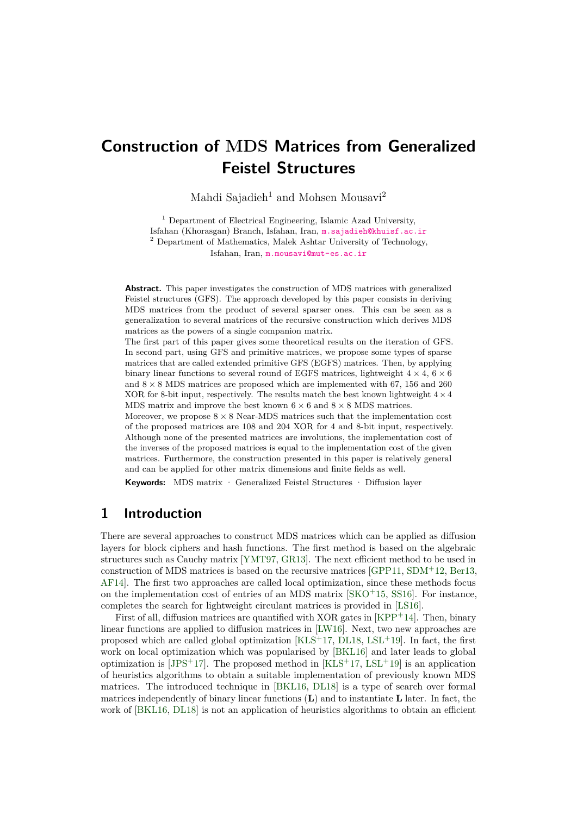# **Construction of MDS Matrices from Generalized Feistel Structures**

Mahdi Sajadieh<sup>1</sup> and Mohsen Mousavi<sup>2</sup>

<sup>1</sup> Department of Electrical Engineering, Islamic Azad University, Isfahan (Khorasgan) Branch, Isfahan, Iran, [m.sajadieh@khuisf.ac.ir](mailto:m.sajadieh@khuisf.ac.ir) <sup>2</sup> Department of Mathematics, Malek Ashtar University of Technology, Isfahan, Iran, [m.mousavi@mut-es.ac.ir](mailto:m.mousavi@mut-es.ac.ir)

**Abstract.** This paper investigates the construction of MDS matrices with generalized Feistel structures (GFS). The approach developed by this paper consists in deriving MDS matrices from the product of several sparser ones. This can be seen as a generalization to several matrices of the recursive construction which derives MDS matrices as the powers of a single companion matrix.

The first part of this paper gives some theoretical results on the iteration of GFS. In second part, using GFS and primitive matrices, we propose some types of sparse matrices that are called extended primitive GFS (EGFS) matrices. Then, by applying binary linear functions to several round of EGFS matrices, lightweight  $4 \times 4$ ,  $6 \times 6$ and  $8 \times 8$  MDS matrices are proposed which are implemented with 67, 156 and 260 XOR for 8-bit input, respectively. The results match the best known lightweight  $4 \times 4$ MDS matrix and improve the best known  $6 \times 6$  and  $8 \times 8$  MDS matrices.

Moreover, we propose  $8 \times 8$  Near-MDS matrices such that the implementation cost of the proposed matrices are 108 and 204 XOR for 4 and 8-bit input, respectively. Although none of the presented matrices are involutions, the implementation cost of the inverses of the proposed matrices is equal to the implementation cost of the given matrices. Furthermore, the construction presented in this paper is relatively general and can be applied for other matrix dimensions and finite fields as well.

**Keywords:** MDS matrix · Generalized Feistel Structures · Diffusion layer

### <span id="page-0-0"></span>**1 Introduction**

There are several approaches to construct MDS matrices which can be applied as diffusion layers for block ciphers and hash functions. The first method is based on the algebraic structures such as Cauchy matrix [\[YMT97,](#page-22-0) [GR13\]](#page-21-0). The next efficient method to be used in construction of MDS matrices is based on the recursive matrices [\[GPP11,](#page-21-1) [SDM](#page-22-1)<sup>+</sup>12, [Ber13,](#page-21-2) [AF14\]](#page-21-3). The first two approaches are called local optimization, since these methods focus on the implementation cost of entries of an MDS matrix [\[SKO](#page-22-2)<sup>+</sup>15, [SS16\]](#page-22-3). For instance, completes the search for lightweight circulant matrices is provided in [\[LS16\]](#page-22-4).

First of all, diffusion matrices are quantified with XOR gates in  $KPP+14$ . Then, binary linear functions are applied to diffusion matrices in [\[LW16\]](#page-22-6). Next, two new approaches are proposed which are called global optimization  $[KLS<sup>+17</sup>, DL18, LSL<sup>+19</sup>]$  $[KLS<sup>+17</sup>, DL18, LSL<sup>+19</sup>]$  $[KLS<sup>+17</sup>, DL18, LSL<sup>+19</sup>]$  $[KLS<sup>+17</sup>, DL18, LSL<sup>+19</sup>]$  $[KLS<sup>+17</sup>, DL18, LSL<sup>+19</sup>]$  $[KLS<sup>+17</sup>, DL18, LSL<sup>+19</sup>]$ . In fact, the first work on local optimization which was popularised by [\[BKL16\]](#page-21-5) and later leads to global optimization is [\[JPS](#page-21-6)+17]. The proposed method in  $[KLS^+17, LSL^+19]$  $[KLS^+17, LSL^+19]$  $[KLS^+17, LSL^+19]$  $[KLS^+17, LSL^+19]$  is an application of heuristics algorithms to obtain a suitable implementation of previously known MDS matrices. The introduced technique in [\[BKL16,](#page-21-5) [DL18\]](#page-21-4) is a type of search over formal matrices independently of binary linear functions (**L**) and to instantiate **L** later. In fact, the work of [\[BKL16,](#page-21-5) [DL18\]](#page-21-4) is not an application of heuristics algorithms to obtain an efficient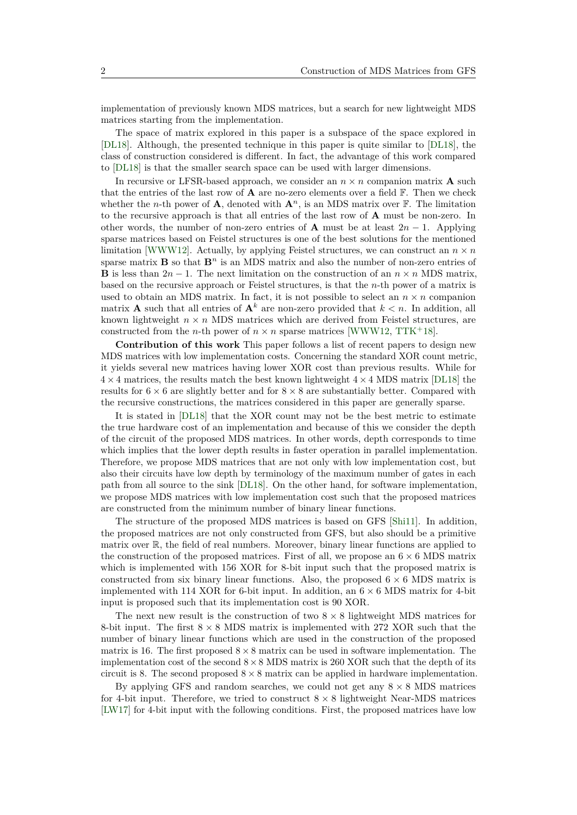implementation of previously known MDS matrices, but a search for new lightweight MDS matrices starting from the implementation.

The space of matrix explored in this paper is a subspace of the space explored in [\[DL18\]](#page-21-4). Although, the presented technique in this paper is quite similar to [\[DL18\]](#page-21-4), the class of construction considered is different. In fact, the advantage of this work compared to [\[DL18\]](#page-21-4) is that the smaller search space can be used with larger dimensions.

In recursive or LFSR-based approach, we consider an  $n \times n$  companion matrix **A** such that the entries of the last row of  $\bf{A}$  are no-zero elements over a field  $\bf{F}$ . Then we check whether the *n*-th power of **A**, denoted with  $\mathbf{A}^n$ , is an MDS matrix over  $\mathbb{F}$ . The limitation to the recursive approach is that all entries of the last row of **A** must be non-zero. In other words, the number of non-zero entries of **A** must be at least  $2n - 1$ . Applying sparse matrices based on Feistel structures is one of the best solutions for the mentioned limitation [\[WWW12\]](#page-22-9). Actually, by applying Feistel structures, we can construct an  $n \times n$ sparse matrix  $\mathbf{B}$  so that  $\mathbf{B}^n$  is an MDS matrix and also the number of non-zero entries of **B** is less than  $2n - 1$ . The next limitation on the construction of an  $n \times n$  MDS matrix, based on the recursive approach or Feistel structures, is that the *n*-th power of a matrix is used to obtain an MDS matrix. In fact, it is not possible to select an  $n \times n$  companion matrix **A** such that all entries of  $A^k$  are non-zero provided that  $k < n$ . In addition, all known lightweight  $n \times n$  MDS matrices which are derived from Feistel structures, are constructed from the *n*-th power of  $n \times n$  sparse matrices [\[WWW12,](#page-22-9) [TTK](#page-22-10)<sup>+</sup>18].

**Contribution of this work** This paper follows a list of recent papers to design new MDS matrices with low implementation costs. Concerning the standard XOR count metric, it yields several new matrices having lower XOR cost than previous results. While for  $4 \times 4$  matrices, the results match the best known lightweight  $4 \times 4$  MDS matrix [\[DL18\]](#page-21-4) the results for  $6 \times 6$  are slightly better and for  $8 \times 8$  are substantially better. Compared with the recursive constructions, the matrices considered in this paper are generally sparse.

It is stated in [\[DL18\]](#page-21-4) that the XOR count may not be the best metric to estimate the true hardware cost of an implementation and because of this we consider the depth of the circuit of the proposed MDS matrices. In other words, depth corresponds to time which implies that the lower depth results in faster operation in parallel implementation. Therefore, we propose MDS matrices that are not only with low implementation cost, but also their circuits have low depth by terminology of the maximum number of gates in each path from all source to the sink [\[DL18\]](#page-21-4). On the other hand, for software implementation, we propose MDS matrices with low implementation cost such that the proposed matrices are constructed from the minimum number of binary linear functions.

The structure of the proposed MDS matrices is based on GFS [\[Shi11\]](#page-22-11). In addition, the proposed matrices are not only constructed from GFS, but also should be a primitive matrix over R, the field of real numbers. Moreover, binary linear functions are applied to the construction of the proposed matrices. First of all, we propose an  $6 \times 6$  MDS matrix which is implemented with 156 XOR for 8-bit input such that the proposed matrix is constructed from six binary linear functions. Also, the proposed  $6 \times 6$  MDS matrix is implemented with 114 XOR for 6-bit input. In addition, an  $6 \times 6$  MDS matrix for 4-bit input is proposed such that its implementation cost is 90 XOR.

The next new result is the construction of two  $8 \times 8$  lightweight MDS matrices for 8-bit input. The first  $8 \times 8$  MDS matrix is implemented with 272 XOR such that the number of binary linear functions which are used in the construction of the proposed matrix is 16. The first proposed  $8 \times 8$  matrix can be used in software implementation. The implementation cost of the second  $8\times 8$  MDS matrix is 260 XOR such that the depth of its circuit is 8. The second proposed  $8 \times 8$  matrix can be applied in hardware implementation.

By applying GFS and random searches, we could not get any  $8 \times 8$  MDS matrices for 4-bit input. Therefore, we tried to construct  $8 \times 8$  lightweight Near-MDS matrices [\[LW17\]](#page-22-12) for 4-bit input with the following conditions. First, the proposed matrices have low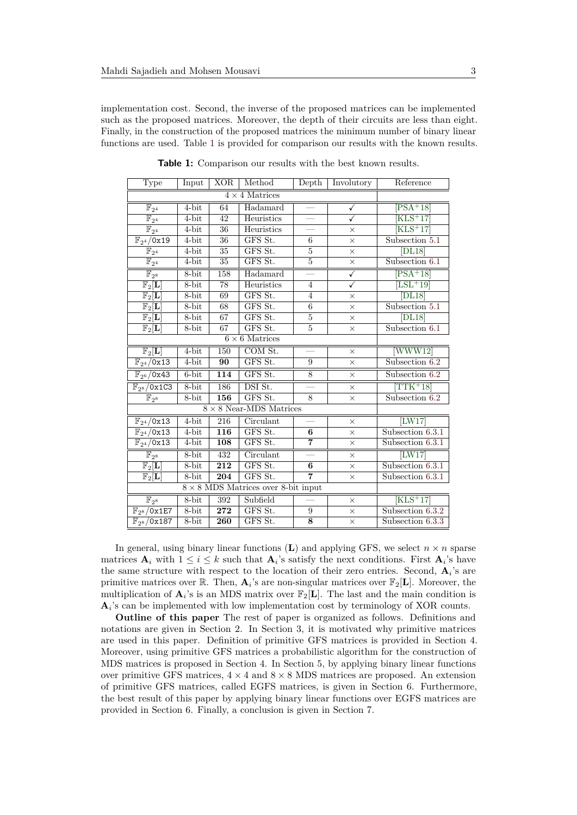implementation cost. Second, the inverse of the proposed matrices can be implemented such as the proposed matrices. Moreover, the depth of their circuits are less than eight. Finally, in the construction of the proposed matrices the minimum number of binary linear functions are used. Table [1](#page-0-0) is provided for comparison our results with the known results.

| Type                                      | Input    | <b>XOR</b>      | Method                         | Depth              | Involutory              | Reference                    |
|-------------------------------------------|----------|-----------------|--------------------------------|--------------------|-------------------------|------------------------------|
| $4 \times 4$ Matrices                     |          |                 |                                |                    |                         |                              |
| $\mathbb{F}_{2^4}$                        | 4-bit    | 64              | Hadamard                       | $\equiv$           | $\checkmark$            | $PSA+18$                     |
| $\overline{\mathbb{F}_{2^4}}$             | $4$ -bit | $\overline{42}$ | Heuristics                     |                    | $\overline{\checkmark}$ | $KLS+17$                     |
| $\overline{\mathbb{F}_{2^4}}$             | 4-bit    | 36              | Heuristics                     |                    | $\times$                | $KLS+17$                     |
| $\overline{\mathbb{F}_{2^4}/0x19}$        | 4-bit    | 36              | GFS St.                        | 6                  | $\times$                | Subsection 5.1               |
| $\overline{\mathbb{F}_{2^4}}$             | $4-bit$  | $\overline{35}$ | GFS St.                        | 5                  | $\times$                | [DL18]                       |
| $\overline{\mathbb{F}_{2^4}}$             | 4-bit    | 35              | $GFS$ St.                      | $\overline{5}$     | $\times$                | Subsection 6.1               |
| $\overline{\mathbb{F}_{2^8}}$             | $8-bit$  | 158             | Hadamard                       |                    | $\overline{\checkmark}$ | $PSA+18$                     |
| $\overline{\mathbb{F}_2[L]}$              | $8$ -bit | 78              | Heuristics                     | $\overline{4}$     | $\overline{\checkmark}$ | $[LSL+19]$                   |
| $\mathbb{F}_2[L]$                         | 8-bit    | 69              | GFS St.                        | $\overline{4}$     | $\times$                | $ \overline{\mathrm{DL}}18 $ |
| $\mathbb{F}_2[L]$                         | 8-bit    | 68              | GFS St.                        | $\boldsymbol{6}$   | $\times$                | Subsection 5.1               |
| $\overline{\mathbb{F}_2[L]}$              | 8-bit    | 67              | GFS St.                        | $\overline{5}$     | $\times$                | [DL18]                       |
| $\mathbb{F}_2[\mathbf{L}]$                | 8-bit    | 67              | GFS St.                        | $\bf 5$            | $\times$                | Subsection 6.1               |
|                                           |          |                 | $6 \times 6$ Matrices          |                    |                         |                              |
| $\mathbb{F}_2[L]$                         | $4$ -bit | 150             | COM St.                        |                    | $\times$                | WWW12                        |
| $\overline{\mathbb{F}_{2^4}/0x13}$        | 4-bit    | 90              | GFS St.                        | $\boldsymbol{9}$   | $\times$                | Subsection 6.2               |
| $\overline{\mathbb{F}_{2^6}/0x43}$        | $6$ -bit | 114             | GFS St.                        | $\overline{8}$     | $\times$                | Subsection 6.2               |
| $\mathbb{F}_{2^8}/0x1C3$                  | 8-bit    | 186             | DSI St.                        |                    | $\times$                | $TTK+18$                     |
| $\mathbb{F}_{2^8}$                        | 8-bit    | 156             | GFS St.                        | 8                  | $\times$                | Subsection 6.2               |
|                                           |          |                 | $8 \times 8$ Near-MDS Matrices |                    |                         |                              |
| $\overline{\mathbb{F}_{2^4}/0x13}$        | $4-bit$  | 216             | Circulant                      |                    | $\times$                | [ <b>LW17</b> ]              |
| $\mathbb{F}_{2^4}/\overline{0x13}$        | 4-bit    | 116             | GFS St.                        | 6                  | $\times$                | Subsection 6.3.1             |
| $\mathbb{F}_{2^4}/\overline{0x13}$        | 4-bit    | 108             | GFS St.                        | 7                  | $\times$                | Subsection 6.3.1             |
| $\mathbb{F}_{2^8}$                        | 8-bit    | 432             | Circulant                      |                    | $\times$                | [LW17]                       |
| $\mathbb{F}_2[L]$                         | 8-bit    | 212             | GFS St.                        | 6                  | $\times$                | Subsection $6.3.1$           |
| $\mathbb{F}_2[L]$                         | $8-bit$  | 204             | GFS St.                        | $\overline{7}$     | $\times$                | Subsection 6.3.1             |
| $8\times 8$ MDS Matrices over 8-bit input |          |                 |                                |                    |                         |                              |
| $\mathbb{F}_{2^8}$                        | $8-bit$  | 392             | Subfield                       |                    | $\times$                | $KLS+17$                     |
| $\overline{\mathbb{F}_{2^8}/0x1E7}$       | 8-bit    | 272             | GFS St.                        | 9                  | $\times$                | Subsection 6.3.2             |
| $\mathbb{F}_{2^8}$ /0x187                 | 8-bit    | 260             | GFS St.                        | $\overline{\bf 8}$ | $\times$                | Subsection 6.3.3             |

**Table 1:** Comparison our results with the best known results.

In general, using binary linear functions  $(L)$  and applying GFS, we select  $n \times n$  sparse matrices  $\mathbf{A}_i$  with  $1 \leq i \leq k$  such that  $\mathbf{A}_i$ 's satisfy the next conditions. First  $\mathbf{A}_i$ 's have the same structure with respect to the location of their zero entries. Second, **A***<sup>i</sup>* 's are primitive matrices over  $\mathbb{R}$ . Then,  $\mathbf{A}_i$ 's are non-singular matrices over  $\mathbb{F}_2[\mathbf{L}]$ . Moreover, the multiplication of  $\mathbf{A}_i$ 's is an MDS matrix over  $\mathbb{F}_2[\mathbf{L}]$ . The last and the main condition is  $\mathbf{A}_i$ 's can be implemented with low implementation cost by terminology of XOR counts.

**Outline of this paper** The rest of paper is organized as follows. Definitions and notations are given in Section 2. In Section 3, it is motivated why primitive matrices are used in this paper. Definition of primitive GFS matrices is provided in Section 4. Moreover, using primitive GFS matrices a probabilistic algorithm for the construction of MDS matrices is proposed in Section 4. In Section 5, by applying binary linear functions over primitive GFS matrices,  $4 \times 4$  and  $8 \times 8$  MDS matrices are proposed. An extension of primitive GFS matrices, called EGFS matrices, is given in Section 6. Furthermore, the best result of this paper by applying binary linear functions over EGFS matrices are provided in Section 6. Finally, a conclusion is given in Section 7.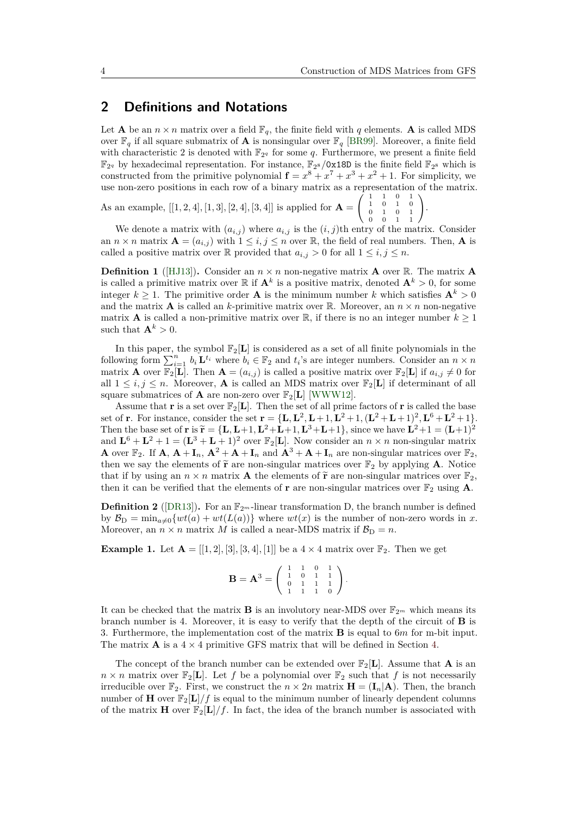.

### **2 Definitions and Notations**

Let **A** be an  $n \times n$  matrix over a field  $\mathbb{F}_q$ , the finite field with q elements. **A** is called MDS over  $\mathbb{F}_q$  if all square submatrix of **A** is nonsingular over  $\mathbb{F}_q$  [\[BR99\]](#page-21-7). Moreover, a finite field with characteristic 2 is denoted with  $\mathbb{F}_{2q}$  for some *q*. Furthermore, we present a finite field  $\mathbb{F}_{2^q}$  by hexadecimal representation. For instance,  $\mathbb{F}_{2^8}/0 \times 180$  is the finite field  $\mathbb{F}_{2^8}$  which is constructed from the primitive polynomial  $f = x^8 + x^7 + x^3 + x^2 + 1$ . For simplicity, we use non-zero positions in each row of a binary matrix as a representation of the matrix.

As an example,  $[[1, 2, 4], [1, 3], [2, 4], [3, 4]]$  is applied for  ${\bf A} =$  $\left(\begin{array}{cccc} 1 & 1 & 0 & 1 \\ 1 & 0 & 1 & 0 \\ 0 & 1 & 0 & 1 \\ 0 & 0 & 1 & 1 \end{array}\right)$ 

We denote a matrix with  $(a_{i,j})$  where  $a_{i,j}$  is the  $(i,j)$ <sup>th</sup> entry of the matrix. Consider an  $n \times n$  matrix  $\mathbf{A} = (a_{i,j})$  with  $1 \leq i, j \leq n$  over  $\mathbb{R}$ , the field of real numbers. Then,  $\mathbf{A}$  is called a positive matrix over R provided that  $a_{i,j} > 0$  for all  $1 \leq i, j \leq n$ .

**Definition 1** ([\[HJ13\]](#page-21-8)). Consider an  $n \times n$  non-negative matrix **A** over R. The matrix **A** is called a primitive matrix over  $\mathbb{R}$  if  $\mathbf{A}^k$  is a positive matrix, denoted  $\mathbf{A}^k > 0$ , for some integer  $k > 1$ . The primitive order **A** is the minimum number *k* which satisfies  $\mathbf{A}^k > 0$ and the matrix **A** is called an *k*-primitive matrix over R. Moreover, an  $n \times n$  non-negative matrix **A** is called a non-primitive matrix over  $\mathbb{R}$ , if there is no an integer number  $k \geq 1$ such that  $\mathbf{A}^k > 0$ .

In this paper, the symbol  $\mathbb{F}_2[L]$  is considered as a set of all finite polynomials in the following form  $\sum_{i=1}^{n} b_i \mathbf{L}^{t_i}$  where  $b_i \in \mathbb{F}_2$  and  $t_i$ 's are integer numbers. Consider an  $n \times n$ matrix **A** over  $\mathbb{F}_2[\mathbf{L}]$ . Then  $\mathbf{A} = (a_{i,j})$  is called a positive matrix over  $\mathbb{F}_2[\mathbf{L}]$  if  $a_{i,j} \neq 0$  for all  $1 \leq i, j \leq n$ . Moreover, **A** is called an MDS matrix over  $\mathbb{F}_2[L]$  if determinant of all square submatrices of **A** are non-zero over  $\mathbb{F}_2[L]$  [\[WWW12\]](#page-22-9).

Assume that **r** is a set over  $\mathbb{F}_2[L]$ . Then the set of all prime factors of **r** is called the base set of **r**. For instance, consider the set  $\mathbf{r} = {\mathbf{L}, \mathbf{L}^2, \mathbf{L} + 1, \mathbf{L}^2 + 1, (\mathbf{L}^2 + \mathbf{L} + 1)^2, \mathbf{L}^6 + \mathbf{L}^2 + 1}.$ Then the base set of **r** is  $\tilde{\mathbf{r}} = {\mathbf{L}, \mathbf{L}+1, \mathbf{L}^2+\mathbf{L}+1, \mathbf{L}^3+\mathbf{L}+1}, \text{ since we have } \mathbf{L}^2+1 = (\mathbf{L}+1)^2$ and  $\mathbf{L}^6 + \mathbf{L}^2 + 1 = (\mathbf{L}^3 + \mathbf{L} + 1)^2$  over  $\mathbb{F}_2[\mathbf{L}]$ . Now consider an  $n \times n$  non-singular matrix **A** over  $\mathbb{F}_2$ . If **A**,  $\mathbf{A} + \mathbf{I}_n$ ,  $\mathbf{A}^2 + \mathbf{A} + \mathbf{I}_n$  and  $\mathbf{A}^3 + \mathbf{A} + \mathbf{I}_n$  are non-singular matrices over  $\mathbb{F}_2$ , then we say the elements of  $\tilde{\mathbf{r}}$  are non-singular matrices over  $\mathbb{F}_2$  by applying **A**. Notice that if by using an  $n \times n$  matrix **A** the elements of  $\tilde{\mathbf{r}}$  are non-singular matrices over  $\mathbb{F}_2$ , then it can be verified that the elements of **r** are non-singular matrices over  $\mathbb{F}_2$  using **A**.

**Definition 2** ([\[DR13\]](#page-21-9)). For an  $\mathbb{F}_{2^m}$ -linear transformation D, the branch number is defined by  $\mathcal{B}_D = \min_{a \neq 0} \{wt(a) + wt(L(a))\}$  where  $wt(x)$  is the number of non-zero words in *x*. Moreover, an  $n \times n$  matrix *M* is called a near-MDS matrix if  $\mathcal{B}_D = n$ .

**Example 1.** Let  $A = [[1, 2], [3], [3, 4], [1]]$  be a  $4 \times 4$  matrix over  $\mathbb{F}_2$ . Then we get

$$
\mathbf{B} = \mathbf{A}^3 = \left( \begin{array}{rrr} 1 & 1 & 0 & 1 \\ 1 & 0 & 1 & 1 \\ 0 & 1 & 1 & 1 \\ 1 & 1 & 1 & 0 \end{array} \right).
$$

It can be checked that the matrix **B** is an involutory near-MDS over  $\mathbb{F}_{2^m}$  which means its branch number is 4. Moreover, it is easy to verify that the depth of the circuit of **B** is 3. Furthermore, the implementation cost of the matrix **B** is equal to 6*m* for m-bit input. The matrix  $\bf{A}$  is a  $4 \times 4$  primitive GFS matrix that will be defined in Section [4.](#page-5-0)

The concept of the branch number can be extended over  $\mathbb{F}_2[\mathbf{L}]$ . Assume that **A** is an  $n \times n$  matrix over  $\mathbb{F}_2[\mathbf{L}]$ . Let f be a polynomial over  $\mathbb{F}_2$  such that f is not necessarily irreducible over  $\mathbb{F}_2$ . First, we construct the  $n \times 2n$  matrix  $\mathbf{H} = (\mathbf{I}_n | \mathbf{A})$ . Then, the branch number of **H** over  $\mathbb{F}_2[L]/f$  is equal to the minimum number of linearly dependent columns of the matrix **H** over  $\mathbb{F}_2[L]/f$ . In fact, the idea of the branch number is associated with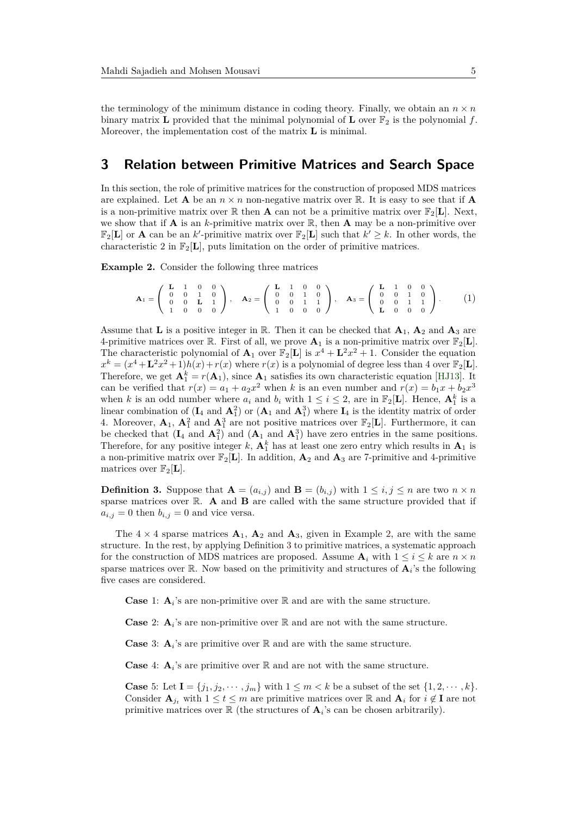the terminology of the minimum distance in coding theory. Finally, we obtain an  $n \times n$ binary matrix **L** provided that the minimal polynomial of **L** over  $\mathbb{F}_2$  is the polynomial f. Moreover, the implementation cost of the matrix **L** is minimal.

### **3 Relation between Primitive Matrices and Search Space**

In this section, the role of primitive matrices for the construction of proposed MDS matrices are explained. Let **A** be an  $n \times n$  non-negative matrix over R. It is easy to see that if **A** is a non-primitive matrix over  $\mathbb R$  then **A** can not be a primitive matrix over  $\mathbb F_2[L]$ . Next, we show that if **A** is an *k*-primitive matrix over  $\mathbb{R}$ , then **A** may be a non-primitive over  $\mathbb{F}_2[L]$  or **A** can be an *k*'-primitive matrix over  $\mathbb{F}_2[L]$  such that  $k' \geq k$ . In other words, the characteristic 2 in  $\mathbb{F}_2[\mathbf{L}]$ , puts limitation on the order of primitive matrices.

<span id="page-4-0"></span>**Example 2.** Consider the following three matrices

$$
\mathbf{A}_1 = \left( \begin{array}{cccc} \mathbf{L} & 1 & 0 & 0 \\ 0 & 0 & 1 & 0 \\ 0 & 0 & \mathbf{L} & 1 \\ 1 & 0 & 0 & 0 \end{array} \right), \quad \mathbf{A}_2 = \left( \begin{array}{cccc} \mathbf{L} & 1 & 0 & 0 \\ 0 & 0 & 1 & 0 \\ 0 & 0 & 1 & 1 \\ 1 & 0 & 0 & 0 \end{array} \right), \quad \mathbf{A}_3 = \left( \begin{array}{cccc} \mathbf{L} & 1 & 0 & 0 \\ 0 & 0 & 1 & 0 \\ 0 & 0 & 1 & 1 \\ \mathbf{L} & 0 & 0 & 0 \end{array} \right). \tag{1}
$$

Assume that **L** is a positive integer in R. Then it can be checked that  $\mathbf{A}_1$ ,  $\mathbf{A}_2$  and  $\mathbf{A}_3$  are 4-primitive matrices over  $\mathbb{R}$ . First of all, we prove  $\mathbf{A}_1$  is a non-primitive matrix over  $\mathbb{F}_2[\mathbf{L}]$ . The characteristic polynomial of  $\mathbf{A}_1$  over  $\mathbb{F}_2[\mathbf{L}]$  is  $x^4 + \mathbf{L}^2 x^2 + 1$ . Consider the equation  $x^k = (x^4 + \mathbf{L}^2 x^2 + 1)h(x) + r(x)$  where  $r(x)$  is a polynomial of degree less than 4 over  $\mathbb{F}_2[\mathbf{L}]$ . Therefore, we get  $\mathbf{A}_1^k = r(\mathbf{A}_1)$ , since  $\mathbf{A}_1$  satisfies its own characteristic equation [\[HJ13\]](#page-21-8). It can be verified that  $r(x) = a_1 + a_2x^2$  when *k* is an even number and  $r(x) = b_1x + b_2x^3$ when *k* is an odd number where  $a_i$  and  $b_i$  with  $1 \leq i \leq 2$ , are in  $\mathbb{F}_2[L]$ . Hence,  $\mathbf{A}_1^k$  is a linear combination of  $(I_4 \text{ and } A_1^2)$  or  $(A_1 \text{ and } A_1^3)$  where  $I_4$  is the identity matrix of order 4. Moreover,  $\mathbf{A}_1$ ,  $\mathbf{A}_1^2$  and  $\mathbf{A}_1^3$  are not positive matrices over  $\mathbb{F}_2[\mathbf{L}]$ . Furthermore, it can be checked that  $(I_4 \text{ and } A_1^2)$  and  $(A_1 \text{ and } A_1^3)$  have zero entries in the same positions. Therefore, for any positive integer  $k$ ,  $A_1^k$  has at least one zero entry which results in  $A_1$  is a non-primitive matrix over  $\mathbb{F}_2[\mathbf{L}]$ . In addition,  $\mathbf{A}_2$  and  $\mathbf{A}_3$  are 7-primitive and 4-primitive matrices over  $\mathbb{F}_2[L]$ .

<span id="page-4-1"></span>**Definition 3.** Suppose that  $\mathbf{A} = (a_{i,j})$  and  $\mathbf{B} = (b_{i,j})$  with  $1 \leq i, j \leq n$  are two  $n \times n$ sparse matrices over R. **A** and **B** are called with the same structure provided that if  $a_{i,j} = 0$  then  $b_{i,j} = 0$  and vice versa.

The  $4 \times 4$  sparse matrices  $\mathbf{A}_1$ ,  $\mathbf{A}_2$  and  $\mathbf{A}_3$ , given in Example [2,](#page-4-0) are with the same structure. In the rest, by applying Definition [3](#page-4-1) to primitive matrices, a systematic approach for the construction of MDS matrices are proposed. Assume  $\mathbf{A}_i$  with  $1 \leq i \leq k$  are  $n \times n$ sparse matrices over  $\mathbb{R}$ . Now based on the primitivity and structures of  $\mathbf{A}_i$ 's the following five cases are considered.

**Case** 1:  $\mathbf{A}_i$ 's are non-primitive over  $\mathbb{R}$  and are with the same structure.

**Case** 2:  $\mathbf{A}_i$ 's are non-primitive over  $\mathbb{R}$  and are not with the same structure.

**Case** 3:  $\mathbf{A}_i$ 's are primitive over  $\mathbb{R}$  and are with the same structure.

**Case** 4:  $\mathbf{A}_i$ 's are primitive over  $\mathbb{R}$  and are not with the same structure.

**Case** 5: Let  $I = \{j_1, j_2, \dots, j_m\}$  with  $1 \leq m < k$  be a subset of the set  $\{1, 2, \dots, k\}$ . Consider  $\mathbf{A}_{j_t}$  with  $1 \le t \le m$  are primitive matrices over R and  $\mathbf{A}_i$  for  $i \notin \mathbf{I}$  are not primitive matrices over  $\mathbb R$  (the structures of  $\mathbf A_i$ 's can be chosen arbitrarily).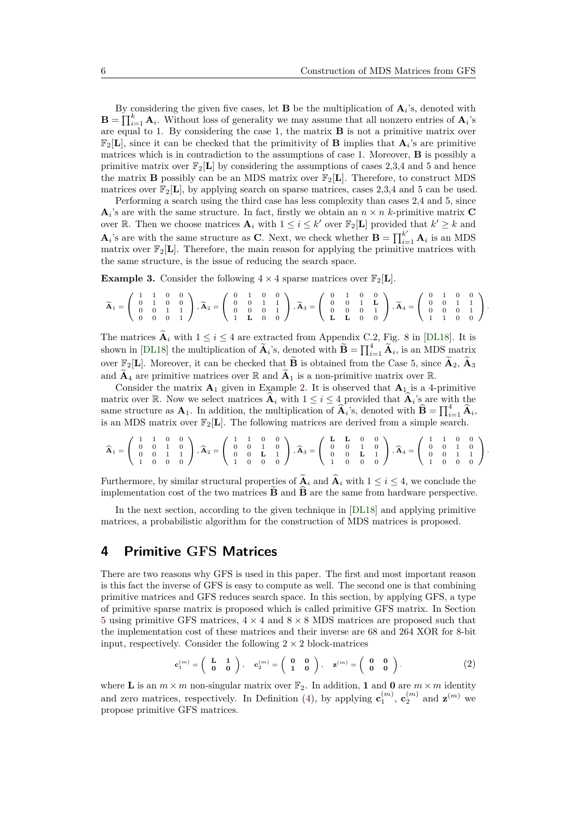By considering the given five cases, let **B** be the multiplication of  $A_i$ 's, denoted with  $\mathbf{B} = \prod_{i=1}^{k} \mathbf{A}_i$ . Without loss of generality we may assume that all nonzero entries of  $\mathbf{A}_i$ 's are equal to 1. By considering the case 1, the matrix **B** is not a primitive matrix over  $\mathbb{F}_2[\mathbf{L}]$ , since it can be checked that the primitivity of **B** implies that  $\mathbf{A}_i$ 's are primitive matrices which is in contradiction to the assumptions of case 1. Moreover, **B** is possibly a primitive matrix over  $\mathbb{F}_2[L]$  by considering the assumptions of cases 2,3,4 and 5 and hence the matrix **B** possibly can be an MDS matrix over  $\mathbb{F}_2[L]$ . Therefore, to construct MDS matrices over  $\mathbb{F}_2[\mathbf{L}]$ , by applying search on sparse matrices, cases 2,3,4 and 5 can be used.

Performing a search using the third case has less complexity than cases 2,4 and 5, since  $\mathbf{A}_i$ 's are with the same structure. In fact, firstly we obtain an  $n \times n$  k-primitive matrix **C** over R. Then we choose matrices  $A_i$  with  $1 \leq i \leq k'$  over  $\mathbb{F}_2[L]$  provided that  $k' \geq k$  and  $\mathbf{A}_i$ 's are with the same structure as **C**. Next, we check whether  $\mathbf{B} = \prod_{i=1}^{k'} \mathbf{A}_i$  is an MDS matrix over  $\mathbb{F}_2[L]$ . Therefore, the main reason for applying the primitive matrices with the same structure, is the issue of reducing the search space.

**Example 3.** Consider the following  $4 \times 4$  sparse matrices over  $\mathbb{F}_2[\mathbf{L}]$ .

$$
\widetilde{\mathbf{A}}_1 = \left( \begin{array}{rrrrr} 1 & 1 & 0 & 0 \\ 0 & 1 & 0 & 0 \\ 0 & 0 & 1 & 1 \\ 0 & 0 & 0 & 1 \end{array} \right), \widetilde{\mathbf{A}}_2 = \left( \begin{array}{rrrrr} 0 & 1 & 0 & 0 \\ 0 & 0 & 1 & 1 \\ 0 & 0 & 0 & 1 \\ 1 & \mathbf{L} & 0 & 0 \end{array} \right), \widetilde{\mathbf{A}}_3 = \left( \begin{array}{rrrrr} 0 & 1 & 0 & 0 \\ 0 & 0 & 1 & \mathbf{L} \\ 0 & 0 & 0 & 1 \\ \mathbf{L} & \mathbf{L} & 0 & 0 \end{array} \right), \widetilde{\mathbf{A}}_4 = \left( \begin{array}{rrrrr} 0 & 1 & 0 & 0 \\ 0 & 0 & 1 & 1 \\ 0 & 0 & 0 & 1 \\ 1 & 1 & 0 & 0 \end{array} \right).
$$

The matrices  $\widetilde{\mathbf{A}}_i$  with  $1 \leq i \leq 4$  are extracted from Appendix C.2, Fig. 8 in [\[DL18\]](#page-21-4). It is shown in [\[DL18\]](#page-21-4) the multiplication of  $\widetilde{\mathbf{A}}_i$ 's, denoted with  $\widetilde{\mathbf{B}} = \prod_{i=1}^4 \widetilde{\mathbf{A}}_i$ , is an MDS matrix over  $\mathbb{F}_2[\mathbf{L}]$ . Moreover, it can be checked that **B** is obtained from the Case 5, since  $\mathbf{A}_2$ ,  $\mathbf{A}_3$ and  $\widetilde{\mathbf{A}}_4$  are primitive matrices over  $\mathbb R$  and  $\widetilde{\mathbf{A}}_1$  is a non-primitive matrix over  $\mathbb R$ .

Consider the matrix  $\mathbf{A}_1$  given in Example [2.](#page-4-0) It is observed that  $\mathbf{A}_1$  is a 4-primitive matrix over R. Now we select matrices  $\hat{\mathbf{A}}_i$  with  $1 \leq i \leq 4$  provided that  $\hat{\mathbf{A}}_i$ 's are with the same structure as  $\mathbf{A}_1$ . In addition, the multiplication of  $\hat{\mathbf{A}}_i$ 's, denoted with  $\hat{\mathbf{B}} = \prod_{i=1}^4 \hat{\mathbf{A}}_i$ , is an MDS matrix over  $\mathbb{F}_2[\mathbf{L}]$ . The following matrices are derived from a simple search.

$$
\widehat{\mathbf{A}}_1 = \left( \begin{array}{cccc} 1 & 1 & 0 & 0 \\ 0 & 0 & 1 & 0 \\ 0 & 0 & 1 & 1 \\ 1 & 0 & 0 & 0 \end{array} \right), \widehat{\mathbf{A}}_2 = \left( \begin{array}{cccc} 1 & 1 & 0 & 0 \\ 0 & 0 & 1 & 0 \\ 0 & 0 & \mathbf{L} & 1 \\ 1 & 0 & 0 & 0 \end{array} \right), \widehat{\mathbf{A}}_3 = \left( \begin{array}{cccc} \mathbf{L} & \mathbf{L} & 0 & 0 \\ 0 & 0 & 1 & 0 \\ 0 & 0 & \mathbf{L} & 1 \\ 1 & 0 & 0 & 0 \end{array} \right), \widehat{\mathbf{A}}_4 = \left( \begin{array}{cccc} 1 & 1 & 0 & 0 \\ 0 & 0 & 1 & 0 \\ 0 & 0 & 1 & 1 \\ 1 & 0 & 0 & 0 \end{array} \right).
$$

Furthermore, by similar structural properties of  $\widetilde{A}_i$  and  $\widehat{A}_i$  with  $1 \leq i \leq 4$ , we conclude the implementation cost of the two matrices  $\widetilde{\mathbf{B}}$  and  $\widehat{\mathbf{B}}$  are the same from hardware perspective.

In the next section, according to the given technique in [\[DL18\]](#page-21-4) and applying primitive matrices, a probabilistic algorithm for the construction of MDS matrices is proposed.

### <span id="page-5-0"></span>**4 Primitive GFS Matrices**

There are two reasons why GFS is used in this paper. The first and most important reason is this fact the inverse of GFS is easy to compute as well. The second one is that combining primitive matrices and GFS reduces search space. In this section, by applying GFS, a type of primitive sparse matrix is proposed which is called primitive GFS matrix. In Section [5](#page-9-1) using primitive GFS matrices,  $4 \times 4$  and  $8 \times 8$  MDS matrices are proposed such that the implementation cost of these matrices and their inverse are 68 and 264 XOR for 8-bit input, respectively. Consider the following  $2 \times 2$  block-matrices

<span id="page-5-1"></span>
$$
\mathbf{c}_1^{(m)} = \begin{pmatrix} \mathbf{L} & \mathbf{1} \\ \mathbf{0} & \mathbf{0} \end{pmatrix}, \quad \mathbf{c}_2^{(m)} = \begin{pmatrix} \mathbf{0} & \mathbf{0} \\ \mathbf{1} & \mathbf{0} \end{pmatrix}, \quad \mathbf{z}^{(m)} = \begin{pmatrix} \mathbf{0} & \mathbf{0} \\ \mathbf{0} & \mathbf{0} \end{pmatrix} . \tag{2}
$$

where **L** is an  $m \times m$  non-singular matrix over  $\mathbb{F}_2$ . In addition, **1** and **0** are  $m \times m$  identity and zero matrices, respectively. In Definition [\(4\)](#page-6-0), by applying  $\mathbf{c}_1^{(m)}$ ,  $\mathbf{c}_2^{(m)}$  and  $\mathbf{z}^{(m)}$  we propose primitive GFS matrices.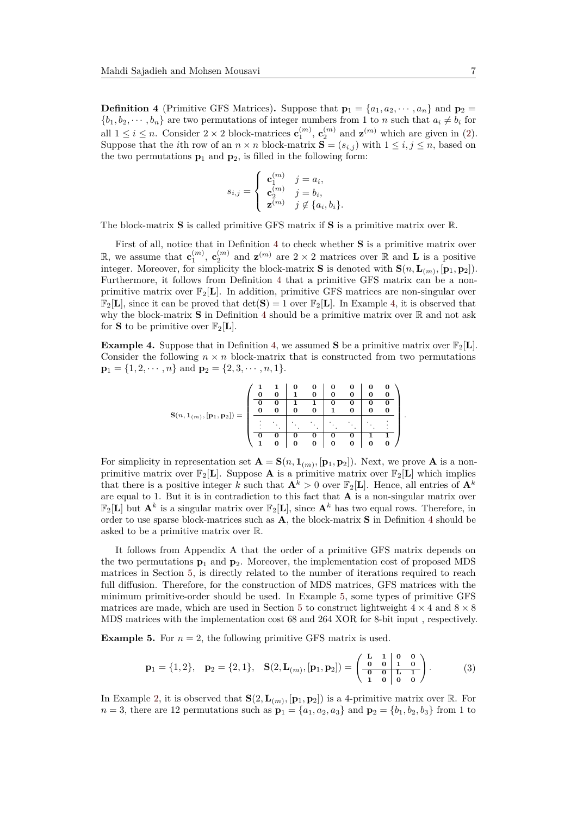<span id="page-6-0"></span>**Definition 4** (Primitive GFS Matrices). Suppose that  $\mathbf{p}_1 = \{a_1, a_2, \dots, a_n\}$  and  $\mathbf{p}_2 =$  ${b_1, b_2, \dots, b_n}$  are two permutations of integer numbers from 1 to *n* such that  $a_i \neq b_i$  for all  $1 \leq i \leq n$ . Consider  $2 \times 2$  block-matrices  $\mathbf{c}_1^{(m)}$ ,  $\mathbf{c}_2^{(m)}$  and  $\mathbf{z}^{(m)}$  which are given in [\(2\)](#page-5-1). Suppose that the *i*th row of an  $n \times n$  block-matrix  $S = (s_{i,j})$  with  $1 \le i, j \le n$ , based on the two permutations  $\mathbf{p}_1$  and  $\mathbf{p}_2$ , is filled in the following form:

$$
s_{i,j} = \begin{cases} \mathbf{c}_1^{(m)} & j = a_i, \\ \mathbf{c}_2^{(m)} & j = b_i, \\ \mathbf{z}^{(m)} & j \notin \{a_i, b_i\}. \end{cases}
$$

The block-matrix **S** is called primitive GFS matrix if **S** is a primitive matrix over R.

First of all, notice that in Definition [4](#page-6-0) to check whether **S** is a primitive matrix over R, we assume that  $\mathbf{c}_1^{(m)}$ ,  $\mathbf{c}_2^{(m)}$  and  $\mathbf{z}^{(m)}$  are  $2 \times 2$  matrices over R and **L** is a positive integer. Moreover, for simplicity the block-matrix **S** is denoted with  $\mathbf{S}(n, \mathbf{L}_{(m)}, [\mathbf{p}_1, \mathbf{p}_2])$ . Furthermore, it follows from Definition [4](#page-6-0) that a primitive GFS matrix can be a nonprimitive matrix over  $\mathbb{F}_2[\mathbf{L}]$ . In addition, primitive GFS matrices are non-singular over  $\mathbb{F}_2[\mathbf{L}]$ , since it can be proved that  $\det(\mathbf{S}) = 1$  over  $\mathbb{F}_2[\mathbf{L}]$ . In Example [4,](#page-6-1) it is observed that why the block-matrix  $S$  in Definition [4](#page-6-0) should be a primitive matrix over  $\mathbb R$  and not ask for **S** to be primitive over  $\mathbb{F}_2[L]$ .

<span id="page-6-1"></span>**Example 4.** Suppose that in Definition [4,](#page-6-0) we assumed **S** be a primitive matrix over  $\mathbb{F}_2[L]$ . Consider the following  $n \times n$  block-matrix that is constructed from two permutations  $\mathbf{p}_1 = \{1, 2, \dots, n\}$  and  $\mathbf{p}_2 = \{2, 3, \dots, n, 1\}.$ 

$$
\mathbf{S}(n, \mathbf{1}_{(m)}, [\mathbf{p_1}, \mathbf{p_2}]) = \left(\begin{array}{ccccc|cc} 1 & 1 & 0 & 0 & 0 & 0 & 0 & 0 & 0 \\ 0 & 0 & 1 & 0 & 0 & 0 & 0 & 0 & 0 \\ \hline 0 & 0 & 1 & 1 & 0 & 0 & 0 & 0 & 0 \\ 0 & 0 & 0 & 0 & 1 & 0 & 0 & 0 & 0 \\ \hline \vdots & \vdots & \vdots & \ddots & \ddots & \ddots & \ddots & \vdots & \vdots \\ \hline 0 & 0 & 0 & 0 & 0 & 0 & 0 & 1 & 1 \\ 1 & 0 & 0 & 0 & 0 & 0 & 0 & 0 & 0 \end{array}\right)
$$

*.*

For simplicity in representation set  $\mathbf{A} = \mathbf{S}(n, \mathbf{1}_{(m)}, [\mathbf{p}_1, \mathbf{p}_2])$ . Next, we prove  $\mathbf{A}$  is a nonprimitive matrix over  $\mathbb{F}_2[L]$ . Suppose **A** is a primitive matrix over  $\mathbb{F}_2[L]$  which implies that there is a positive integer *k* such that  $\mathbf{A}^k > 0$  over  $\mathbb{F}_2[\mathbf{L}]$ . Hence, all entries of  $\mathbf{A}^k$ are equal to 1. But it is in contradiction to this fact that **A** is a non-singular matrix over  $\mathbb{F}_2[L]$  but  $\mathbf{A}^k$  is a singular matrix over  $\mathbb{F}_2[L]$ , since  $\mathbf{A}^k$  has two equal rows. Therefore, in order to use sparse block-matrices such as **A**, the block-matrix **S** in Definition [4](#page-6-0) should be asked to be a primitive matrix over R.

It follows from Appendix A that the order of a primitive GFS matrix depends on the two permutations  $\mathbf{p}_1$  and  $\mathbf{p}_2$ . Moreover, the implementation cost of proposed MDS matrices in Section [5,](#page-9-1) is directly related to the number of iterations required to reach full diffusion. Therefore, for the construction of MDS matrices, GFS matrices with the minimum primitive-order should be used. In Example [5,](#page-6-2) some types of primitive GFS matrices are made, which are used in Section [5](#page-9-1) to construct lightweight  $4 \times 4$  and  $8 \times 8$ MDS matrices with the implementation cost 68 and 264 XOR for 8-bit input , respectively.

<span id="page-6-2"></span>**Example 5.** For  $n = 2$ , the following primitive GFS matrix is used.

<span id="page-6-3"></span>
$$
\mathbf{p}_1 = \{1, 2\}, \quad \mathbf{p}_2 = \{2, 1\}, \quad \mathbf{S}(2, \mathbf{L}_{(m)}, [\mathbf{p}_1, \mathbf{p}_2]) = \begin{pmatrix} \mathbf{L} & 1 & | & \mathbf{0} & \mathbf{0} \\ \mathbf{0} & 0 & | & \mathbf{1} & \mathbf{0} \\ \hline \mathbf{0} & 0 & | & \mathbf{L} & \mathbf{1} \\ \mathbf{1} & 0 & | & \mathbf{0} & \mathbf{0} \end{pmatrix} . \tag{3}
$$

In Example [2,](#page-4-0) it is observed that  $\mathbf{S}(2, \mathbf{L}_{(m)}, [\mathbf{p}_1, \mathbf{p}_2])$  is a 4-primitive matrix over R. For *n* = 3, there are 12 permutations such as  $\mathbf{p}_1 = \{a_1, a_2, a_3\}$  and  $\mathbf{p}_2 = \{b_1, b_2, b_3\}$  from 1 to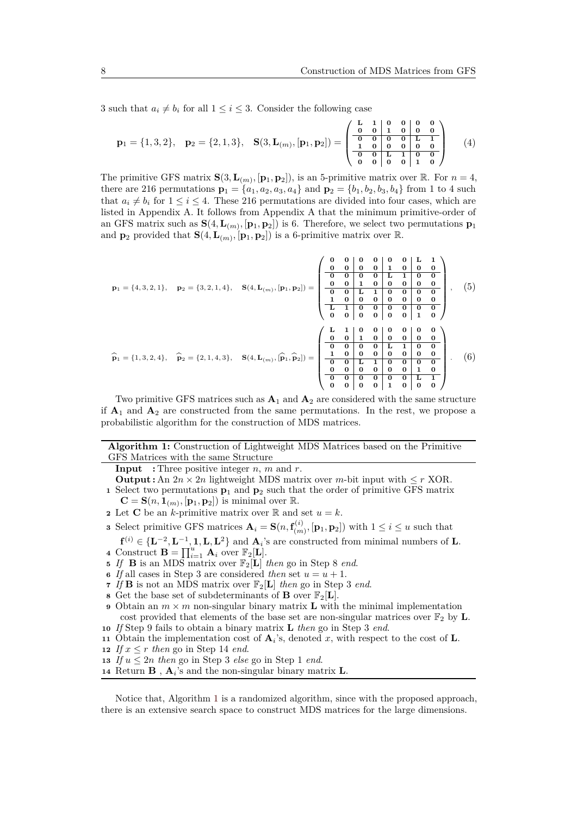3 such that  $a_i \neq b_i$  for all  $1 \leq i \leq 3$ . Consider the following case

<span id="page-7-1"></span>
$$
\mathbf{p}_1 = \{1, 3, 2\}, \quad \mathbf{p}_2 = \{2, 1, 3\}, \quad \mathbf{S}(3, \mathbf{L}_{(m)}, [\mathbf{p}_1, \mathbf{p}_2]) = \begin{pmatrix} \mathbf{L} & 1 & 0 & 0 & 0 & 0 \\ 0 & 0 & 1 & 0 & 0 & 0 \\ \hline 0 & 0 & 0 & 0 & 0 & 0 \\ \hline 0 & 0 & 0 & 0 & 0 & 0 \\ 0 & 0 & 0 & 0 & 1 & 0 \end{pmatrix} \tag{4}
$$

The primitive GFS matrix  $\mathbf{S}(3, \mathbf{L}_{(m)}, [\mathbf{p}_1, \mathbf{p}_2])$ , is an 5-primitive matrix over R. For  $n = 4$ , there are 216 permutations  $\mathbf{p}_1 = \{a_1, a_2, a_3, a_4\}$  and  $\mathbf{p}_2 = \{b_1, b_2, b_3, b_4\}$  from 1 to 4 such that  $a_i \neq b_i$  for  $1 \leq i \leq 4$ . These 216 permutations are divided into four cases, which are listed in Appendix A. It follows from Appendix A that the minimum primitive-order of an GFS matrix such as  $S(4, L_{(m)}, [p_1, p_2])$  is 6. Therefore, we select two permutations  $p_1$ and  $\mathbf{p}_2$  provided that  $\mathbf{S}(4, \mathbf{L}_{(m)}, [\mathbf{p}_1, \mathbf{p}_2])$  is a 6-primitive matrix over R.

$$
\mathbf{p}_1 = \{4, 3, 2, 1\}, \quad \mathbf{p}_2 = \{3, 2, 1, 4\}, \quad \mathbf{S}(4, \mathbf{L}_{(m)}, [p_1, p_2]) = \begin{pmatrix} 0 & 0 & 0 & 0 & 0 & 0 & 0 & \mathbf{L} & \mathbf{1} \\ 0 & 0 & 0 & 0 & 0 & \mathbf{L} & \mathbf{1} & 0 & 0 & 0 \\ 0 & 0 & 0 & 0 & 0 & \mathbf{L} & \mathbf{1} & 0 & 0 & 0 \\ 0 & 0 & 1 & 0 & 0 & 0 & 0 & 0 & 0 \\ \hline 0 & 0 & 1 & 1 & 0 & 0 & 0 & 0 & 0 \\ \hline \mathbf{L} & 1 & 0 & 0 & 0 & 0 & 0 & 0 & 0 \\ 0 & 0 & 0 & 0 & 0 & 0 & 1 & 0 \end{pmatrix}, \quad (5)
$$
\n
$$
\widehat{\mathbf{p}}_1 = \{1, 3, 2, 4\}, \quad \widehat{\mathbf{p}}_2 = \{2, 1, 4, 3\}, \quad \mathbf{S}(4, \mathbf{L}_{(m)}, [\widehat{\mathbf{p}}_1, \widehat{\mathbf{p}}_2]) = \begin{pmatrix} \mathbf{L} & \mathbf{1} & 0 & 0 & 0 & 0 & 0 & 0 & 0 \\ \hline \mathbf{0} & 0 & 1 & 0 & 0 & 0 & 0 & 0 & 0 \\ \hline \mathbf{0} & 0 & 1 & 0 & 0 & 0 & 0 & 0 & 0 \\ \hline \mathbf{0} & 0 & 0 & 0 & \mathbf{L} & \mathbf{1} & 0 & 0 \\ \hline \mathbf{0} & 0 & 0 & 0 & 0 & \mathbf{L} & \mathbf{1} & 0 & 0 \\ \hline \mathbf{0} & 0 & 0 & 0 & 0 & 0 & \mathbf{L} & \mathbf{1} \\ \hline \mathbf{0} & 0 & 0 & 0 & 0 & 1 & 0 \\ \hline \mathbf{0} & 0 & 0 & 0 & 0 & 1 & 0 \\ \hline \mathbf{0} & 0 & 0 & 0 & 0 & 1 & 0 \\ \hline \mathbf{0} & 0 & 0 & 0 & 1 & 0
$$

<span id="page-7-2"></span>Two primitive GFS matrices such as  $A_1$  and  $A_2$  are considered with the same structure if **A**<sup>1</sup> and **A**<sup>2</sup> are constructed from the same permutations. In the rest, we propose a probabilistic algorithm for the construction of MDS matrices.

<span id="page-7-0"></span>**Algorithm 1:** Construction of Lightweight MDS Matrices based on the Primitive GFS Matrices with the same Structure

**Input :** Three positive integer *n*, *m* and *r*.

**Output :** An  $2n \times 2n$  lightweight MDS matrix over *m*-bit input with  $\leq r$  XOR. **<sup>1</sup>** Select two permutations **p**<sup>1</sup> and **p**<sup>2</sup> such that the order of primitive GFS matrix

 $\mathbf{C} = \mathbf{S}(n, \mathbf{1}_{(m)}, [\mathbf{p}_1, \mathbf{p}_2])$  is minimal over R.

- **2** Let **C** be an *k*-primitive matrix over  $\mathbb{R}$  and set  $u = k$ .
- **3** Select primitive GFS matrices  $\mathbf{A}_i = \mathbf{S}(n, \mathbf{f}_{(m)}^{(i)})$  $(\mathbf{p}_1, \mathbf{p}_2)$  with  $1 \leq i \leq u$  such that
- $f^{(i)} \in {\{L^{-2}, L^{-1}, 1, L, L^2\}}$  and  $A_i$ 's are constructed from minimal numbers of L. **4** Construct  $\mathbf{B} = \prod_{i=1}^{u} \mathbf{A}_i$  over  $\mathbb{F}_2[\mathbf{L}]$ .
- **5** If **B** is an MDS matrix over  $\mathbb{F}_2[\mathbf{L}]$  *then* go in Step 8 *end*.
- **6** *If* all cases in Step 3 are considered *then* set  $u = u + 1$ .
- **7** *If* **B** is not an MDS matrix over  $\mathbb{F}_2[L]$  *then* go in Step 3 *end*.
- **8** Get the base set of subdeterminants of **B** over  $\mathbb{F}_2[L]$ .
- **9** Obtain an  $m \times m$  non-singular binary matrix **L** with the minimal implementation cost provided that elements of the base set are non-singular matrices over  $\mathbb{F}_2$  by **L**.
- **<sup>10</sup>** *If* Step 9 fails to obtain a binary matrix **L** *then* go in Step 3 *end*.
- **<sup>11</sup>** Obtain the implementation cost of **A***<sup>i</sup>* 's, denoted *x*, with respect to the cost of **L**.
- **12** *If*  $x \leq r$  *then* go in Step 14 *end*.
- **13** *If*  $u \leq 2n$  *then* go in Step 3 *else* go in Step 1 *end*.
- **14** Return **B**,  $\mathbf{A}_i$ 's and the non-singular binary matrix **L**.

Notice that, Algorithm [1](#page-7-0) is a randomized algorithm, since with the proposed approach, there is an extensive search space to construct MDS matrices for the large dimensions.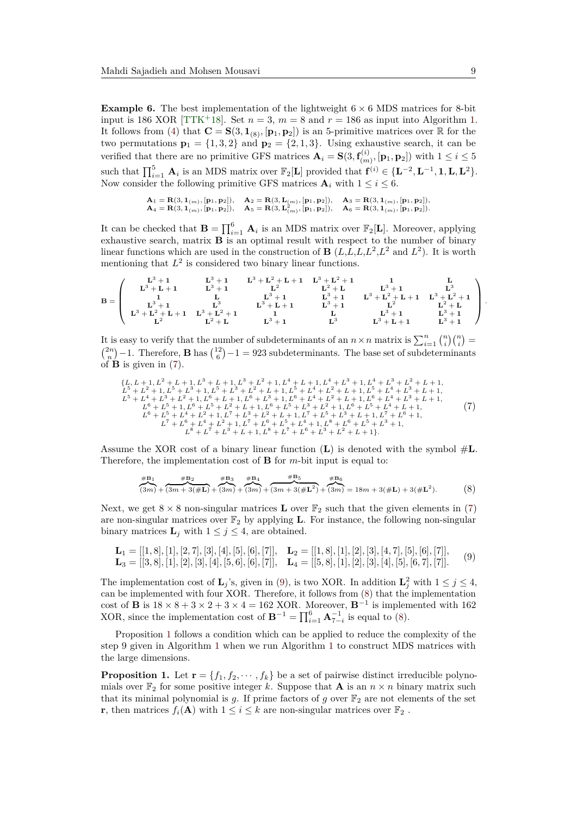**Example 6.** The best implementation of the lightweight  $6 \times 6$  MDS matrices for 8-bit input is 186 XOR [\[TTK](#page-22-10)<sup>+</sup>18]. Set  $n = 3$ ,  $m = 8$  and  $r = 186$  as input into Algorithm [1.](#page-7-0) It follows from [\(4\)](#page-7-1) that  $\mathbf{C} = \mathbf{S}(3, \mathbf{1}_{(8)}, [\mathbf{p}_1, \mathbf{p}_2])$  is an 5-primitive matrices over  $\mathbb{R}$  for the two permutations  $\mathbf{p}_1 = \{1, 3, 2\}$  and  $\mathbf{p}_2 = \{2, 1, 3\}$ . Using exhaustive search, it can be verified that there are no primitive GFS matrices  $\mathbf{A}_i = \mathbf{S}(3, \mathbf{f}_{(m)}^{(i)})$  $\left( \begin{matrix} \mathbf{p}_1 \\ (m) \end{matrix} \right)$ ,  $\left[ \mathbf{p}_1, \mathbf{p}_2 \right]$  with  $1 \leq i \leq 5$ such that  $\prod_{i=1}^{5}$  **A**<sub>*i*</sub> is an MDS matrix over  $\mathbb{F}_2[L]$  provided that  $\mathbf{f}^{(i)} \in \{\mathbf{L}^{-2}, \mathbf{L}^{-1}, \mathbf{1}, \mathbf{L}, \mathbf{L}^2\}$ . Now consider the following primitive GFS matrices  $A_i$  with  $1 \leq i \leq 6$ .

$$
\begin{array}{ll} \mathbf{A}_1 = \mathbf{R}(3, \mathbf{1}_{(m)}, [\mathbf{p}_1, \mathbf{p}_2]), \quad \mathbf{A}_2 = \mathbf{R}(3, \mathbf{L}_{(m)}, [\mathbf{p}_1, \mathbf{p}_2]), \quad \mathbf{A}_3 = \mathbf{R}(3, \mathbf{1}_{(m)}, [\mathbf{p}_1, \mathbf{p}_2]), \\ \mathbf{A}_4 = \mathbf{R}(3, \mathbf{1}_{(m)}, [\mathbf{p}_1, \mathbf{p}_2]), \quad \mathbf{A}_5 = \mathbf{R}(3, \mathbf{L}_{(m)}^2, [\mathbf{p}_1, \mathbf{p}_2]), \quad \mathbf{A}_6 = \mathbf{R}(3, \mathbf{1}_{(m)}, [\mathbf{p}_1, \mathbf{p}_2]). \end{array}
$$

It can be checked that  $\mathbf{B} = \prod_{i=1}^{6} \mathbf{A}_i$  is an MDS matrix over  $\mathbb{F}_2[\mathbf{L}]$ . Moreover, applying exhaustive search, matrix  $\overrightarrow{B}$  is an optimal result with respect to the number of binary linear functions which are used in the construction of **B**  $(L, L, L, L^2, L^2$  and  $L^2$ ). It is worth mentioning that  $L^2$  is considered two binary linear functions.

$$
B=\left(\begin{array}{cccccc}L^3+1 & L^3+1 & L^3+L^2+L+1 & L^3+L^2+1 & 1 & L \\ L^3+L+1 & L^3+1 & L^2 & L^2+L & L^3+1 & L^3 \\ 1 & L & L^3+1 & L^3+1 & L^3+L^2+L+1 & L^3+L^2+1 \\ L^3+1 & L^3 & L^3+L+1 & L^3+1 & L^2 & L^2+L \\ L^3+L^2+L+1 & L^3+L^2+1 & 1 & L & L^3+1 & L^3+1 \\ L^2 & L^2+L & L^3+1 & L^3 & L^3+L+1 & L^3+1 \end{array}\right)
$$

It is easy to verify that the number of subdeterminants of an  $n \times n$  matrix is  $\sum_{i=1}^{n} {n \choose i} {n \choose i}$  $\binom{2n}{n}$  – 1. Therefore, **B** has  $\binom{12}{6}$  – 1 = 923 subdeterminants. The base set of subdeterminants of **B** is given in [\(7\)](#page-8-0).

<span id="page-8-0"></span>
$$
{L, L + 1, L2 + L + 1, L3 + L + 1, L3 + L2 + 1, L4 + L + 1, L4 + L3 + 1, L4 + L3 + L2 + L + 1,\nL5 + L2 + 1, L5 + L3 + 1, L5 + L2 + L + 1, L5 + L4 + L2 + L + 1, L5 + L4 + L3 + L + 1,\nL5 + L4 + L3 + L2 + 1, L6 + L + 1, L6 + L3 + 1, L6 + L4 + L2 + L + 1, L6 + L4 + L3 + L + 1,\nL6 + L5 + L4 + L2 + L + 1, L6 + L5 + L2 + 1, L6 + L5 + L4 + L + 1, L6 + L5 + L4 + L + 1, L6 + L5 + L4 + L + 1,\nL6 + L5 + L4 + L2 + 1, L7 + L3 + L + 1, L6 + L5 + L3 + L + 1, L7 + L6 + 1,\nL7 + L6 + L4 + L2 + 1, L7 + L6 + L5 + L4
$$

Assume the XOR cost of a binary linear function  $(L)$  is denoted with the symbol  $\#L$ . Therefore, the implementation cost of **B** for *m*-bit input is equal to:

<span id="page-8-2"></span>
$$
\frac{\#B_1}{(3m)} + \frac{\#B_2}{(3m+3(\#L))} + \frac{\#B_3}{(3m)} + \frac{\#B_4}{(3m)} + \frac{\#B_5}{(3m+3(\#L^2))} + \frac{\#B_6}{(3m)} = 18m + 3(\#L) + 3(\#L^2). \tag{8}
$$

Next, we get  $8 \times 8$  non-singular matrices **L** over  $\mathbb{F}_2$  such that the given elements in [\(7\)](#page-8-0) are non-singular matrices over  $\mathbb{F}_2$  by applying **L**. For instance, the following non-singular binary matrices  $\mathbf{L}_j$  with  $1 \leq j \leq 4$ , are obtained.

<span id="page-8-1"></span>
$$
\mathbf{L}_1 = [[1,8],[1],[2,7],[3],[4],[5],[6],[7]], \quad \mathbf{L}_2 = [[1,8],[1],[2],[3],[4,7],[5],[6],[7]],
$$
  

$$
\mathbf{L}_3 = [[3,8],[1],[2],[3],[4],[5,6],[6],[7]], \quad \mathbf{L}_4 = [[5,8],[1],[2],[3],[4],[5],[6,7],[7]].
$$
 (9)

The implementation cost of  $\mathbf{L}_j$ 's, given in [\(9\)](#page-8-1), is two XOR. In addition  $\mathbf{L}_j^2$  with  $1 \leq j \leq 4$ , can be implemented with four XOR. Therefore, it follows from [\(8\)](#page-8-2) that the implementation cost of **B** is  $18 \times 8 + 3 \times 2 + 3 \times 4 = 162$  XOR. Moreover,  $\mathbf{B}^{-1}$  is implemented with 162 XOR, since the implementation cost of  $\mathbf{B}^{-1} = \prod_{i=1}^{6} \mathbf{A}_{7-i}^{-1}$  is equal to [\(8\)](#page-8-2).

Proposition [1](#page-8-3) follows a condition which can be applied to reduce the complexity of the step 9 given in Algorithm [1](#page-7-0) when we run Algorithm [1](#page-7-0) to construct MDS matrices with the large dimensions.

<span id="page-8-3"></span>**Proposition 1.** Let  $\mathbf{r} = \{f_1, f_2, \dots, f_k\}$  be a set of pairwise distinct irreducible polynomials over  $\mathbb{F}_2$  for some positive integer *k*. Suppose that **A** is an  $n \times n$  binary matrix such that its minimal polynomial is  $g$ . If prime factors of  $g$  over  $\mathbb{F}_2$  are not elements of the set **r**, then matrices  $f_i(\mathbf{A})$  with  $1 \leq i \leq k$  are non-singular matrices over  $\mathbb{F}_2$ .

*.*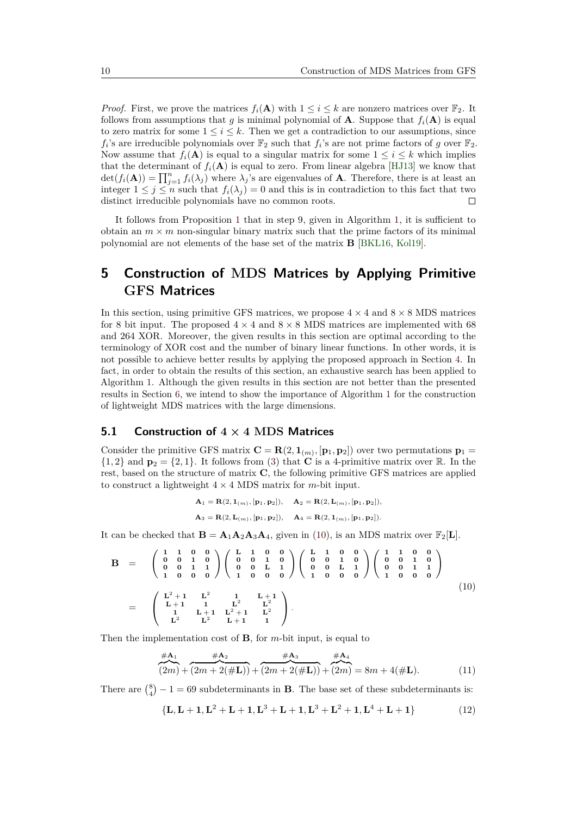*Proof.* First, we prove the matrices  $f_i(\mathbf{A})$  with  $1 \leq i \leq k$  are nonzero matrices over  $\mathbb{F}_2$ . It follows from assumptions that *g* is minimal polynomial of **A**. Suppose that  $f_i(\mathbf{A})$  is equal to zero matrix for some  $1 \leq i \leq k$ . Then we get a contradiction to our assumptions, since  $f_i$ 's are irreducible polynomials over  $\mathbb{F}_2$  such that  $f_i$ 's are not prime factors of *g* over  $\mathbb{F}_2$ . Now assume that  $f_i(\mathbf{A})$  is equal to a singular matrix for some  $1 \leq i \leq k$  which implies that the determinant of  $f_i(\mathbf{A})$  is equal to zero. From linear algebra [\[HJ13\]](#page-21-8) we know that  $\det(f_i(\mathbf{A})) = \prod_{j=1}^n f_i(\lambda_j)$  where  $\lambda_j$ 's are eigenvalues of **A**. Therefore, there is at least an integer  $1 \leq j \leq n$  such that  $f_i(\lambda_j) = 0$  and this is in contradiction to this fact that two distinct irreducible polynomials have no common roots.  $\Box$ 

It follows from Proposition [1](#page-8-3) that in step 9, given in Algorithm [1,](#page-7-0) it is sufficient to obtain an  $m \times m$  non-singular binary matrix such that the prime factors of its minimal polynomial are not elements of the base set of the matrix **B** [\[BKL16,](#page-21-5) [Kol19\]](#page-22-14).

## <span id="page-9-1"></span>**5 Construction of MDS Matrices by Applying Primitive GFS Matrices**

In this section, using primitive GFS matrices, we propose  $4 \times 4$  and  $8 \times 8$  MDS matrices for 8 bit input. The proposed  $4 \times 4$  and  $8 \times 8$  MDS matrices are implemented with 68 and 264 XOR. Moreover, the given results in this section are optimal according to the terminology of XOR cost and the number of binary linear functions. In other words, it is not possible to achieve better results by applying the proposed approach in Section [4.](#page-5-0) In fact, in order to obtain the results of this section, an exhaustive search has been applied to Algorithm [1.](#page-7-0) Although the given results in this section are not better than the presented results in Section [6,](#page-11-0) we intend to show the importance of Algorithm [1](#page-7-0) for the construction of lightweight MDS matrices with the large dimensions.

#### <span id="page-9-0"></span>**5.1 Construction of 4 × 4 MDS Matrices**

Consider the primitive GFS matrix  $\mathbf{C} = \mathbf{R}(2, \mathbf{1}_{(m)}, [\mathbf{p}_1, \mathbf{p}_2])$  over two permutations  $\mathbf{p}_1 =$  $\{1,2\}$  and  $\mathbf{p}_2 = \{2,1\}$ . It follows from [\(3\)](#page-6-3) that **C** is a 4-primitive matrix over R. In the rest, based on the structure of matrix **C**, the following primitive GFS matrices are applied to construct a lightweight  $4 \times 4$  MDS matrix for *m*-bit input.

$$
\begin{array}{ll} \mathbf{A}_1 = \mathbf{R}(2, \mathbf{1}_{(m)}, [\mathbf{p}_1, \mathbf{p}_2]), \quad \mathbf{A}_2 = \mathbf{R}(2, \mathbf{L}_{(m)}, [\mathbf{p}_1, \mathbf{p}_2]), \\[2mm] \mathbf{A}_3 = \mathbf{R}(2, \mathbf{L}_{(m)}, [\mathbf{p}_1, \mathbf{p}_2]), \quad \mathbf{A}_4 = \mathbf{R}(2, \mathbf{1}_{(m)}, [\mathbf{p}_1, \mathbf{p}_2]). \end{array}
$$

It can be checked that  $\mathbf{B} = \mathbf{A}_1 \mathbf{A}_2 \mathbf{A}_3 \mathbf{A}_4$ , given in [\(10\)](#page-9-2), is an MDS matrix over  $\mathbb{F}_2[\mathbf{L}]$ .

<span id="page-9-2"></span>
$$
B = \begin{pmatrix} 1 & 1 & 0 & 0 \\ 0 & 0 & 1 & 0 \\ 0 & 0 & 1 & 1 \\ 1 & 0 & 0 & 0 \end{pmatrix} \begin{pmatrix} L & 1 & 0 & 0 \\ 0 & 0 & 1 & 0 \\ 0 & 0 & L & 1 \\ 1 & 0 & 0 & 0 \end{pmatrix} \begin{pmatrix} L & 1 & 0 & 0 \\ 0 & 0 & 1 & 0 \\ 0 & 0 & L & 1 \\ 1 & 0 & 0 & 0 \end{pmatrix} \begin{pmatrix} 1 & 1 & 0 & 0 \\ 0 & 0 & 1 & 0 \\ 0 & 0 & L & 1 \\ 1 & 0 & 0 & 0 \end{pmatrix}
$$
  
= 
$$
\begin{pmatrix} L^2 + 1 & L^2 & 1 & L+1 \\ L+1 & 1 & L^2 & L^2 \\ 1 & L+1 & L^2+1 & L^2 \\ L^2 & L^2 & L+1 & 1 \end{pmatrix}.
$$
 (10)

Then the implementation cost of **B**, for *m*-bit input, is equal to

<span id="page-9-4"></span>
$$
\frac{\#A_1}{(2m) + (2m + 2(\#L))} + \frac{\#A_3}{(2m + 2(\#L))} + \frac{\#A_4}{(2m) + (2m)} = 8m + 4(\#L). \tag{11}
$$

There are  $\binom{8}{4} - 1 = 69$  subdeterminants in **B**. The base set of these subdeterminants is:

<span id="page-9-3"></span>
$$
\{L, L+1, L^2+L+1, L^3+L+1, L^3+L^2+1, L^4+L+1\}
$$
 (12)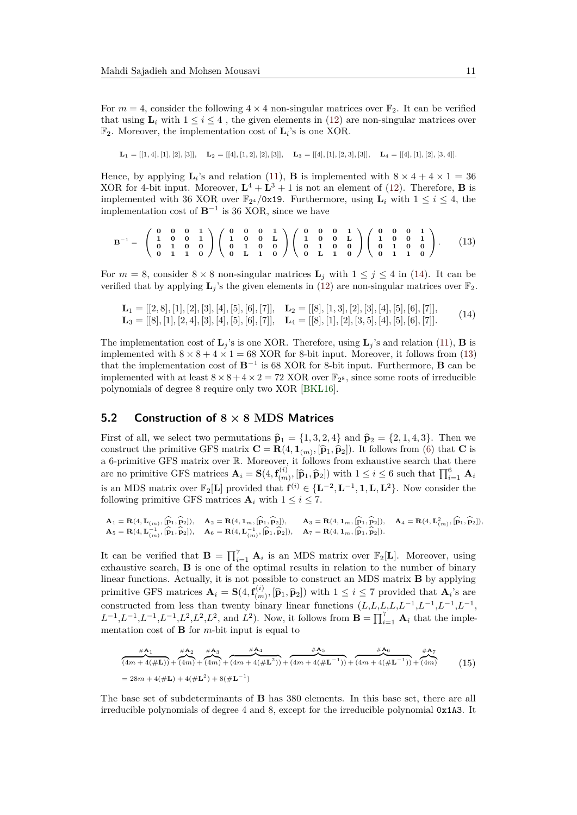For  $m = 4$ , consider the following  $4 \times 4$  non-singular matrices over  $\mathbb{F}_2$ . It can be verified that using  $\mathbf{L}_i$  with  $1 \leq i \leq 4$ , the given elements in [\(12\)](#page-9-3) are non-singular matrices over  $\mathbb{F}_2$ . Moreover, the implementation cost of  $\mathbf{L}_i$ 's is one XOR.

$$
\mathbf{L}_1 = [[1,4],[1],[2],[3]], \quad \mathbf{L}_2 = [[4],[1,2],[2],[3]], \quad \mathbf{L}_3 = [[4],[1],[2,3],[3]], \quad \mathbf{L}_4 = [[4],[1],[2],[3,4]].
$$

Hence, by applying  $\mathbf{L}_i$ 's and relation [\(11\)](#page-9-4), **B** is implemented with  $8 \times 4 + 4 \times 1 = 36$ XOR for 4-bit input. Moreover,  $L^4 + L^3 + 1$  is not an element of [\(12\)](#page-9-3). Therefore, **B** is implemented with 36 XOR over  $\mathbb{F}_{2^4}/0x19$ . Furthermore, using  $\mathbf{L}_i$  with  $1 \leq i \leq 4$ , the implementation cost of **B**−<sup>1</sup> is 36 XOR, since we have

<span id="page-10-1"></span>
$$
\mathbf{B}^{-1} = \begin{pmatrix} 0 & 0 & 0 & 1 \\ 1 & 0 & 0 & 1 \\ 0 & 1 & 0 & 0 \\ 0 & 1 & 1 & 0 \end{pmatrix} \begin{pmatrix} 0 & 0 & 0 & 1 \\ 1 & 0 & 0 & \mathbf{L} \\ 0 & 1 & 0 & 0 \\ 0 & \mathbf{L} & 1 & 0 \end{pmatrix} \begin{pmatrix} 0 & 0 & 0 & 1 \\ 1 & 0 & 0 & \mathbf{L} \\ 0 & 1 & 0 & 0 \\ 0 & \mathbf{L} & 1 & 0 \end{pmatrix} \begin{pmatrix} 0 & 0 & 0 & 1 \\ 1 & 0 & 0 & 1 \\ 0 & 1 & 0 & 0 \\ 0 & 1 & 1 & 0 \end{pmatrix} . \tag{13}
$$

For  $m = 8$ , consider  $8 \times 8$  non-singular matrices  $\mathbf{L}_i$  with  $1 \leq j \leq 4$  in [\(14\)](#page-10-0). It can be verified that by applying  $\mathbf{L}_i$ 's the given elements in [\(12\)](#page-9-3) are non-singular matrices over  $\mathbb{F}_2$ .

<span id="page-10-0"></span>
$$
\mathbf{L}_1 = [[2,8],[1],[2],[3],[4],[5],[6],[7]], \quad \mathbf{L}_2 = [[8],[1,3],[2],[3],[4],[5],[6],[7]],
$$
  

$$
\mathbf{L}_3 = [[8],[1],[2,4],[3],[4],[5],[6],[7]], \quad \mathbf{L}_4 = [[8],[1],[2],[3,5],[4],[5],[6],[7]].
$$

The implementation cost of  $\mathbf{L}_j$ 's is one XOR. Therefore, using  $\mathbf{L}_j$ 's and relation [\(11\)](#page-9-4), **B** is implemented with  $8 \times 8 + 4 \times 1 = 68$  XOR for 8-bit input. Moreover, it follows from [\(13\)](#page-10-1) that the implementation cost of **B**<sup>−</sup><sup>1</sup> is 68 XOR for 8-bit input. Furthermore, **B** can be implemented with at least  $8 \times 8 + 4 \times 2 = 72$  XOR over  $\mathbb{F}_{2^8}$ , since some roots of irreducible polynomials of degree 8 require only two XOR [\[BKL16\]](#page-21-5).

#### **5.2 Construction of 8 × 8 MDS Matrices**

First of all, we select two permutations  $\hat{\mathbf{p}}_1 = \{1, 3, 2, 4\}$  and  $\hat{\mathbf{p}}_2 = \{2, 1, 4, 3\}$ . Then we construct the primitive GFS matrix  $\mathbf{C} = \mathbf{R}(4, \mathbf{1}_{(m)}, [\hat{\mathbf{p}}_1, \hat{\mathbf{p}}_2])$ . It follows from [\(6\)](#page-7-2) that **C** is a 6-primitive GFS matrix over R. Moreover, it follows from exhaustive search that there are no primitive GFS matrices  $\mathbf{A}_i = \mathbf{S}(4, \mathbf{f}_{(m)}^{(i)})$  $(\hat{n})$ ,  $[\hat{\mathbf{p}}_1, \hat{\mathbf{p}}_2]$  with  $1 \leq i \leq 6$  such that  $\prod_{i=1}^{6} \mathbf{A}_i$ is an MDS matrix over  $\mathbb{F}_2[\mathbf{L}]$  provided that  $\mathbf{f}^{(i)} \in \{\mathbf{L}^{-2}, \mathbf{L}^{-1}, \mathbf{1}, \mathbf{L}, \mathbf{L}^2\}$ . Now consider the following primitive GFS matrices  $\mathbf{A}_i$  with  $1 \leq i \leq 7$ .

$$
\mathbf{A}_1 = \mathbf{R}(4, \mathbf{L}_{(m)}, [\widehat{\mathbf{p}}_1, \widehat{\mathbf{p}}_2]), \quad \mathbf{A}_2 = \mathbf{R}(4, \mathbf{1}_m, [\widehat{\mathbf{p}}_1, \widehat{\mathbf{p}}_2]), \quad \mathbf{A}_3 = \mathbf{R}(4, \mathbf{1}_m, [\widehat{\mathbf{p}}_1, \widehat{\mathbf{p}}_2]), \quad \mathbf{A}_4 = \mathbf{R}(4, \mathbf{L}_{(m)}^2, [\widehat{\mathbf{p}}_1, \widehat{\mathbf{p}}_2]),
$$
\n
$$
\mathbf{A}_5 = \mathbf{R}(4, \mathbf{L}_{(m)}^{-1}, [\widehat{\mathbf{p}}_1, \widehat{\mathbf{p}}_2]), \quad \mathbf{A}_6 = \mathbf{R}(4, \mathbf{L}_{(m)}^{-1}, [\widehat{\mathbf{p}}_1, \widehat{\mathbf{p}}_2]), \quad \mathbf{A}_7 = \mathbf{R}(4, \mathbf{1}_m, [\widehat{\mathbf{p}}_1, \widehat{\mathbf{p}}_2]).
$$

It can be verified that  $\mathbf{B} = \prod_{i=1}^{7} \mathbf{A}_i$  is an MDS matrix over  $\mathbb{F}_2[\mathbf{L}]$ . Moreover, using exhaustive search, **B** is one of the optimal results in relation to the number of binary linear functions. Actually, it is not possible to construct an MDS matrix **B** by applying primitive GFS matrices  $\mathbf{A}_i = \mathbf{S}(4, \mathbf{f}_{(m)}^{(i)})$  $(\mathbf{r}_0, \mathbf{r}_1, \mathbf{p}_2)$  with  $1 \leq i \leq 7$  provided that  $\mathbf{A}_i$ 's are constructed from less than twenty binary linear functions  $(L,L,L,L,L^{-1},L^{-1},L^{-1},L^{-1})$  $L^{-1}, L^{-1}, L^{-1}, L^2, L^2, L^2$ , and  $L^2$ ). Now, it follows from  $\mathbf{B} = \prod_{i=1}^7 \mathbf{A}_i$  that the implementation cost of **B** for *m*-bit input is equal to

<span id="page-10-2"></span>
$$
\frac{\#A_1}{(4m+4(\#L))} + \frac{\#A_2}{(4m) + (4m) + (4m) + (4m+4(\#L^2))} + \frac{\#A_5}{(4m+4(\#L^{-1}))} + \frac{\#A_6}{(4m+4(\#L^{-1}))} + \frac{\#A_7}{(4m) + (4m)} \tag{15}
$$
\n
$$
= 28m + 4(\#L) + 4(\#L^2) + 8(\#L^{-1})
$$

The base set of subdeterminants of **B** has 380 elements. In this base set, there are all irreducible polynomials of degree 4 and 8, except for the irreducible polynomial 0x1A3. It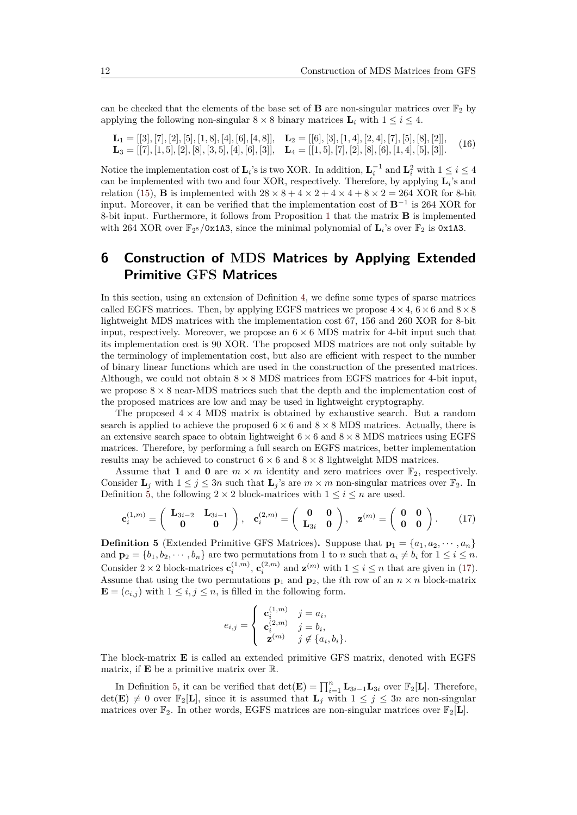can be checked that the elements of the base set of **B** are non-singular matrices over  $\mathbb{F}_2$  by applying the following non-singular  $8 \times 8$  binary matrices  $\mathbf{L}_i$  with  $1 \leq i \leq 4$ .

$$
\mathbf{L}_1 = [[3], [7], [2], [5], [1, 8], [4], [6], [4, 8]], \quad \mathbf{L}_2 = [[6], [3], [1, 4], [2, 4], [7], [5], [8], [2]],
$$
  

$$
\mathbf{L}_3 = [[7], [1, 5], [2], [8], [3], [3], [4], [6], [3]], \quad \mathbf{L}_4 = [[1, 5], [7], [2], [8], [6], [1, 4], [5], [3]].
$$
 (16)

Notice the implementation cost of  $\mathbf{L}_i$ 's is two XOR. In addition,  $\mathbf{L}_i^{-1}$  and  $\mathbf{L}_i^2$  with  $1 \le i \le 4$ can be implemented with two and four XOR, respectively. Therefore, by applying **L***<sup>i</sup>* 's and relation [\(15\)](#page-10-2), **B** is implemented with  $28 \times 8 + 4 \times 2 + 4 \times 4 + 8 \times 2 = 264$  XOR for 8-bit input. Moreover, it can be verified that the implementation cost of **B**−<sup>1</sup> is 264 XOR for 8-bit input. Furthermore, it follows from Proposition [1](#page-8-3) that the matrix **B** is implemented with 264 XOR over  $\mathbb{F}_{2^8}/0x1A3$ , since the minimal polynomial of  $\mathbf{L}_i$ 's over  $\mathbb{F}_2$  is 0x1A3.

## <span id="page-11-0"></span>**6 Construction of MDS Matrices by Applying Extended Primitive GFS Matrices**

In this section, using an extension of Definition [4,](#page-6-0) we define some types of sparse matrices called EGFS matrices. Then, by applying EGFS matrices we propose  $4 \times 4$ ,  $6 \times 6$  and  $8 \times 8$ lightweight MDS matrices with the implementation cost 67, 156 and 260 XOR for 8-bit input, respectively. Moreover, we propose an  $6 \times 6$  MDS matrix for 4-bit input such that its implementation cost is 90 XOR. The proposed MDS matrices are not only suitable by the terminology of implementation cost, but also are efficient with respect to the number of binary linear functions which are used in the construction of the presented matrices. Although, we could not obtain  $8 \times 8$  MDS matrices from EGFS matrices for 4-bit input, we propose  $8 \times 8$  near-MDS matrices such that the depth and the implementation cost of the proposed matrices are low and may be used in lightweight cryptography.

The proposed  $4 \times 4$  MDS matrix is obtained by exhaustive search. But a random search is applied to achieve the proposed  $6 \times 6$  and  $8 \times 8$  MDS matrices. Actually, there is an extensive search space to obtain lightweight  $6 \times 6$  and  $8 \times 8$  MDS matrices using EGFS matrices. Therefore, by performing a full search on EGFS matrices, better implementation results may be achieved to construct  $6 \times 6$  and  $8 \times 8$  lightweight MDS matrices.

Assume that **1** and **0** are  $m \times m$  identity and zero matrices over  $\mathbb{F}_2$ , respectively. Consider  $\mathbf{L}_j$  with  $1 \leq j \leq 3n$  such that  $\mathbf{L}_j$ 's are  $m \times m$  non-singular matrices over  $\mathbb{F}_2$ . In Definition [5,](#page-11-1) the following  $2 \times 2$  block-matrices with  $1 \leq i \leq n$  are used.

<span id="page-11-2"></span>
$$
\mathbf{c}_{i}^{(1,m)} = \begin{pmatrix} \mathbf{L}_{3i-2} & \mathbf{L}_{3i-1} \\ \mathbf{0} & \mathbf{0} \end{pmatrix}, \quad \mathbf{c}_{i}^{(2,m)} = \begin{pmatrix} \mathbf{0} & \mathbf{0} \\ \mathbf{L}_{3i} & \mathbf{0} \end{pmatrix}, \quad \mathbf{z}^{(m)} = \begin{pmatrix} \mathbf{0} & \mathbf{0} \\ \mathbf{0} & \mathbf{0} \end{pmatrix}.
$$
 (17)

<span id="page-11-1"></span>**Definition 5** (Extended Primitive GFS Matrices). Suppose that  $\mathbf{p}_1 = \{a_1, a_2, \dots, a_n\}$ and  $\mathbf{p}_2 = \{b_1, b_2, \dots, b_n\}$  are two permutations from 1 to *n* such that  $a_i \neq b_i$  for  $1 \leq i \leq n$ . Consider  $2 \times 2$  block-matrices  $\mathbf{c}_i^{(1,m)}$ ,  $\mathbf{c}_i^{(2,m)}$  and  $\mathbf{z}^{(m)}$  with  $1 \leq i \leq n$  that are given in [\(17\)](#page-11-2). Assume that using the two permutations  $\mathbf{p}_1$  and  $\mathbf{p}_2$ , the *i*th row of an  $n \times n$  block-matrix  $\mathbf{E} = (e_{i,j})$  with  $1 \leq i, j \leq n$ , is filled in the following form.

$$
e_{i,j} = \begin{cases} \begin{array}{ll} \mathbf{c}_i^{(1,m)} & j = a_i, \\ \mathbf{c}_i^{(2,m)} & j = b_i, \\ \mathbf{z}^{(m)} & j \notin \{a_i, b_i\}. \end{array} \end{cases}
$$

The block-matrix **E** is called an extended primitive GFS matrix, denoted with EGFS matrix, if **E** be a primitive matrix over R.

In Definition [5,](#page-11-1) it can be verified that  $\det(\mathbf{E}) = \prod_{i=1}^{n} \mathbf{L}_{3i-1} \mathbf{L}_{3i}$  over  $\mathbb{F}_2[\mathbf{L}]$ . Therefore,  $\det(\mathbf{E}) \neq 0$  over  $\mathbb{F}_2[\mathbf{L}]$ , since it is assumed that  $\mathbf{L}_j$  with  $1 \leq j \leq 3n$  are non-singular matrices over  $\mathbb{F}_2$ . In other words, EGFS matrices are non-singular matrices over  $\mathbb{F}_2[L]$ .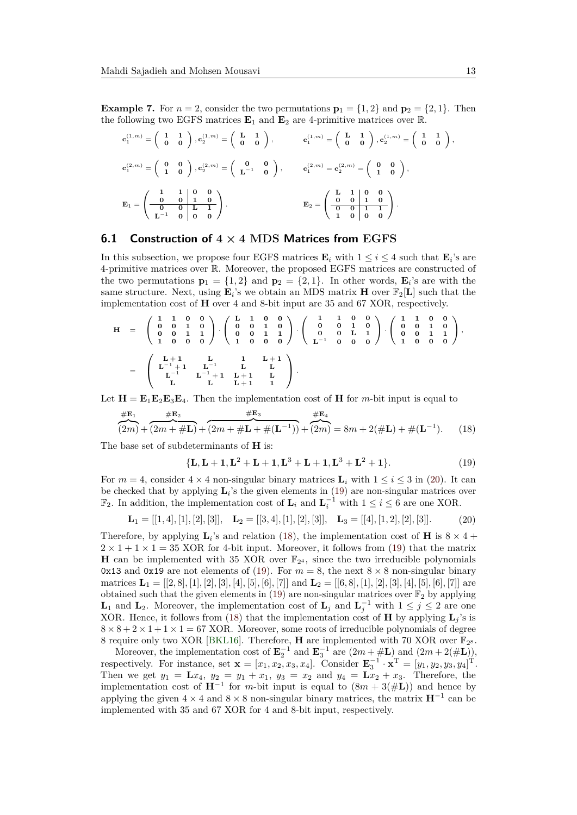**Example 7.** For  $n = 2$ , consider the two permutations  $\mathbf{p}_1 = \{1, 2\}$  and  $\mathbf{p}_2 = \{2, 1\}$ . Then the following two EGFS matrices  $\mathbf{E}_1$  and  $\mathbf{E}_2$  are 4-primitive matrices over  $\mathbb{R}$ .

$$
\begin{aligned} \mathbf{c}_1^{(1,m)}&=\left(\begin{array}{cc} 1 & 1 \\ 0 & 0 \end{array}\right), \mathbf{c}_2^{(1,m)}=\left(\begin{array}{cc} \mathbf{L} & 1 \\ 0 & 0 \end{array}\right), \qquad \qquad \mathbf{c}_1^{(1,m)}=\left(\begin{array}{cc} \mathbf{L} & 1 \\ 0 & 0 \end{array}\right), \mathbf{c}_2^{(1,m)}=\left(\begin{array}{cc} 1 & 1 \\ 0 & 0 \end{array}\right),\\ \mathbf{c}_1^{(2,m)}&=\left(\begin{array}{cc} 0 & 0 \\ 1 & 0 \end{array}\right), \mathbf{c}_2^{(2,m)}=\left(\begin{array}{cc} \mathbf{0} & 0 \\ \mathbf{L}^{-1} & 0 \end{array}\right), \qquad \qquad \mathbf{c}_1^{(2,m)}=\mathbf{c}_2^{(2,m)}=\left(\begin{array}{cc} 0 & 0 \\ 1 & 0 \end{array}\right),\\ \mathbf{E}_1&=\left(\begin{array}{cc|cc} 1 & 1 & 0 & 0 \\ 0 & 0 & 1 & 0 \\ \hline 0 & 0 & \mathbf{L} & 1 \\ \hline \mathbf{L}^{-1} & 0 & 0 & 0 \end{array}\right). \qquad \qquad \mathbf{E}_2=\left(\begin{array}{cc|cc} \mathbf{L} & 1 & 0 & 0 \\ 0 & 0 & 1 & 0 \\ \hline 1 & 0 & 0 & 0 \end{array}\right). \end{aligned}
$$

#### <span id="page-12-0"></span>**6.1 Construction of 4 × 4 MDS Matrices from EGFS**

In this subsection, we propose four EGFS matrices  $\mathbf{E}_i$  with  $1 \leq i \leq 4$  such that  $\mathbf{E}_i$ 's are 4-primitive matrices over R. Moreover, the proposed EGFS matrices are constructed of the two permutations  $\mathbf{p}_1 = \{1, 2\}$  and  $\mathbf{p}_2 = \{2, 1\}$ . In other words,  $\mathbf{E}_i$ 's are with the same structure. Next, using  $\mathbf{E}_i$ 's we obtain an MDS matrix **H** over  $\mathbb{F}_2[\mathbf{L}]$  such that the implementation cost of **H** over 4 and 8-bit input are 35 and 67 XOR, respectively.

$$
H = \begin{pmatrix} 1 & 1 & 0 & 0 \\ 0 & 0 & 1 & 0 \\ 0 & 0 & 1 & 1 \\ 1 & 0 & 0 & 0 \end{pmatrix} \cdot \begin{pmatrix} L & 1 & 0 & 0 \\ 0 & 0 & 1 & 0 \\ 0 & 0 & 1 & 1 \\ 1 & 0 & 0 & 0 \end{pmatrix} \cdot \begin{pmatrix} 1 & 1 & 0 & 0 \\ 0 & 0 & 1 & 0 \\ 0 & 0 & L & 1 \\ L^{-1} & 0 & 0 & 0 \end{pmatrix} \cdot \begin{pmatrix} 1 & 1 & 0 & 0 \\ 0 & 0 & 1 & 0 \\ 0 & 0 & L & 1 \\ L^{-1} & 0 & 0 & 0 \end{pmatrix},
$$
  
= 
$$
\begin{pmatrix} L+1 & L & 1 & L+1 \\ L^{-1}+1 & L^{-1} & L & L \\ L^{-1} & L^{-1}+1 & L+1 & L \\ L & L & L+1 & 1 \end{pmatrix}.
$$

Let  $\mathbf{H} = \mathbf{E}_1 \mathbf{E}_2 \mathbf{E}_3 \mathbf{E}_4$ . Then the implementation cost of **H** for *m*-bit input is equal to

<span id="page-12-3"></span>
$$
\frac{\#E_1}{(2m) + (2m + \#L) + (2m + \#L + \#(L^{-1}))} + \frac{\#E_3}{(2m) + (2m)} = 8m + 2(\#L) + \#(L^{-1}).\tag{18}
$$

The base set of subdeterminants of **H** is:

<span id="page-12-2"></span>
$$
{L, L + 1, L2 + L + 1, L3 + L + 1, L3 + L2 + 1}.
$$
 (19)

For  $m = 4$ , consider  $4 \times 4$  non-singular binary matrices  $\mathbf{L}_i$  with  $1 \leq i \leq 3$  in [\(20\)](#page-12-1). It can be checked that by applying  $\mathbf{L}_i$ 's the given elements in [\(19\)](#page-12-2) are non-singular matrices over  $\mathbb{F}_2$ . In addition, the implementation cost of **L**<sub>*i*</sub> and **L**<sub>*i*</sub><sup>−1</sup> with 1 ≤ *i* ≤ 6 are one XOR.

<span id="page-12-1"></span>
$$
\mathbf{L}_1 = [[1, 4], [1], [2], [3]], \quad \mathbf{L}_2 = [[3, 4], [1], [2], [3]], \quad \mathbf{L}_3 = [[4], [1, 2], [2], [3]]. \tag{20}
$$

Therefore, by applying  $\mathbf{L}_i$ 's and relation [\(18\)](#page-12-3), the implementation cost of **H** is  $8 \times 4 +$  $2 \times 1 + 1 \times 1 = 35$  XOR for 4-bit input. Moreover, it follows from [\(19\)](#page-12-2) that the matrix **H** can be implemented with 35 XOR over  $\mathbb{F}_{2^4}$ , since the two irreducible polynomials 0x13 and 0x19 are not elements of [\(19\)](#page-12-2). For  $m = 8$ , the next  $8 \times 8$  non-singular binary matrices  $\mathbf{L}_1 = [[2,8],[1],[2],[3],[4],[5],[6],[7]]$  and  $\mathbf{L}_2 = [[6,8],[1],[2],[3],[4],[5],[6],[7]]$  are obtained such that the given elements in [\(19\)](#page-12-2) are non-singular matrices over  $\mathbb{F}_2$  by applying **L**<sub>1</sub> and **L**<sub>2</sub>. Moreover, the implementation cost of **L**<sub>*j*</sub> and **L**<sub>*j*</sub><sup>−1</sup> with 1 ≤ *j* ≤ 2 are one XOR. Hence, it follows from [\(18\)](#page-12-3) that the implementation cost of **H** by applying  $\mathbf{L}_i$ 's is  $8 \times 8 + 2 \times 1 + 1 \times 1 = 67$  XOR. Moreover, some roots of irreducible polynomials of degree 8 require only two XOR [\[BKL16\]](#page-21-5). Therefore, **H** are implemented with 70 XOR over  $\mathbb{F}_{2^8}$ .

Moreover, the implementation cost of  $\mathbf{E}_2^{-1}$  and  $\mathbf{E}_3^{-1}$  are  $(2m + \text{\#L})$  and  $(2m + 2(\text{\#L}))$ , respectively. For instance, set  $\mathbf{x} = [x_1, x_2, x_3, x_4]$ . Consider  $\mathbf{E}_3^{-1} \cdot \mathbf{x}^{\mathrm{T}} = [y_1, y_2, y_3, y_4]^{\mathrm{T}}$ . Then we get  $y_1 = \mathbf{L}x_4$ ,  $y_2 = y_1 + x_1$ ,  $y_3 = x_2$  and  $y_4 = \mathbf{L}x_2 + x_3$ . Therefore, the implementation cost of  $H^{-1}$  for *m*-bit input is equal to  $(8m + 3(\#L))$  and hence by applying the given  $4 \times 4$  and  $8 \times 8$  non-singular binary matrices, the matrix  $\mathbf{H}^{-1}$  can be implemented with 35 and 67 XOR for 4 and 8-bit input, respectively.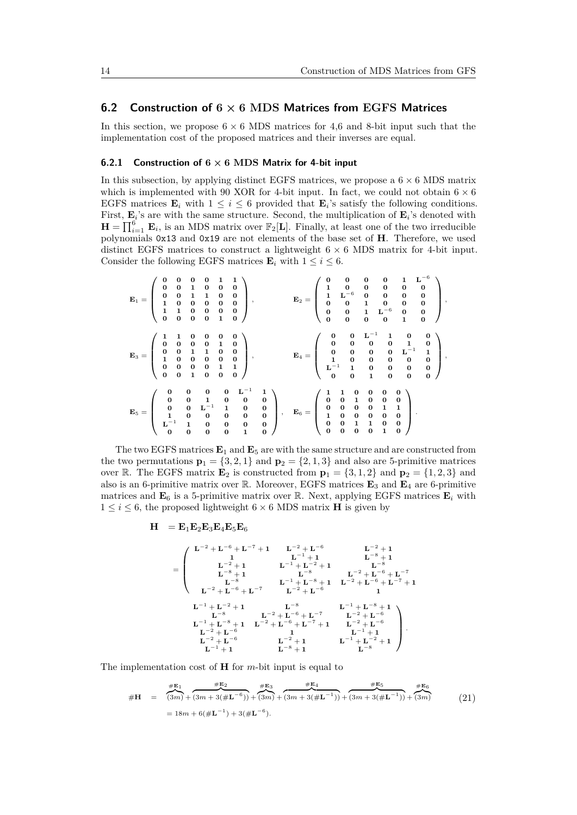#### <span id="page-13-0"></span>**6.2 Construction of 6 × 6 MDS Matrices from EGFS Matrices**

In this section, we propose  $6 \times 6$  MDS matrices for 4,6 and 8-bit input such that the implementation cost of the proposed matrices and their inverses are equal.

#### **6.2.1 Construction of 6 × 6 MDS Matrix for 4-bit input**

In this subsection, by applying distinct EGFS matrices, we propose a  $6 \times 6$  MDS matrix which is implemented with 90 XOR for 4-bit input. In fact, we could not obtain  $6 \times 6$ EGFS matrices  $\mathbf{E}_i$  with  $1 \leq i \leq 6$  provided that  $\mathbf{E}_i$ 's satisfy the following conditions. First,  $\mathbf{E}_i$ 's are with the same structure. Second, the multiplication of  $\mathbf{E}_i$ 's denoted with  $\mathbf{H} = \prod_{i=1}^{6} \mathbf{E}_i$ , is an MDS matrix over  $\mathbb{F}_2[\mathbf{L}]$ . Finally, at least one of the two irreducible polynomials 0x13 and 0x19 are not elements of the base set of **H**. Therefore, we used distinct EGFS matrices to construct a lightweight  $6 \times 6$  MDS matrix for 4-bit input. Consider the following EGFS matrices  $\mathbf{E}_i$  with  $1 \leq i \leq 6$ .

$$
E_1=\left(\begin{array}{cccccc} 0 & 0 & 0 & 0 & 1 & 1 \\ 0 & 0 & 1 & 0 & 0 & 0 \\ 0 & 0 & 1 & 1 & 0 & 0 \\ 1 & 0 & 0 & 0 & 0 & 0 \\ 1 & 1 & 0 & 0 & 0 & 0 \\ 0 & 0 & 0 & 1 & 0 & 0 \\ 0 & 0 & 0 & 1 & 0 & 0 \\ 0 & 0 & 0 & 1 & 0 & 0 \\ 1 & 0 & 0 & 0 & 0 & 0 \\ 0 & 0 & 1 & 1 & 0 & 0 \\ 0 & 0 & 0 & 0 & 1 & 1 \\ 0 & 0 & 0 & 0 & 0 & 1 \\ 0 & 0 & 1 & 0 & 0 & 0 \\ 0 & 0 & 1 & 0 & 0 & 0 \\ 0 & 0 & 1 & 0 & 0 & 0 \\ 0 & 0 & 0 & 1 & 0 & 0 \\ 0 & 0 & 0 & 1 & 0 & 0 \\ 0 & 0 & 0 & 0 & 0 & 1 \\ 0 & 0 & 0 & 0 & 0 & 0 \\ 0 & 0 & 0 & 0 & 0 & 0 \\ 0 & 0 & 0 & 0 & 0 & 0 \\ 0 & 0 & 0 & 0 & 0 & 0 \\ 0 & 0 & 0 & 0 & 0 & 0 \\ 0 & 0 & 0 & 0 & 0 & 0 \\ 0 & 0 & 0 & 0 & 0 & 0 \\ 0 & 0 & 0 & 0 & 0 & 0 \\ 0 & 0 & 0 & 0 & 0 & 0 \\ 0 & 0 & 0 & 0 & 0 & 1 \\ 0 & 0 & 0 & 0 & 0 & 0 \\ 0 & 0 & 0 & 0 & 1 & 0 \\ \end{array}\right),\quad E_6=\left(\begin{array}{cccccc} 0 & 0 & 0 & 1 & L^{-6} \\ 0 & 0 & 0 & 0 & 0 & 0 \\ 0 & 0 & 0 & 0 & 1 & 0 \\ 1 & 0 & 0 & 0 & 0 & 0 \\ 0 & 0 & 1 & 0 & 0 & 0 \\ 0 & 0 & 0 & 0 & 0 & 1 \\ 0 & 0 & 0 & 0 & 0 & 1 \\ 0 & 0 & 0 & 0 & 1 & 0 \\ \end{array}\right),
$$

The two EGFS matrices  $\mathbf{E}_1$  and  $\mathbf{E}_5$  are with the same structure and are constructed from the two permutations  $\mathbf{p}_1 = \{3, 2, 1\}$  and  $\mathbf{p}_2 = \{2, 1, 3\}$  and also are 5-primitive matrices over R. The EGFS matrix  $\mathbf{E}_2$  is constructed from  $\mathbf{p}_1 = \{3, 1, 2\}$  and  $\mathbf{p}_2 = \{1, 2, 3\}$  and also is an 6-primitive matrix over R. Moreover, EGFS matrices **E**<sup>3</sup> and **E**<sup>4</sup> are 6-primitive matrices and  $\mathbf{E}_6$  is a 5-primitive matrix over R. Next, applying EGFS matrices  $\mathbf{E}_i$  with  $1 \leq i \leq 6,$  the proposed lightweight  $6 \times 6$  MDS matrix  $\mathbf H$  is given by

$$
\mathbf{H} = \mathbf{E}_1 \mathbf{E}_2 \mathbf{E}_3 \mathbf{E}_4 \mathbf{E}_5 \mathbf{E}_6
$$

$$
=\left(\begin{array}{ccccccccc} L^{-2}+L^{-6}+L^{-7}+1 & L^{-2}+L^{-6} & L^{-2}+1 \\ 1 & L^{-1}+1 & L^{-8}+1 & L^{-8}+1 \\ L^{-8}+1 & L^{-8} & L^{-2}+L^{-6}+L^{-7} \\ L^{-8} & L^{-1}+L^{-8}+1 & L^{-2}+L^{-6}+L^{-7} \\ L^{-2}+L^{-6}+L^{-7} & L^{-2}+L^{-6} & 1 \end{array}\right. \quad \ \ L^{-1}+L^{-2}+1
$$

The implementation cost of **H** for *m*-bit input is equal to

<span id="page-13-1"></span>
$$
\#H = \frac{\#E_1}{(3m) + (3m + 3(\#L^{-6}))} + \frac{\#E_3}{(3m) + (3m) + (3m + 3(\#L^{-1}))} + \frac{\#E_5}{(3m + 3(\#L^{-1}))} + \frac{\#E_6}{(3m) + (3m)} \qquad (21)
$$
  
= 18m + 6(\#L^{-1}) + 3(\#L^{-6}).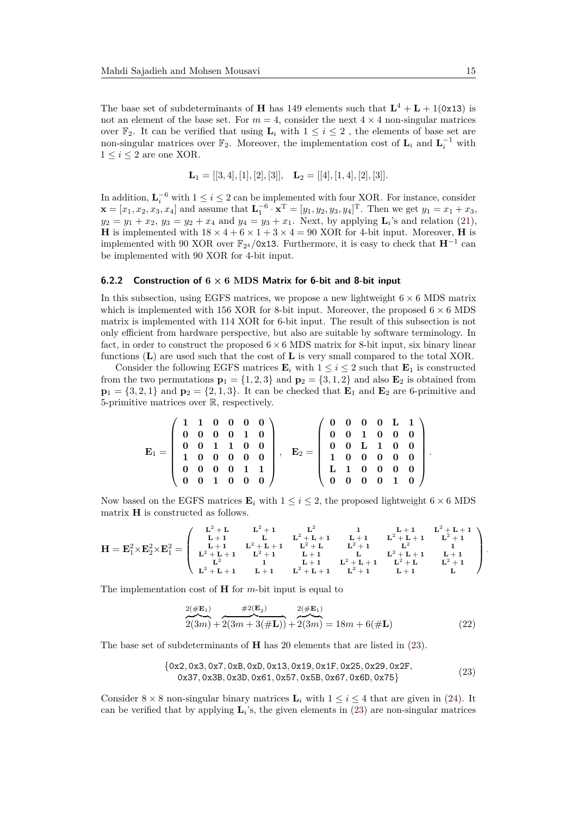The base set of subdeterminants of **H** has 149 elements such that  $L^4 + L + 1(0x13)$  is not an element of the base set. For  $m = 4$ , consider the next  $4 \times 4$  non-singular matrices over  $\mathbb{F}_2$ . It can be verified that using  $\mathbf{L}_i$  with  $1 \leq i \leq 2$ , the elements of base set are non-singular matrices over  $\mathbb{F}_2$ . Moreover, the implementation cost of  $\mathbf{L}_i$  and  $\mathbf{L}_i^{-1}$  with  $1 \leq i \leq 2$  are one XOR.

$$
\mathbf{L}_1 = [[3, 4], [1], [2], [3]], \quad \mathbf{L}_2 = [[4], [1, 4], [2], [3]].
$$

In addition,  $\mathbf{L}_i^{-6}$  with  $1 \leq i \leq 2$  can be implemented with four XOR. For instance, consider  $\mathbf{x} = [x_1, x_2, x_3, x_4]$  and assume that  $\mathbf{L}_1^{-6} \cdot \mathbf{x}^T = [y_1, y_2, y_3, y_4]^T$ . Then we get  $y_1 = x_1 + x_3$ ,  $y_2 = y_1 + x_2, y_3 = y_2 + x_4$  and  $y_4 = y_3 + x_1$ . Next, by applying  $\mathbf{L}_i$ 's and relation [\(21\)](#page-13-1), **H** is implemented with  $18 \times 4 + 6 \times 1 + 3 \times 4 = 90$  XOR for 4-bit input. Moreover, **H** is implemented with 90 XOR over  $\mathbb{F}_{2^4}/0x13$ . Furthermore, it is easy to check that  $\mathbf{H}^{-1}$  can be implemented with 90 XOR for 4-bit input.

#### **6.2.2 Construction of 6 × 6 MDS Matrix for 6-bit and 8-bit input**

In this subsection, using EGFS matrices, we propose a new lightweight  $6 \times 6$  MDS matrix which is implemented with 156 XOR for 8-bit input. Moreover, the proposed  $6 \times 6$  MDS matrix is implemented with 114 XOR for 6-bit input. The result of this subsection is not only efficient from hardware perspective, but also are suitable by software terminology. In fact, in order to construct the proposed  $6 \times 6$  MDS matrix for 8-bit input, six binary linear functions (**L**) are used such that the cost of **L** is very small compared to the total XOR.

Consider the following EGFS matrices  $\mathbf{E}_i$  with  $1 \leq i \leq 2$  such that  $\mathbf{E}_1$  is constructed from the two permutations  $\mathbf{p}_1 = \{1, 2, 3\}$  and  $\mathbf{p}_2 = \{3, 1, 2\}$  and also  $\mathbf{E}_2$  is obtained from  $\mathbf{p}_1 = \{3, 2, 1\}$  and  $\mathbf{p}_2 = \{2, 1, 3\}$ . It can be checked that  $\mathbf{E}_1$  and  $\mathbf{E}_2$  are 6-primitive and 5-primitive matrices over R, respectively.

**E**<sup>1</sup> = **1 1 0 0 0 0 0 0 0 0 1 0 0 0 1 1 0 0 1 0 0 0 0 0 0 0 0 0 1 1 0 0 1 0 0 0** *,* **E**<sup>2</sup> = **0 0 0 0 L 1 0 0 1 0 0 0 0 0 L 1 0 0 1 0 0 0 0 0 L 1 0 0 0 0 0 0 0 0 1 0** *.*

Now based on the EGFS matrices  $\mathbf{E}_i$  with  $1 \leq i \leq 2$ , the proposed lightweight  $6 \times 6$  MDS matrix **H** is constructed as follows.

$$
H=E_1^2\times E_2^2\times E_1^2=\left(\begin{array}{cccccc}L^2+L & L^2+1 & L^2 & 1 & L+1 & L^2+L+1 \\ L+1 & L & L^2+L+1 & L+1 & L^2+L+1 & L^2+1 \\ L+1 & L^2+L+1 & L^2+L & L^2+1 & L^2 & 1 \\ L^2+L+1 & L^2+1 & L+1 & L & L^2+L+1 & L+1 \\ L^2 & 1 & L+1 & L^2+L+1 & L^2+L & L^2+1 \\ L^2+L+1 & L+1 & L^2+L+1 & L^2+1 & L+1 & L \end{array}\right).
$$

The implementation cost of **H** for *m*-bit input is equal to

<span id="page-14-1"></span>
$$
\frac{2(\#E_1)}{2(3m) + 2(3m + 3(\#L))} + \frac{2(E_2)}{2(3m)} = 18m + 6(\#L)
$$
\n(22)

The base set of subdeterminants of **H** has 20 elements that are listed in [\(23\)](#page-14-0).

<span id="page-14-0"></span>
$$
\{0x2, 0x3, 0x7, 0xB, 0xD, 0x13, 0x19, 0x1F, 0x25, 0x29, 0x2F, 0x37, 0x3B, 0x3D, 0x61, 0x57, 0x5B, 0x67, 0x6D, 0x75\}
$$
\n(23)

Consider  $8 \times 8$  non-singular binary matrices  $\mathbf{L}_i$  with  $1 \leq i \leq 4$  that are given in [\(24\)](#page-15-1). It can be verified that by applying  $\mathbf{L}_i$ 's, the given elements in [\(23\)](#page-14-0) are non-singular matrices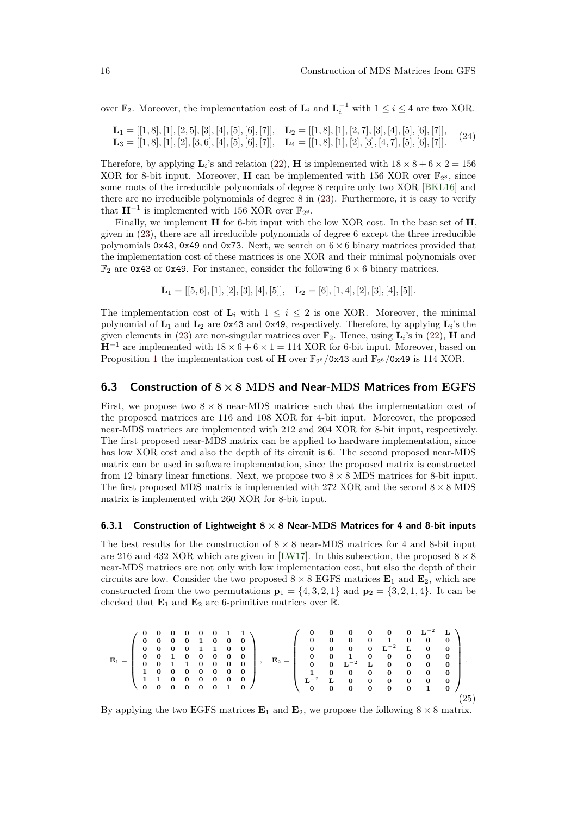over  $\mathbb{F}_2$ . Moreover, the implementation cost of  $\mathbf{L}_i$  and  $\mathbf{L}_i^{-1}$  with  $1 \leq i \leq 4$  are two XOR.

<span id="page-15-1"></span>
$$
\mathbf{L}_1 = [[1,8],[1],[2,5],[3],[4],[5],[6],[7]], \quad \mathbf{L}_2 = [[1,8],[1],[2,7],[3],[4],[5],[6],[7]],
$$
  

$$
\mathbf{L}_3 = [[1,8],[1],[2],[3,6],[4],[5],[6],[7]], \quad \mathbf{L}_4 = [[1,8],[1],[2],[3],[4,7],[5],[6],[7]].
$$

Therefore, by applying  $\mathbf{L}_i$ 's and relation [\(22\)](#page-14-1), **H** is implemented with  $18 \times 8 + 6 \times 2 = 156$ XOR for 8-bit input. Moreover, **H** can be implemented with 156 XOR over  $\mathbb{F}_{2^8}$ , since some roots of the irreducible polynomials of degree 8 require only two XOR [\[BKL16\]](#page-21-5) and there are no irreducible polynomials of degree 8 in [\(23\)](#page-14-0). Furthermore, it is easy to verify that  $\mathbf{H}^{-1}$  is implemented with 156 XOR over  $\mathbb{F}_{2^8}$ .

Finally, we implement **H** for 6-bit input with the low XOR cost. In the base set of **H**, given in [\(23\)](#page-14-0), there are all irreducible polynomials of degree 6 except the three irreducible polynomials  $0x43$ ,  $0x49$  and  $0x73$ . Next, we search on  $6 \times 6$  binary matrices provided that the implementation cost of these matrices is one XOR and their minimal polynomials over  $\mathbb{F}_2$  are 0x43 or 0x49. For instance, consider the following  $6 \times 6$  binary matrices.

$$
\mathbf{L}_1 = [[5,6],[1],[2],[3],[4],[5]], \quad \mathbf{L}_2 = [6],[1,4],[2],[3],[4],[5]].
$$

The implementation cost of  $\mathbf{L}_i$  with  $1 \leq i \leq 2$  is one XOR. Moreover, the minimal polynomial of **L**<sup>1</sup> and **L**<sup>2</sup> are 0x43 and 0x49, respectively. Therefore, by applying **L***<sup>i</sup>* 's the given elements in [\(23\)](#page-14-0) are non-singular matrices over  $\mathbb{F}_2$ . Hence, using  $\mathbf{L}_i$ 's in [\(22\)](#page-14-1), **H** and  **are implemented with**  $18 \times 6 + 6 \times 1 = 114$  **XOR for 6-bit input. Moreover, based on** Proposition [1](#page-8-3) the implementation cost of **H** over  $\mathbb{F}_{2^6}/0x43$  and  $\mathbb{F}_{2^6}/0x49$  is 114 XOR.

#### **6.3 Construction of 8×8 MDS and Near-MDS Matrices from EGFS**

First, we propose two  $8 \times 8$  near-MDS matrices such that the implementation cost of the proposed matrices are 116 and 108 XOR for 4-bit input. Moreover, the proposed near-MDS matrices are implemented with 212 and 204 XOR for 8-bit input, respectively. The first proposed near-MDS matrix can be applied to hardware implementation, since has low XOR cost and also the depth of its circuit is 6. The second proposed near-MDS matrix can be used in software implementation, since the proposed matrix is constructed from 12 binary linear functions. Next, we propose two  $8 \times 8$  MDS matrices for 8-bit input. The first proposed MDS matrix is implemented with 272 XOR and the second  $8 \times 8$  MDS matrix is implemented with 260 XOR for 8-bit input.

#### <span id="page-15-0"></span>**6.3.1 Construction of Lightweight 8 × 8 Near-MDS Matrices for 4 and 8-bit inputs**

The best results for the construction of  $8 \times 8$  near-MDS matrices for 4 and 8-bit input are 216 and 432 XOR which are given in [\[LW17\]](#page-22-12). In this subsection, the proposed  $8 \times 8$ near-MDS matrices are not only with low implementation cost, but also the depth of their circuits are low. Consider the two proposed  $8 \times 8$  EGFS matrices  $\mathbf{E}_1$  and  $\mathbf{E}_2$ , which are constructed from the two permutations  $\mathbf{p}_1 = \{4, 3, 2, 1\}$  and  $\mathbf{p}_2 = \{3, 2, 1, 4\}$ . It can be checked that  $\mathbf{E}_1$  and  $\mathbf{E}_2$  are 6-primitive matrices over  $\mathbb{R}$ .

<span id="page-15-2"></span>
$$
\mathbf{E}_1=\left(\begin{array}{cccccc} 0 & 0 & 0 & 0 & 0 & 0 & 1 & 1 \\ 0 & 0 & 0 & 0 & 1 & 0 & 0 & 0 \\ 0 & 0 & 0 & 0 & 1 & 1 & 0 & 0 \\ 0 & 0 & 1 & 0 & 0 & 0 & 0 & 0 \\ 0 & 0 & 1 & 0 & 0 & 0 & 0 & 0 \\ 1 & 0 & 0 & 0 & 0 & 0 & 0 & 0 \\ 1 & 1 & 0 & 0 & 0 & 0 & 0 & 0 \\ 0 & 0 & 0 & 0 & 0 & 1 & 0 \end{array}\right),\quad \mathbf{E}_2=\left(\begin{array}{cccccc} 0 & 0 & 0 & 0 & 0 & 0 & 0 & \mathbf{L}^{-2} & \mathbf{L} \\ 0 & 0 & 0 & 0 & 0 & 1 & 0 & 0 & 0 \\ 0 & 0 & 0 & 0 & 0 & 1 & 0 & 0 & 0 \\ 0 & 0 & 1 & 0 & 0 & 0 & 0 & 0 & 0 \\ 1 & 0 & 0 & 0 & 0 & 0 & 0 & 0 & 0 \\ 0 & 0 & 0 & 0 & 0 & 0 & 0 & 0 & 0 \\ 0 & 0 & 0 & 0 & 0 & 0 & 0 & 1 & 0 \end{array}\right).
$$
 (25)

By applying the two EGFS matrices  $\mathbf{E}_1$  and  $\mathbf{E}_2$ , we propose the following  $8 \times 8$  matrix.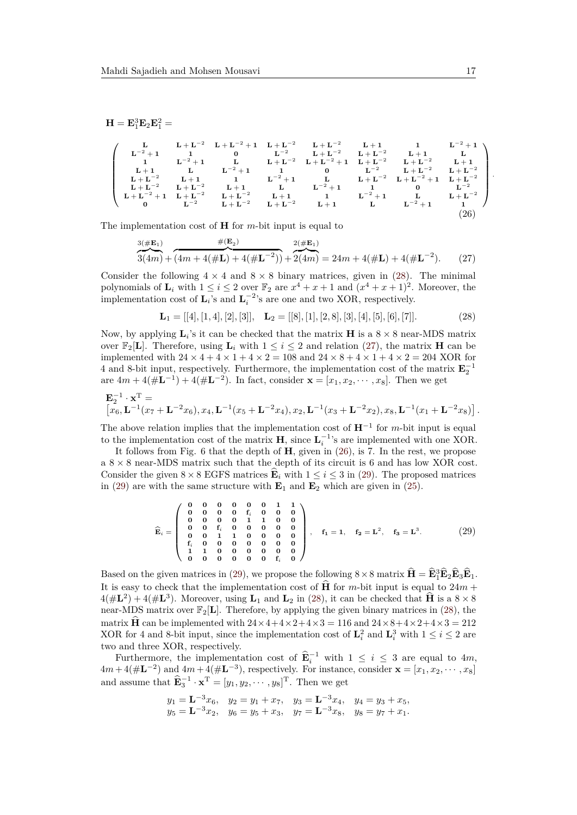$$
\mathbf{H} = \mathbf{E}_1^3 \mathbf{E}_2 \mathbf{E}_1^2 =
$$

<span id="page-16-2"></span>
$$
\left(\begin{array}{cccccccc} L & L + L^{-2} & L + L^{-2} + 1 & L + L^{-2} & L + L^{-2} & L + 1 & 1 & L^{-2} + 1 \\ L^{-2} + 1 & 1 & 0 & L^{-2} & L + L^{-2} & L + L^{-2} & L + 1 & L \\ 1 & L^{-2} + 1 & L & L + L^{-2} & L + L^{-2} + 1 & L + L^{-2} & L + L^{-2} & L + 1 \\ L + 1 & L & L^{-2} + 1 & 1 & 0 & L^{-2} & L + L^{-2} & L + L^{-2} \\ L + L^{-2} & L + 1 & 1 & L^{-2} + 1 & L & L + L^{-2} & L + L^{-2} & L + L^{-2} \\ L + L^{-2} & L + L^{-2} & L + 1 & L & L^{-2} + 1 & L & L^{-2} + 1 & L^{-2} + 1 \\ L + L^{-2} + 1 & L + L^{-2} & L + L^{-2} & L + 1 & 1 & L^{-2} + 1 & L & L^{-2} \\ 0 & L^{-2} & L + L^{-2} & L + L^{-2} & L + 1 & L & L^{-2} + 1 & L & L^{-2} + 1 & 1 \\ 0 & L^{-2} & L + L^{-2} & L + L^{-2} & L + 1 & L & L^{-2} + 1 & 1 & 1 \\ \end{array}\right) \tag{26}
$$

The implementation cost of **H** for *m*-bit input is equal to

<span id="page-16-1"></span>
$$
\frac{3(\#\mathbf{E}_1)}{3(4m) + (4m + 4(\#\mathbf{L}) + 4(\#\mathbf{L}^{-2}))} + \frac{2(\#\mathbf{E}_1)}{2(4m)} = 24m + 4(\#\mathbf{L}) + 4(\#\mathbf{L}^{-2}).\tag{27}
$$

Consider the following  $4 \times 4$  and  $8 \times 8$  binary matrices, given in [\(28\)](#page-16-0). The minimal polynomials of  $\mathbf{L}_i$  with  $1 \leq i \leq 2$  over  $\mathbb{F}_2$  are  $x^4 + x + 1$  and  $(x^4 + x + 1)^2$ . Moreover, the implementation cost of  $\mathbf{L}_i$ 's and  $\mathbf{L}_i^{-2}$ 's are one and two XOR, respectively.

<span id="page-16-0"></span> $\mathbf{L}_1 = [[4], [1,4], [2], [3]], \quad \mathbf{L}_2 = [[8], [1], [2,8], [3], [4], [5], [6], [7]].$  (28)

Now, by applying  $\mathbf{L}_i$ 's it can be checked that the matrix **H** is a  $8 \times 8$  near-MDS matrix over  $\mathbb{F}_2[\mathbf{L}]$ . Therefore, using  $\mathbf{L}_i$  with  $1 \leq i \leq 2$  and relation [\(27\)](#page-16-1), the matrix **H** can be implemented with  $24 \times 4 + 4 \times 1 + 4 \times 2 = 108$  and  $24 \times 8 + 4 \times 1 + 4 \times 2 = 204$  XOR for 4 and 8-bit input, respectively. Furthermore, the implementation cost of the matrix  $\mathbf{E}_2^{-1}$  are  $4m + 4(\# \mathbf{L}^{-1}) + 4(\# \mathbf{L}^{-2})$ . In fact, consider  $\mathbf{x} = [x_1, x_2, \dots, x_8]$ . Then we get

$$
\mathbf{E}_2^{-1} \cdot \mathbf{x}^{\mathrm{T}} = \left[ x_6, \mathbf{L}^{-1} (x_7 + \mathbf{L}^{-2} x_6), x_4, \mathbf{L}^{-1} (x_5 + \mathbf{L}^{-2} x_4), x_2, \mathbf{L}^{-1} (x_3 + \mathbf{L}^{-2} x_2), x_8, \mathbf{L}^{-1} (x_1 + \mathbf{L}^{-2} x_8) \right].
$$

The above relation implies that the implementation cost of  $\mathbf{H}^{-1}$  for *m*-bit input is equal to the implementation cost of the matrix **H**, since  $\mathbf{L}_i^{-1}$ 's are implemented with one XOR.

It follows from Fig. 6 that the depth of **H**, given in [\(26\)](#page-16-2), is 7. In the rest, we propose a  $8 \times 8$  near-MDS matrix such that the depth of its circuit is 6 and has low XOR cost. Consider the given  $8 \times 8$  EGFS matrices  $\mathbf{E}_i$  with  $1 \leq i \leq 3$  in [\(29\)](#page-16-3). The proposed matrices in [\(29\)](#page-16-3) are with the same structure with  $\mathbf{E}_1$  and  $\mathbf{E}_2$  which are given in [\(25\)](#page-15-2).

<span id="page-16-3"></span>
$$
\widehat{\mathbf{E}}_i = \left( \begin{array}{cccccc} 0 & 0 & 0 & 0 & 0 & 0 & 1 & 1 \\ 0 & 0 & 0 & 0 & 0 & f_i & 0 & 0 & 0 \\ 0 & 0 & 0 & 0 & 1 & 1 & 0 & 0 \\ 0 & 0 & f_i & 0 & 0 & 0 & 0 & 0 \\ f_i & 0 & 0 & 1 & 0 & 0 & 0 & 0 \\ f_i & 0 & 0 & 0 & 0 & 0 & 0 & 0 \\ 1 & 1 & 0 & 0 & 0 & 0 & 0 & f_i & 0 \end{array} \right), \quad f_1 = 1, \quad f_2 = \mathbf{L}^2, \quad f_3 = \mathbf{L}^3.
$$
 (29)

Based on the given matrices in [\(29\)](#page-16-3), we propose the following  $8 \times 8$  matrix  $\hat{\mathbf{H}} = \hat{\mathbf{E}}_1^3 \hat{\mathbf{E}}_2 \hat{\mathbf{E}}_3 \hat{\mathbf{E}}_1$ . It is easy to check that the implementation cost of  $\widehat{H}$  for *m*-bit input is equal to 24*m* +  $4(\#L^2) + 4(\#L^3)$ . Moreover, using  $L_1$  and  $L_2$  in [\(28\)](#page-16-0), it can be checked that  $\hat{H}$  is a  $8 \times 8$ near-MDS matrix over  $\mathbb{F}_2[L]$ . Therefore, by applying the given binary matrices in [\(28\)](#page-16-0), the matrix **H** can be implemented with  $24 \times 4 + 4 \times 2 + 4 \times 3 = 116$  and  $24 \times 8 + 4 \times 2 + 4 \times 3 = 212$ XOR for 4 and 8-bit input, since the implementation cost of  $\mathbf{L}_i^2$  and  $\mathbf{L}_i^3$  with  $1 \le i \le 2$  are two and three XOR, respectively.

Furthermore, the implementation cost of  $\widehat{\mathbf{E}}_i^{-1}$  with  $1 \leq i \leq 3$  are equal to  $4m$ ,  $4m + 4(\#L^{-2})$  and  $4m + 4(\#L^{-3})$ , respectively. For instance, consider  $\mathbf{x} = [x_1, x_2, \cdots, x_8]$ and assume that  $\widehat{\mathbf{E}}_3^{-1} \cdot \mathbf{x}^{\mathrm{T}} = [y_1, y_2, \cdots, y_8]^{\mathrm{T}}$ . Then we get

$$
y_1 = \mathbf{L}^{-3}x_6
$$
,  $y_2 = y_1 + x_7$ ,  $y_3 = \mathbf{L}^{-3}x_4$ ,  $y_4 = y_3 + x_5$ ,  
\n $y_5 = \mathbf{L}^{-3}x_2$ ,  $y_6 = y_5 + x_3$ ,  $y_7 = \mathbf{L}^{-3}x_8$ ,  $y_8 = y_7 + x_1$ .

*.*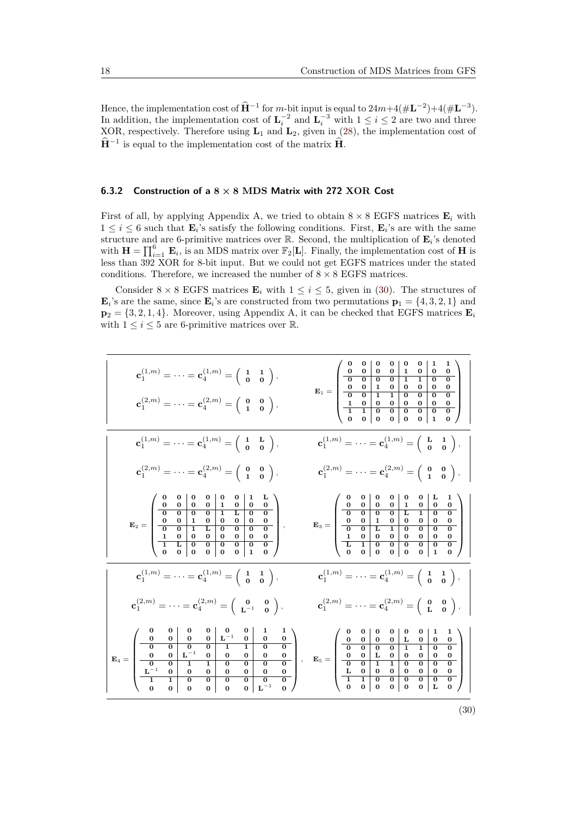Hence, the implementation cost of  $\hat{H}^{-1}$  for *m*-bit input is equal to  $24m+4(\#L^{-2})+4(\#L^{-3})$ . In addition, the implementation cost of  $\mathbf{L}_i^{-2}$  and  $\mathbf{L}_i^{-3}$  with  $1 \leq i \leq 2$  are two and three XOR, respectively. Therefore using **L**<sup>1</sup> and **L**2, given in [\(28\)](#page-16-0), the implementation cost of  $\hat{\mathbf{H}}^{-1}$  is equal to the implementation cost of the matrix  $\hat{\mathbf{H}}$ .

#### <span id="page-17-0"></span>**6.3.2 Construction of a 8 × 8 MDS Matrix with 272 XOR Cost**

First of all, by applying Appendix A, we tried to obtain  $8 \times 8$  EGFS matrices  $\mathbf{E}_i$  with  $1 \leq i \leq 6$  such that  $\mathbf{E}_i$ 's satisfy the following conditions. First,  $\mathbf{E}_i$ 's are with the same structure and are 6-primitive matrices over  $\mathbb{R}$ . Second, the multiplication of  $\mathbf{E}_i$ 's denoted with  $\mathbf{H} = \prod_{i=1}^{6} \mathbf{E}_i$ , is an MDS matrix over  $\mathbb{F}_2[\mathbf{L}]$ . Finally, the implementation cost of **H** is less than 392 XOR for 8-bit input. But we could not get EGFS matrices under the stated conditions. Therefore, we increased the number of  $8 \times 8$  EGFS matrices.

Consider  $8 \times 8$  EGFS matrices  $\mathbf{E}_i$  with  $1 \leq i \leq 5$ , given in [\(30\)](#page-17-1). The structures of  $\mathbf{E}_i$ 's are the same, since  $\mathbf{E}_i$ 's are constructed from two permutations  $\mathbf{p}_1 = \{4, 3, 2, 1\}$  and  $\mathbf{p}_2 = \{3, 2, 1, 4\}$ . Moreover, using Appendix A, it can be checked that EGFS matrices  $\mathbf{E}_i$ with  $1 \leq i \leq 5$  are 6-primitive matrices over R.

<span id="page-17-1"></span>

| $\mathbf{c}_1^{(1,m)} = \cdots = \mathbf{c}_4^{(1,m)} = \begin{pmatrix} 1 & 1 \\ 0 & 0 \end{pmatrix}$ ,<br>$\mathbf{c}_1^{(2,m)} = \cdots = \mathbf{c}_4^{(2,m)} = \begin{pmatrix} 0 & 0 \\ 1 & 0 \end{pmatrix},$                                                                                                                                                                                                                     | $\mathbf{E}_1=\left(\begin{array}{cc cc cc} 0 & 0 & 0 & 0 & 0 & 0 & 1 & 1 \\ 0 & 0 & 0 & 0 & 1 & 0 & 0 & 0 \\ \hline 0 & 0 & 0 & 0 & 1 & 1 & 0 & 0 \\ 0 & 0 & 1 & 0 & 0 & 0 & 0 & 0 \\ \hline 1 & 0 & 0 & 1 & 0 & 0 & 0 & 0 & 0 \\ \hline 1 & 1 & 0 & 0 & 0 & 0 & 0 & 0 & 0 \\ \hline 1 & 1 & 0 & 0 & 0 & 0 & 0 & 0 & 0 \\ 0 & 0 & 0 & 0$                     |
|---------------------------------------------------------------------------------------------------------------------------------------------------------------------------------------------------------------------------------------------------------------------------------------------------------------------------------------------------------------------------------------------------------------------------------------|---------------------------------------------------------------------------------------------------------------------------------------------------------------------------------------------------------------------------------------------------------------------------------------------------------------------------------------------------------------|
| $\mathbf{c}_1^{(1,m)} = \cdots = \mathbf{c}_4^{(1,m)} = \begin{pmatrix} 1 & \mathbf{L} \\ \mathbf{0} & \mathbf{0} \end{pmatrix}$                                                                                                                                                                                                                                                                                                      | $\mathbf{c}_1^{(1,m)}=\cdots=\mathbf{c}_4^{(1,m)}=\left(\begin{array}{cc}\mathbf{L}&\mathbf{1}\\ \mathbf{0}&\mathbf{0}\end{array}\right),$                                                                                                                                                                                                                    |
| $\mathbf{c}_1^{(2,m)} = \cdots = \mathbf{c}_4^{(2,m)} = \begin{pmatrix} 0 & 0 \\ 1 & 0 \end{pmatrix},$                                                                                                                                                                                                                                                                                                                                | $\mathbf{c}_1^{(2,m)}=\cdots=\mathbf{c}_4^{(2,m)}=\left(\begin{array}{cc} \mathbf{0} & \mathbf{0}\\ \mathbf{1} & \mathbf{0} \end{array}\right),$                                                                                                                                                                                                              |
| $\mathbf{E}_2 = \left( \begin{array}{cccccccc} \textbf{0} & \textbf{0} & \textbf{0} & \textbf{0} & \textbf{1} & \textbf{0} & \textbf{0} & \textbf{1} \ \textbf{0} & \textbf{0} & \textbf{0} & \textbf{0} & \textbf{1} & \textbf{0} & \textbf{0} \ \textbf{0} & \textbf{0} & \textbf{0} & \textbf{0} & \textbf{1} & \textbf{1} & \textbf{0} & \textbf{0} \ \textbf{0} & \textbf{0} & \textbf{0} & \textbf{1} & \textbf{1} & \textbf{0$ | $\mathbf{E}_3=\left(\begin{array}{cc cc cc} 0 & 0 & 0 & 0 & 0 & 0 & \mathbf{L} & \mathbf{1} \\ 0 & 0 & 0 & 0 & 1 & 0 & 0 & 0 \\ \hline 0 & 0 & 0 & 0 & \mathbf{L} & \mathbf{1} & 0 & 0 \\ 0 & 0 & 1 & 0 & 0 & 0 & 0 & 0 \\ \hline 1 & 0 & 0 & 0 & 0 & 0 & 0 & 0 \\ \hline \mathbf{L} & 1 & 0 & 0 & 0 & 0 & 0 & 0 \\ 0 & 0 & 0 & 0 & 0 & 0 & 1 & 0 \end{array$ |
| $\mathbf{c}_1^{(1,m)}=\cdots=\mathbf{c}_4^{(1,m)}=\left(\begin{array}{cc} 1 & 1\\ \mathbf{0} & \mathbf{0} \end{array}\right),$                                                                                                                                                                                                                                                                                                        | $\mathbf{c}_1^{(1,m)}=\cdots=\mathbf{c}_4^{(1,m)}=\left(\begin{array}{cc} 1 & 1\\ 0 & 0 \end{array}\right),$                                                                                                                                                                                                                                                  |
| $\mathbf{c}_1^{(2,m)}=\cdots=\mathbf{c}_4^{(2,m)}=\left(\begin{array}{cc} \mathbf{0} & \mathbf{0}\\ \mathbf{L}^{-1} & \mathbf{0} \end{array}\right),$                                                                                                                                                                                                                                                                                 | $\mathbf{c}_1^{(2,m)}=\cdot\cdot\cdot=\mathbf{c}_4^{(2,m)}=\left(\begin{array}{cc} \mathbf{0} & \mathbf{0}\\ \mathbf{L} & \mathbf{0} \end{array}\right),$                                                                                                                                                                                                     |
| $\mathbf{E}_4=\left(\begin{array}{cc cc cc cc} 0 & 0 & 0 & 0 & 0 & 0 & 1 & 1\\ 0 & 0 & 0 & 0 & \mathbf{L}^{-1} & 0 & 0 & 0\\ \hline 0 & 0 & 0 & 0 & 1 & 1 & 0 & 0\\ \hline 0 & 0 & \mathbf{L}^{-1} & 0 & 0 & 0 & 0 & 0\\ \hline \mathbf{L}^{-1} & 0 & 0 & 0 & 0 & 0 & 0 & 0\\ \hline \mathbf{L}^{-1} & 0 & 0 & 0 & 0 & 0 & 0 & 0\\ \hline 0 & 0 & 0 & 0$                                                                              |                                                                                                                                                                                                                                                                                                                                                               |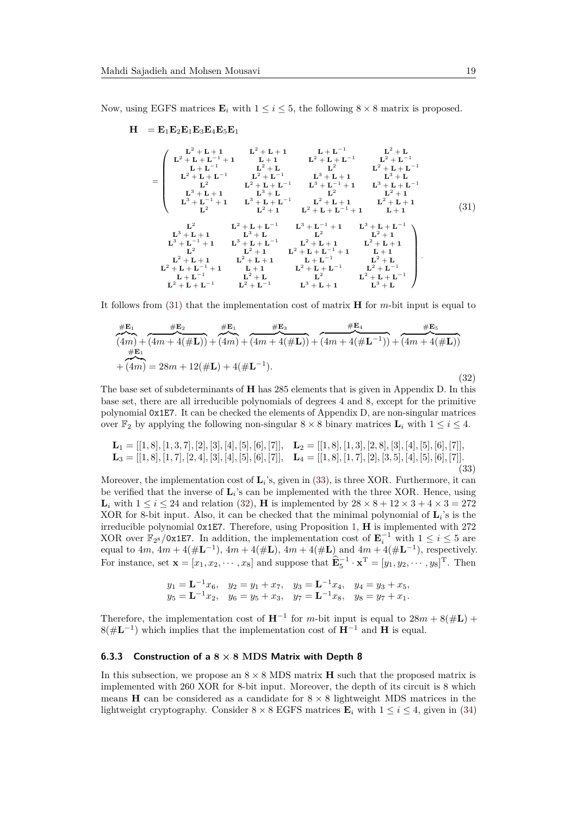Now, using EGFS matrices  $\mathbf{E}_i$  with  $1 \leq i \leq 5$ , the following  $8 \times 8$  matrix is proposed.

<span id="page-18-1"></span>
$$
H = E_{1}E_{2}E_{1}E_{3}E_{4}E_{5}E_{1}
$$
\n
$$
= \begin{pmatrix}\nL^{2} + L + 1 & L^{2} + L + 1 & L + L^{-1} & L^{2} + L \\
L^{2} + L + L^{-1} & L + 1 & L^{2} + L + L^{-1} & L^{2} + L^{-1} \\
L + L^{-1} & L^{2} + L & L^{2} & L^{2} + L + L^{-1} \\
L^{2} + L + L^{-1} & L^{2} + L^{-1} & L^{3} + L + 1 & L^{3} + L \\
L^{2} & L^{2} + L + L^{-1} & L^{3} + L^{-1} + 1 & L^{3} + L + L^{-1} \\
L^{3} + L + 1 & L^{3} + L & L^{2} & L^{2} + 1 \\
L^{3} + L^{-1} + 1 & L^{3} + L + L^{-1} & L^{2} + L + 1 & L^{2} + L + 1 \\
L^{2} & L^{2} + 1 & L^{2} + L + L^{-1} + 1 & L^{2} + L + 1\n\end{pmatrix}
$$
\n(31)\n
$$
= \begin{pmatrix}\nL^{2} & L^{2} + L + L^{-1} & L^{3} + L^{-1} + 1 & L^{2} + L + 1 \\
L^{3} + L^{-1} + 1 & L^{3} + L + L^{-1} & L^{2} + L + L^{-1} \\
L^{2} & L^{2} + L + L^{-1} & L^{3} + L - L^{-1} & L^{2} + L + L^{-1} \\
L^{3} + L^{-1} + 1 & L^{3} + L + L^{-1} & L^{2} + L + L^{-1} \\
L^{2} & L^{2} + 1 & L^{2} + L + L^{-1} + 1 & L + 1 \\
L^{2} + L + 1 & L + L^{-1} & L^{2} + L + L^{-1} & L^{2} + L \\
L^{2} + L + L^{-1} & L^{2} + L & L^{2} & L^{2} + L^{-1} \\
L^{2} + L + L^{-1} & L^{2} + L & L^{2} & L^{2} + L + L^{-1} \\
L^{2} + L + L^{-1} & L^{2} + L & L^{2} & L^{2} + L + L^{-1}\n\end{pmatrix}.
$$

It follows from [\(31\)](#page-18-1) that the implementation cost of matrix **H** for *m*-bit input is equal to

<span id="page-18-3"></span>
$$
\frac{\#E_1}{(4m) + (4m + 4(\#L))} + \frac{\#E_2}{(4m) + (4m + 4(\#L))} + \frac{\#E_3}{(4m + 4(\#L))} + \frac{\#E_4}{(4m + 4(\#L^{-1}))} + \frac{\#E_5}{(4m + 4(\#L))}
$$
\n
$$
+ (4m) = 28m + 12(\#L) + 4(\#L^{-1}).
$$
\n(32)

The base set of subdeterminants of **H** has 285 elements that is given in Appendix D. In this base set, there are all irreducible polynomials of degrees 4 and 8, except for the primitive polynomial 0x1E7. It can be checked the elements of Appendix D, are non-singular matrices over  $\mathbb{F}_2$  by applying the following non-singular  $8 \times 8$  binary matrices  $\mathbf{L}_i$  with  $1 \leq i \leq 4$ .

<span id="page-18-2"></span>
$$
\mathbf{L}_1 = [[1,8],[1,3,7],[2],[3],[4],[5],[6],[7]], \quad \mathbf{L}_2 = [[1,8],[1,3],[2,8],[3],[4],[5],[6],[7]],
$$
  
\n
$$
\mathbf{L}_3 = [[1,8],[1,7],[2,4],[3],[4],[5],[6],[7]], \quad \mathbf{L}_4 = [[1,8],[1,7],[2],[3,5],[4],[5],[6],[7]].
$$
\n(33)

Moreover, the implementation cost of  $\mathbf{L}_i$ 's, given in [\(33\)](#page-18-2), is three XOR. Furthermore, it can be verified that the inverse of **L***<sup>i</sup>* 's can be implemented with the three XOR. Hence, using **L**<sub>*i*</sub> with  $1 \le i \le 24$  and relation [\(32\)](#page-18-3), **H** is implemented by  $28 \times 8 + 12 \times 3 + 4 \times 3 = 272$ XOR for 8-bit input. Also, it can be checked that the minimal polynomial of  $\mathbf{L}_i$ 's is the irreducible polynomial 0x1E7. Therefore, using Proposition [1,](#page-8-3) **H** is implemented with 272 XOR over  $\mathbb{F}_{2^8}/0x1E7$ . In addition, the implementation cost of  $\mathbf{E}_i^{-1}$  with  $1 \le i \le 5$  are equal to  $4m$ ,  $4m + 4(\#L^{-1})$ ,  $4m + 4(\#L)$ ,  $4m + 4(\#L)$  and  $4m + 4(\#L^{-1})$ , respectively. For instance, set  $\mathbf{x} = [x_1, x_2, \cdots, x_8]$  and suppose that  $\widehat{\mathbf{E}}_5^{-1} \cdot \mathbf{x}^T = [y_1, y_2, \cdots, y_8]^T$ . Then

$$
y_1 = \mathbf{L}^{-1}x_6
$$
,  $y_2 = y_1 + x_7$ ,  $y_3 = \mathbf{L}^{-1}x_4$ ,  $y_4 = y_3 + x_5$ ,  
\n $y_5 = \mathbf{L}^{-1}x_2$ ,  $y_6 = y_5 + x_3$ ,  $y_7 = \mathbf{L}^{-1}x_8$ ,  $y_8 = y_7 + x_1$ .

Therefore, the implementation cost of  $H^{-1}$  for *m*-bit input is equal to  $28m + 8(\#L)$  + 8(#**L** −1 ) which implies that the implementation cost of **H**<sup>−</sup><sup>1</sup> and **H** is equal.

#### <span id="page-18-0"></span>**6.3.3 Construction of a 8 × 8 MDS Matrix with Depth 8**

In this subsection, we propose an  $8 \times 8$  MDS matrix **H** such that the proposed matrix is implemented with 260 XOR for 8-bit input. Moreover, the depth of its circuit is 8 which means **H** can be considered as a candidate for  $8 \times 8$  lightweight MDS matrices in the lightweight cryptography. Consider  $8 \times 8$  EGFS matrices  $\mathbf{E}_i$  with  $1 \leq i \leq 4$ , given in [\(34\)](#page-19-0)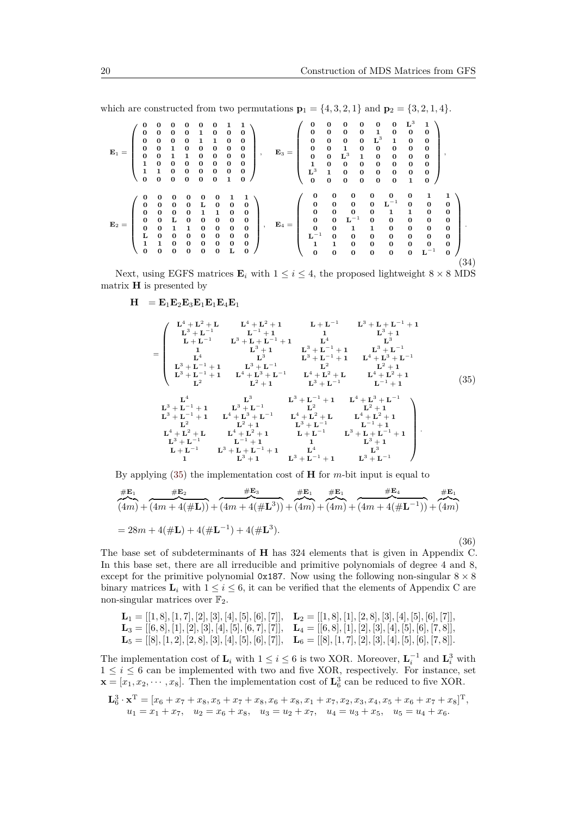which are constructed from two permutations  $\mathbf{p}_1 = \{4, 3, 2, 1\}$  and  $\mathbf{p}_2 = \{3, 2, 1, 4\}.$ 

<span id="page-19-0"></span>
$$
E_1=\left(\begin{array}{cccccc} 0 & 0 & 0 & 0 & 0 & 0 & 1 & 1 \\ 0 & 0 & 0 & 0 & 1 & 0 & 0 & 0 \\ 0 & 0 & 0 & 0 & 1 & 1 & 0 & 0 & 0 \\ 0 & 0 & 1 & 0 & 0 & 0 & 0 & 0 \\ 0 & 0 & 1 & 1 & 0 & 0 & 0 & 0 \\ 1 & 0 & 0 & 0 & 0 & 0 & 0 & 0 \\ 1 & 1 & 0 & 0 & 0 & 0 & 0 & 0 \\ 0 & 0 & 0 & 0 & 0 & 0 & 1 & 0 \\ 0 & 0 & 0 & 0 & 0 & 0 & 1 & 0 \\ 0 & 0 & 0 & 0 & 0 & 0 & 1 & 0 \\ 0 & 0 & 0 & 0 & 0 & 0 & 1 & 0 \\ 0 & 0 & 0 & 0 & 0 & 0 & 0 & 0 \\ 0 & 0 & 0 & 0 & 0 & 1 & 1 & 0 & 0 \\ 0 & 0 & 0 & 0 & 0 & 0 & 0 & 0 \\ 0 & 0 & 0 & 0 & 0 & 0 & 0 & 0 \\ 0 & 0 & 0 & 0 & 0 & 0 & 0 & 0 \\ 0 & 0 & 0 & 0 & 0 & 0 & 0 & 0 \\ 1 & 1 & 0 & 0 & 0 & 0 & 0 & 0 \\ 0 & 0 & 0 & 0 & 0 & 0 & 0 & 0 \\ 1 & 1 & 0 & 0 & 0 & 0 & 0 & 0 \\ 0 & 0 & 0 & 0 & 0 & 0 & 0 & 0 \\ 0 & 0 & 0 & 0 & 0 & 0 & 0 & 0 \\ 0 & 0 & 0 & 0 & 0 & 0 & 0 & 0 \\ 0 & 0 & 0 & 0 & 0 & 0 & 0 & 0 \\ 0 & 0 & 0 & 0 & 0 & 0 & 0 & 0 \\ 0 & 0 & 0 & 0 & 0 & 0 & 0 & 0 \\ 0 & 0 & 0 & 0 & 0 & 0 & 0 & 0 \\ 0 & 0 & 0 & 0 & 0 & 0 & 0 & 0 \\ 0 & 0 & 0 & 0 & 0 & 0 & 0 & 0 \\ 0 & 0 & 0 & 0 & 0 & 0 & 0 & 0 \\ 0 & 0 & 0 & 0 & 0 & 0 & 0
$$

Next, using EGFS matrices  $\mathbf{E}_i$  with  $1 \leq i \leq 4$ , the proposed lightweight  $8 \times 8$  MDS matrix **H** is presented by

$$
\mathbf{H} = \mathbf{E}_1 \mathbf{E}_2 \mathbf{E}_3 \mathbf{E}_1 \mathbf{E}_1 \mathbf{E}_4 \mathbf{E}_1
$$

<span id="page-19-1"></span>
$$
= \begin{pmatrix} L^4 + L^2 + L & L^4 + L^2 + 1 & L + L^{-1} & L^3 + L + L^{-1} + 1 \\ L^3 + L^{-1} & L^{-1} + 1 & 1 & L^3 + 1 \\ L + L^{-1} & L^3 + L + L^{-1} + 1 & L^4 & L^3 \\ L^4 & L^3 & L^3 + L^{-1} + 1 & L^4 + L^3 + L^{-1} \\ L^3 + L^{-1} + 1 & L^3 + L^{-1} & L^2 & L^2 + 1 \\ L^3 + L^{-1} + 1 & L^4 + L^3 + L^{-1} & L^4 + L^2 + L & L^4 + L^2 + 1 \\ L^2 & L^2 + 1 & L^3 + L^{-1} & L^4 + L^2 + L & L^4 + L^2 + 1 \\ L^2 & L^2 & L^2 + 1 & L^3 + L^{-1} & L^4 + L^3 + L^{-1} \\ L^3 + L^{-1} + 1 & L^3 + L^{-1} & L^3 + L^{-1} + 1 & L^4 + L^3 + L^{-1} \\ L^3 + L^{-1} + 1 & L^3 + L^{-1} & L^2 & L^2 + 1 \\ L^3 + L^{-1} + 1 & L^4 + L^3 + L^{-1} & L^4 + L^2 + L & L^4 + L^2 + 1 \\ L^2 & L^2 + 1 & L^3 + L^{-1} & L^{-1} + 1 \\ L^4 + L^2 + L & L^4 + L^2 + 1 & L^3 + L^{-1} & L^{-1} + 1 \\ L^4 + L^2 + L & L^4 + L^2 + 1 & L^3 + L^{-1} & L^3 + L + L^{-1} + 1 \\ L^3 + L^{-1} & L^{-1} + 1 & L^4 & L^3 \\ L^4 + L^{-1} & L^{-1} + 1 & L^4 & L^3 \\ L^4 + L^{-1} & L^{-1} + 1 & L^4 & L^3 \\ L^4 + L^{-1} & L^3 + L + L^{-1} + 1 & L^3 + L^{-1} + 1 \end{pmatrix}.
$$

By applying [\(35\)](#page-19-1) the implementation cost of **H** for *m*-bit input is equal to

<span id="page-19-2"></span>
$$
\frac{\#E_1}{(4m) + (4m + 4(\#L))} + \frac{\#E_2}{(4m + 4(\#L))} + \frac{\#E_3}{(4m) + (4m)} + \frac{\#E_1}{(4m) + (4m) + (4m + 4(\#L^{-1}))} + \frac{\#E_4}{(4m)} = 28m + 4(\#L) + 4(\#L^{-1}) + 4(\#L^3).
$$
\n(36)

The base set of subdeterminants of **H** has 324 elements that is given in Appendix C. In this base set, there are all irreducible and primitive polynomials of degree 4 and 8, except for the primitive polynomial 0x187. Now using the following non-singular  $8 \times 8$ binary matrices  $\mathbf{L}_i$  with  $1 \leq i \leq 6$ , it can be verified that the elements of Appendix C are non-singular matrices over  $\mathbb{F}_2$ .

| $\mathbf{L}_1 = [[1,8],[1,7],[2],[3],[4],[5],[6],[7]],$ $\mathbf{L}_2 = [[1,8],[1],[2,8],[3],[4],[5],[6],[7]],$                       |  |
|---------------------------------------------------------------------------------------------------------------------------------------|--|
| $\mathbf{L}_3 = [[6, 8], [1], [2], [3], [4], [5], [6, 7], [7]], \quad \mathbf{L}_4 = [[6, 8], [1], [2], [3], [4], [5], [6], [7, 8]],$ |  |
| $\mathbf{L}_5 = [[8], [1,2], [2,8], [3], [4], [5], [6], [7]], \quad \mathbf{L}_6 = [[8], [1,7], [2], [3], [4], [5], [6], [7,8]].$     |  |

The implementation cost of  $\mathbf{L}_i$  with  $1 \leq i \leq 6$  is two XOR. Moreover,  $\mathbf{L}_i^{-1}$  and  $\mathbf{L}_i^3$  with  $1 \leq i \leq 6$  can be implemented with two and five XOR, respectively. For instance, set  $\mathbf{x} = [x_1, x_2, \dots, x_8]$ . Then the implementation cost of  $\mathbf{L}_6^3$  can be reduced to five XOR.

$$
\mathbf{L}_6^3 \cdot \mathbf{x}^T = [x_6 + x_7 + x_8, x_5 + x_7 + x_8, x_6 + x_8, x_1 + x_7, x_2, x_3, x_4, x_5 + x_6 + x_7 + x_8]^T,
$$
  
\n
$$
u_1 = x_1 + x_7, \quad u_2 = x_6 + x_8, \quad u_3 = u_2 + x_7, \quad u_4 = u_3 + x_5, \quad u_5 = u_4 + x_6.
$$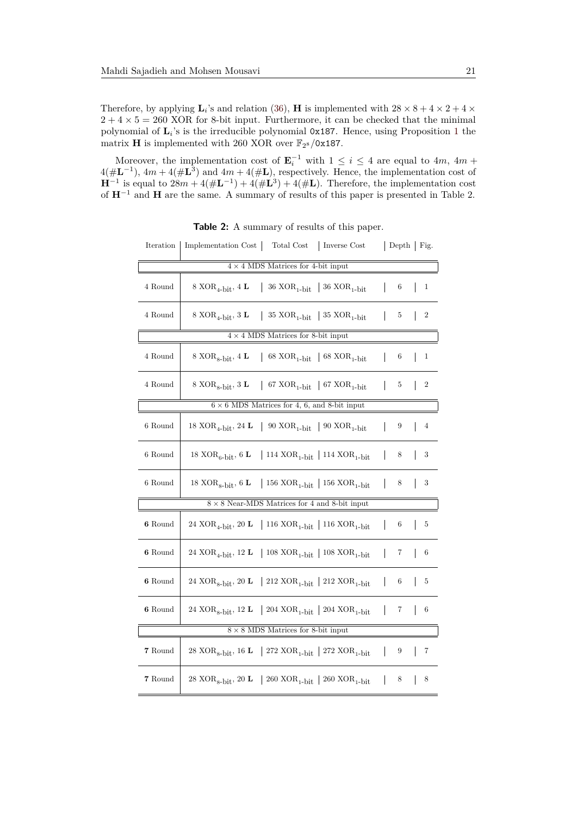Therefore, by applying  $\mathbf{L}_i$ 's and relation [\(36\)](#page-19-2), **H** is implemented with  $28 \times 8 + 4 \times 2 + 4 \times$  $2 + 4 \times 5 = 260$  XOR for 8-bit input. Furthermore, it can be checked that the minimal polynomial of **L***<sup>i</sup>* 's is the irreducible polynomial 0x187. Hence, using Proposition [1](#page-8-3) the matrix **H** is implemented with 260 XOR over  $\mathbb{F}_{2^8}/0x187$ .

Moreover, the implementation cost of  $\mathbf{E}_i^{-1}$  with  $1 \leq i \leq 4$  are equal to  $4m$ ,  $4m +$  $4(\#L^{-1})$ ,  $4m + 4(\#L^3)$  and  $4m + 4(\#L)$ , respectively. Hence, the implementation cost of  $\mathbf{H}^{-1}$  is equal to  $28m + 4(\# \mathbf{L}^{-1}) + 4(\# \mathbf{L}^{3}) + 4(\# \mathbf{L})$ . Therefore, the implementation cost of **H**−<sup>1</sup> and **H** are the same. A summary of results of this paper is presented in Table 2.

| Iteration              | Implementation Cost   Total Cost   Inverse Cost                                                               |              |   | Depth   Fig.     |  |
|------------------------|---------------------------------------------------------------------------------------------------------------|--------------|---|------------------|--|
|                        | $4 \times 4$ MDS Matrices for 4-bit input                                                                     |              |   |                  |  |
| 4 Round                | 8 XOR <sub>4</sub> -bit, 4 L   36 XOR <sub>1</sub> -bit   36 XOR <sub>1</sub> -bit                            | $\mathbf{I}$ | 6 | $\mathbf{1}$     |  |
| 4 Round                | 8 XOR <sub>4</sub> -bit, 3 L   35 XOR <sub>1</sub> -bit   35 XOR <sub>1</sub> -bit                            | $\mathbf{I}$ | 5 | $\boldsymbol{2}$ |  |
|                        | $4 \times 4$ MDS Matrices for 8-bit input                                                                     |              |   |                  |  |
| $4\ \mathrm{Round}$    | 68 $XOR_{1-bit}$   68 $XOR_{1-bit}$<br>8 XOR <sub>8-bit</sub> , 4 L                                           | $\mathsf{I}$ | 6 | $\mathbf{1}$     |  |
| 4 Round                | 8 XOR <sub>8</sub> -bit, 3 L   67 XOR <sub>1</sub> -bit   67 XOR <sub>1</sub> -bit                            |              | 5 | $\boldsymbol{2}$ |  |
|                        | $6 \times 6$ MDS Matrices for 4, 6, and 8-bit input                                                           |              |   |                  |  |
| 6 Round                | 18 XOR <sub>4</sub> -bit, 24 <b>L</b>   90 XOR <sub>1</sub> -bit   90 XOR <sub>1</sub> -bit                   |              | 9 | $\overline{4}$   |  |
| 6 Round                | 18 $XOR_{6-}\$ bit, 6 <b>L</b>   114 $XOR_{1-}\$   114 $XOR_{1-}\$                                            |              | 8 | 3                |  |
| $6$ Round              | 18 XOR <sub>8</sub> -bit, 6 L   156 XOR <sub>1</sub> -bit   156 XOR <sub>1-bit</sub>                          |              | 8 | 3                |  |
|                        | $8 \times 8$ Near-MDS Matrices for 4 and 8-bit input                                                          |              |   |                  |  |
| 6 Round                | 24 XOR <sub>4</sub> -bit, 20 L   116 XOR <sub>1</sub> -bit   116 XOR <sub>1-bit</sub>                         |              | 6 | 5                |  |
| $\boldsymbol{6}$ Round | 24 $\text{XOR}_{\text{4-bit}},$ 12 L $\;$   108 $\text{XOR}_{\text{1-bit}}$   108 $\text{XOR}_{\text{1-bit}}$ |              | 7 | 6                |  |
| 6 Round                | 24 XOR <sub>8</sub> -bit, 20 <b>L</b>   212 XOR <sub>1</sub> -bit   212 XOR <sub>1</sub> -bit                 |              | 6 | 5                |  |
| 6 Round                | 24 XOR <sub>8</sub> -bit, 12 L   204 XOR <sub>1</sub> -bit   204 XOR <sub>1</sub> -bit                        |              | 7 | 6                |  |
|                        | $8 \times 8$ MDS Matrices for 8-bit input                                                                     |              |   |                  |  |
| ${\bf 7}$ Round        |                                                                                                               |              | 9 | 7                |  |
| 7 Round                | 28 XOR <sub>8</sub> -bit, 20 <b>L</b>   260 XOR <sub>1</sub> -bit   260 XOR <sub>1</sub> -bit                 |              | 8 | 8                |  |

**Table 2:** A summary of results of this paper.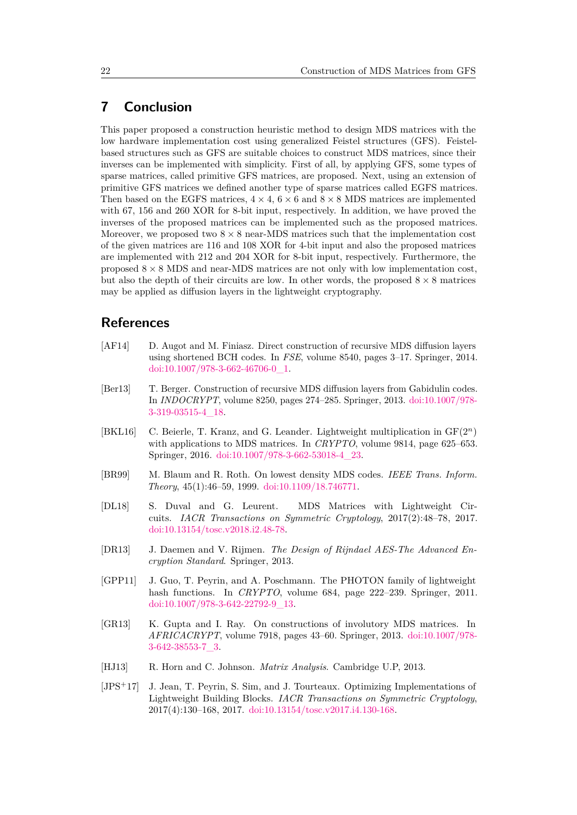### **7 Conclusion**

This paper proposed a construction heuristic method to design MDS matrices with the low hardware implementation cost using generalized Feistel structures (GFS). Feistelbased structures such as GFS are suitable choices to construct MDS matrices, since their inverses can be implemented with simplicity. First of all, by applying GFS, some types of sparse matrices, called primitive GFS matrices, are proposed. Next, using an extension of primitive GFS matrices we defined another type of sparse matrices called EGFS matrices. Then based on the EGFS matrices,  $4 \times 4$ ,  $6 \times 6$  and  $8 \times 8$  MDS matrices are implemented with 67, 156 and 260 XOR for 8-bit input, respectively. In addition, we have proved the inverses of the proposed matrices can be implemented such as the proposed matrices. Moreover, we proposed two  $8 \times 8$  near-MDS matrices such that the implementation cost of the given matrices are 116 and 108 XOR for 4-bit input and also the proposed matrices are implemented with 212 and 204 XOR for 8-bit input, respectively. Furthermore, the proposed  $8 \times 8$  MDS and near-MDS matrices are not only with low implementation cost, but also the depth of their circuits are low. In other words, the proposed  $8 \times 8$  matrices may be applied as diffusion layers in the lightweight cryptography.

### **References**

- <span id="page-21-3"></span>[AF14] D. Augot and M. Finiasz. Direct construction of recursive MDS diffusion layers using shortened BCH codes. In *FSE*, volume 8540, pages 3–17. Springer, 2014. [doi:10.1007/978-3-662-46706-0\\_1.](http://dx.doi.org/10.1007/978-3-662-46706-0_1)
- <span id="page-21-2"></span>[Ber13] T. Berger. Construction of recursive MDS diffusion layers from Gabidulin codes. In *INDOCRYPT*, volume 8250, pages 274–285. Springer, 2013. [doi:10.1007/978-](http://dx.doi.org/10.1007/978-3-319-03515-4_18) [3-319-03515-4\\_18.](http://dx.doi.org/10.1007/978-3-319-03515-4_18)
- <span id="page-21-5"></span>[BKL16] C. Beierle, T. Kranz, and G. Leander. Lightweight multiplication in GF(2*<sup>n</sup>*) with applications to MDS matrices. In *CRYPTO*, volume 9814, page 625–653. Springer, 2016. [doi:10.1007/978-3-662-53018-4\\_23.](http://dx.doi.org/10.1007/978-3-662-53018-4_23)
- <span id="page-21-7"></span>[BR99] M. Blaum and R. Roth. On lowest density MDS codes. *IEEE Trans. Inform. Theory*, 45(1):46–59, 1999. [doi:10.1109/18.746771.](http://dx.doi.org/10.1109/18.746771)
- <span id="page-21-4"></span>[DL18] S. Duval and G. Leurent. MDS Matrices with Lightweight Circuits. *IACR Transactions on Symmetric Cryptology*, 2017(2):48–78, 2017. [doi:10.13154/tosc.v2018.i2.48-78.](http://dx.doi.org/10.13154/tosc.v2018.i2.48-78)
- <span id="page-21-9"></span>[DR13] J. Daemen and V. Rijmen. *The Design of Rijndael AES-The Advanced Encryption Standard*. Springer, 2013.
- <span id="page-21-1"></span>[GPP11] J. Guo, T. Peyrin, and A. Poschmann. The PHOTON family of lightweight hash functions. In *CRYPTO*, volume 684, page 222–239. Springer, 2011. [doi:10.1007/978-3-642-22792-9\\_13.](http://dx.doi.org/10.1007/978-3-642-22792-9_13)
- <span id="page-21-0"></span>[GR13] K. Gupta and I. Ray. On constructions of involutory MDS matrices. In *AFRICACRYPT*, volume 7918, pages 43–60. Springer, 2013. [doi:10.1007/978-](http://dx.doi.org/10.1007/978-3-642-38553-7_3) [3-642-38553-7\\_3.](http://dx.doi.org/10.1007/978-3-642-38553-7_3)
- <span id="page-21-8"></span>[HJ13] R. Horn and C. Johnson. *Matrix Analysis*. Cambridge U.P, 2013.
- <span id="page-21-6"></span>[JPS<sup>+</sup>17] J. Jean, T. Peyrin, S. Sim, and J. Tourteaux. Optimizing Implementations of Lightweight Building Blocks. *IACR Transactions on Symmetric Cryptology*, 2017(4):130–168, 2017. [doi:10.13154/tosc.v2017.i4.130-168.](http://dx.doi.org/10.13154/tosc.v2017.i4.130-168)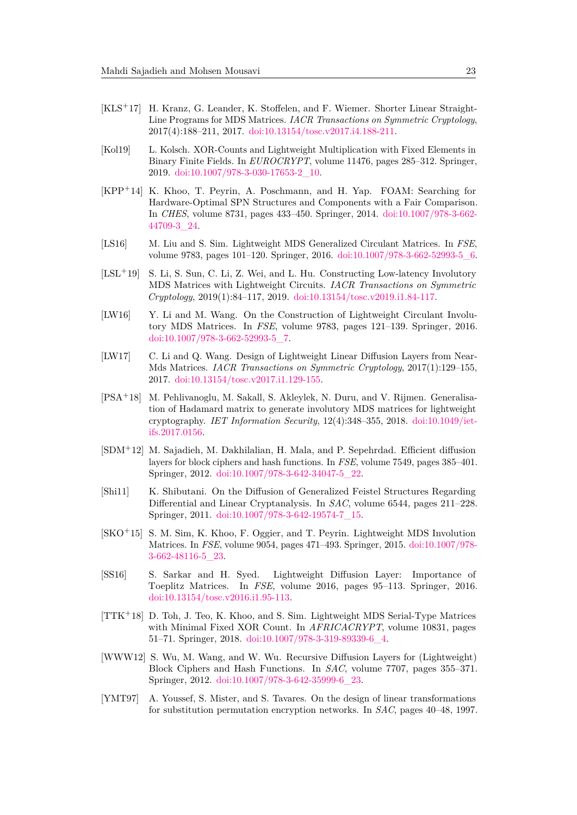- <span id="page-22-7"></span>[KLS<sup>+</sup>17] H. Kranz, G. Leander, K. Stoffelen, and F. Wiemer. Shorter Linear Straight-Line Programs for MDS Matrices. *IACR Transactions on Symmetric Cryptology*, 2017(4):188–211, 2017. [doi:10.13154/tosc.v2017.i4.188-211.](http://dx.doi.org/10.13154/tosc.v2017.i4.188-211)
- <span id="page-22-14"></span>[Kol19] L. Kolsch. XOR-Counts and Lightweight Multiplication with Fixed Elements in Binary Finite Fields. In *EUROCRYPT*, volume 11476, pages 285–312. Springer, 2019. [doi:10.1007/978-3-030-17653-2\\_10.](http://dx.doi.org/10.1007/978-3-030-17653-2_10)
- <span id="page-22-5"></span>[KPP<sup>+</sup>14] K. Khoo, T. Peyrin, A. Poschmann, and H. Yap. FOAM: Searching for Hardware-Optimal SPN Structures and Components with a Fair Comparison. In *CHES*, volume 8731, pages 433–450. Springer, 2014. [doi:10.1007/978-3-662-](http://dx.doi.org/10.1007/978-3-662-44709-3_24) [44709-3\\_24.](http://dx.doi.org/10.1007/978-3-662-44709-3_24)
- <span id="page-22-4"></span>[LS16] M. Liu and S. Sim. Lightweight MDS Generalized Circulant Matrices. In *FSE*, volume 9783, pages 101–120. Springer, 2016. [doi:10.1007/978-3-662-52993-5\\_6.](http://dx.doi.org/10.1007/978-3-662-52993-5_6)
- <span id="page-22-8"></span>[LSL<sup>+</sup>19] S. Li, S. Sun, C. Li, Z. Wei, and L. Hu. Constructing Low-latency Involutory MDS Matrices with Lightweight Circuits. *IACR Transactions on Symmetric Cryptology*, 2019(1):84–117, 2019. [doi:10.13154/tosc.v2019.i1.84-117.](http://dx.doi.org/10.13154/tosc.v2019.i1.84-117)
- <span id="page-22-6"></span>[LW16] Y. Li and M. Wang. On the Construction of Lightweight Circulant Involutory MDS Matrices. In *FSE*, volume 9783, pages 121–139. Springer, 2016. [doi:10.1007/978-3-662-52993-5\\_7.](http://dx.doi.org/10.1007/978-3-662-52993-5_7)
- <span id="page-22-12"></span>[LW17] C. Li and Q. Wang. Design of Lightweight Linear Diffusion Layers from Near-Mds Matrices. *IACR Transactions on Symmetric Cryptology*, 2017(1):129–155, 2017. [doi:10.13154/tosc.v2017.i1.129-155.](http://dx.doi.org/10.13154/tosc.v2017.i1.129-155)
- <span id="page-22-13"></span>[PSA<sup>+</sup>18] M. Pehlivanoglu, M. Sakall, S. Akleylek, N. Duru, and V. Rijmen. Generalisation of Hadamard matrix to generate involutory MDS matrices for lightweight cryptography. *IET Information Security*, 12(4):348–355, 2018. [doi:10.1049/iet](http://dx.doi.org/10.1049/iet-ifs.2017.0156)[ifs.2017.0156.](http://dx.doi.org/10.1049/iet-ifs.2017.0156)
- <span id="page-22-1"></span>[SDM<sup>+</sup>12] M. Sajadieh, M. Dakhilalian, H. Mala, and P. Sepehrdad. Efficient diffusion layers for block ciphers and hash functions. In *FSE*, volume 7549, pages 385–401. Springer, 2012. [doi:10.1007/978-3-642-34047-5\\_22.](http://dx.doi.org/10.1007/978-3-642-34047-5_22)
- <span id="page-22-11"></span>[Shi11] K. Shibutani. On the Diffusion of Generalized Feistel Structures Regarding Differential and Linear Cryptanalysis. In *SAC*, volume 6544, pages 211–228. Springer, 2011. [doi:10.1007/978-3-642-19574-7\\_15.](http://dx.doi.org/10.1007/978-3-642-19574-7_15)
- <span id="page-22-2"></span>[SKO<sup>+</sup>15] S. M. Sim, K. Khoo, F. Oggier, and T. Peyrin. Lightweight MDS Involution Matrices. In *FSE*, volume 9054, pages 471–493. Springer, 2015. [doi:10.1007/978-](http://dx.doi.org/10.1007/978-3-662-48116-5_23) [3-662-48116-5\\_23.](http://dx.doi.org/10.1007/978-3-662-48116-5_23)
- <span id="page-22-3"></span>[SS16] S. Sarkar and H. Syed. Lightweight Diffusion Layer: Importance of Toeplitz Matrices. In *FSE*, volume 2016, pages 95–113. Springer, 2016. [doi:10.13154/tosc.v2016.i1.95-113.](http://dx.doi.org/10.13154/tosc.v2016.i1.95-113)
- <span id="page-22-10"></span>[TTK<sup>+</sup>18] D. Toh, J. Teo, K. Khoo, and S. Sim. Lightweight MDS Serial-Type Matrices with Minimal Fixed XOR Count. In *AFRICACRYPT*, volume 10831, pages 51–71. Springer, 2018. [doi:10.1007/978-3-319-89339-6\\_4.](http://dx.doi.org/10.1007/978-3-319-89339-6_4)
- <span id="page-22-9"></span>[WWW12] S. Wu, M. Wang, and W. Wu. Recursive Diffusion Layers for (Lightweight) Block Ciphers and Hash Functions. In *SAC*, volume 7707, pages 355–371. Springer, 2012. [doi:10.1007/978-3-642-35999-6\\_23.](http://dx.doi.org/10.1007/978-3-642-35999-6_23)
- <span id="page-22-0"></span>[YMT97] A. Youssef, S. Mister, and S. Tavares. On the design of linear transformations for substitution permutation encryption networks. In *SAC*, pages 40–48, 1997.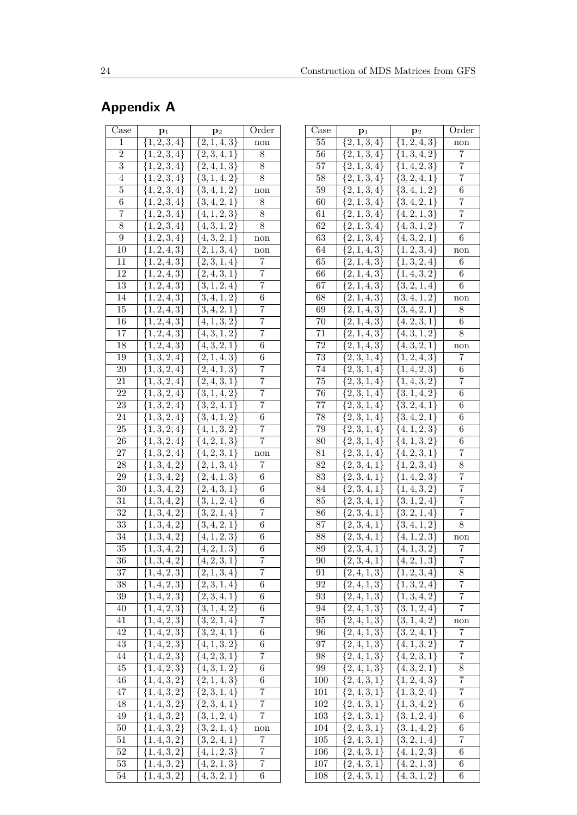# **Appendix A**

| $\overline{\text{Case}}$ | $\mathbf{p}_1$                 | $\mathbf{p}_2$                               | Order                 |
|--------------------------|--------------------------------|----------------------------------------------|-----------------------|
| $\mathbf{1}$             | $\{1, 2, 3, 4\}$               | $\overline{\{2,1,4,3\}}$                     | non                   |
| $\overline{2}$           | $\{1,2,3,4\}$                  | $\{2,3,4,1\}$                                | 8                     |
| $\overline{3}$           | $\{1,2,3,4\}$                  | ${2, 4, 1, 3}$                               | $8\,$                 |
| 4                        | $\{1,2,3,4\}$                  | $\{3,1,4,2\}$                                | 8                     |
| $\overline{5}$           | $\{1,2,3,4\}$                  | $\{3, 4, 1, 2\}$                             | non                   |
| $\overline{6}$           | $\overline{\{1,2,3,4\}}$       | $\{3, 4, 2, 1\}$                             | 8                     |
| $\overline{7}$           | $\{1, 2, 3, 4\}$               | $\{\overline{4,1,2,3\}}$                     | 8                     |
| 8                        | $\{1, 2, 3, 4\}$               | $\overline{\{4,3,1,2\}}$                     | 8                     |
| $\overline{9}$           | $\{1, 2, 3, 4\}$               | $\{4, 3, 2, 1\}$                             | $_{\rm non}$          |
| 10                       | $\{1, 2, 4, 3\}$               | $\{2,1,3,4\}$                                | $_{\rm non}$          |
| 11                       | $\{1, 2, 4, 3\}$               | $\{2,3,1,4\}$                                | $\overline{7}$        |
| 12                       | $\{1, 2, 4, 3\}$               | $\{2,4,3,1\}$                                | $\overline{7}$        |
| 13                       | $\{1, 2, 4, 3\}$               | $\{3,1,2,4\}$                                | $\overline{7}$        |
| 14                       | $\{1, 2, 4, 3\}$               | $\{3,4,1,2\}$                                | 6                     |
| 15                       | $\{1, 2, 4, 3\}$               | $\{3,4,2,1\}$                                | 7                     |
| 16                       | $\{1, 2, 4, 3\}$               | $\{4, 1, 3, 2\}$                             | 7                     |
| $\overline{17}$          | $\overline{\{1,2,4,3\}}$       | $\{4,3,1,2\}$                                | 7                     |
| 18                       | $\overline{\{1,2,4,3\}}$       | $\{4,3,2,1\}$                                | 6                     |
| 19                       | $\{1,3,2,4\}$                  | $\{2,1,4,3\}$                                | 6                     |
| 20                       | $\{1,3,2,4\}$                  | $\{2,4,1,3\}$                                | 7                     |
| $\overline{21}$          | $\{1,3,2,4\}$                  | $\{2,4,3,1\}$                                | 7                     |
| 22                       | $\{1,3,2,4\}$                  | $\{3, 1, 4, 2\}$                             | $\overline{7}$        |
| 23                       | $\{1,3,2,4\}$                  | $\overline{\{3,2,4,1\}}$                     | $\overline{7}$        |
| 24                       | ${1, 3, 2, 4}$                 | $\{3, 4, 1, 2\}$                             | 6                     |
| 25                       | $\{1,3,2,4\}$                  | $\{4, 1, 3, 2\}$                             | 7                     |
| 26                       |                                | $\{4,2,1,3\}$                                | 7                     |
| 27                       | $\{1,3,2,4\}$                  |                                              |                       |
| 28                       | $\{1,3,2,4\}$                  | $\{4,2,3,1\}$<br>$\{2, 1, 3, 4\}$            | non<br>$\overline{7}$ |
| 29                       | $\{1,3,4,2\}$<br>$\{1,3,4,2\}$ | $\{2,4,1,3\}$                                | 6                     |
| 30                       | $\{1,3,4,2\}$                  | $\overline{\{2,4,3,1\}}$                     | 6                     |
| 31                       | $\{1, 3, 4, 2\}$               | $\{3, 1, 2, 4\}$                             | 6                     |
| $\overline{32}$          |                                |                                              | $\overline{7}$        |
| 33                       | $\overline{\{1,3,4,2\}}$       | $\overline{\{3,2,1,4\}}$<br>$\{3, 4, 2, 1\}$ | 6                     |
| 34                       | $\{1,3,4,2\}$                  |                                              |                       |
|                          | $\{1,3,4,2\}$                  | $\{4, 1, 2, 3\}$                             | 6<br>6                |
| $35\,$                   | $\{1, 3, 4, 2\}$               | $\{4, 2, 1, 3\}$                             |                       |
| 36                       | $\overline{\{1,3,4,2\}}$       | $\{4, 2, 3, 1\}$                             | 7<br>$\overline{7}$   |
| 37                       | $\{1,4,2,3\}$                  | $\overline{\{2,1,3,4\}}$                     |                       |
| 38<br>39                 | $\{1,4,2,3\}$                  | $\{2,3,1,4\}$                                | 6                     |
|                          | $\{1,4,2,3\}$                  | $\{2, 3, 4, 1\}$                             | 6                     |
| 40                       | $\{1,4,2,3\}$                  | $\{3, 1, 4, 2\}$                             | 6                     |
| 41<br>42                 | $\{1,4,2,3\}$                  | $\{3,2,1,4\}$                                | 7                     |
|                          | $\{1,4,2,3\}$                  | $\{3, 2, 4, 1\}$                             | 6                     |
| 43                       | $\{1, 4, 2, 3\}$               | $\{4, 1, 3, 2\}$                             | 6                     |
| 44                       | $\{1, 4, 2, 3\}$               | $\{4, 2, 3, 1\}$                             | 7                     |
| 45                       | $\{1, 4, 2, 3\}$               | $\{4,3,1,2\}$                                | 6                     |
| 46                       | $\{1, 4, 3, 2\}$               | $\{2,1,4,3\}$                                | 6                     |
| 47                       | $\overline{\{1,4,3,2\}}$       | $\overline{\{2,3,1,4\}}$                     | 7                     |
| 48                       | $\overline{\{1,4,3,2\}}$       | ${2, 3, 4, 1}$                               | 7<br>7                |
| 49                       | ${1, 4, 3, 2}$                 | $\{3,\overline{1,2,4\}}$                     |                       |
| 50                       | $\{1,4,3,2\}$                  | $\{3,2,1,4\}$                                | non                   |
| 51                       | $\{1,4,3,2\}$                  | $\overline{\{3,2,4,1\}}$                     | 7                     |
| 52                       | $\{1,4,3,2\}$                  | $\overline{\{4,1,2,3\}}$                     | 7                     |
| 53                       | $\{1,4,3,2\}$                  | $\overline{\{4,2,1,3\}}$                     | $\overline{7}$        |
| 54                       | $\{1,4,3,2\}$                  | $\overline{\{4,3,2,1\}}$                     | 6                     |

| Case            | $\mathbf{p}_1$           | $\mathbf{p}_2$           | Order          |
|-----------------|--------------------------|--------------------------|----------------|
| 55              | $\{2,1,3,\overline{4}\}$ | $\{1, 2, 4, 3\}$         | non            |
| 56              | $\{2,1,3,4\}$            | $\{1,3,4,\overline{2}\}$ | 7              |
| 57              | $\{2,1,3,4\}$            | $\{1,4,2,3\}$            | 7              |
| 58              | $\{2,1,\overline{3,4\}}$ | $\{3, 2, 4, 1\}$         | 7              |
| 59              | $\{\overline{2,1,3,4\}}$ | $\{3,4,1,2\}$            | 6              |
| 60              | $\{2,1,3,4\}$            | $\{3,4,2,1\}$            | 7              |
| 61              | $\{2,1,3,4\}$            | $\overline{\{4,2,1,3\}}$ | 7              |
| 62              | $\{2,1,3,4\}$            | $\overline{\{4,3,1,2\}}$ | 7              |
| 63              | $\overline{\{2,1,3,4\}}$ | $\overline{\{4,3,2,1\}}$ | 6              |
| 64              | $\{2,1,\overline{4,3\}}$ | $\overline{\{1,2,3,4\}}$ | non            |
| 65              | $\{2,1,4,3\}$            | $\{1, 3, 2, 4\}$         | 6              |
| 66              | $\{2,1,4,3\}$            | $\overline{\{1,4,3,2\}}$ | 6              |
| 67              | $\{2, 1, 4, 3\}$         | $\overline{\{3,2,1,4\}}$ | 6              |
| 68              | $\{2,1,4,3\}$            | $\overline{\{3,4,1},2\}$ | non            |
| 69              | $\{2,1,4,3\}$            | $\{3,4,2,1\}$            | 8              |
| 70              | $\{2,1,4,3\}$            | $\{4, 2, 3, 1\}$         | $\overline{6}$ |
| 71              | $\{2,1,4,3\}$            | $\{4,3,1,2\}$            | 8              |
| 72              | $\{2, 1, 4, 3\}$         | $\{4, 3, 2, 1\}$         |                |
| 73              | $\{2,\overline{3,1,4\}}$ |                          | non<br>7       |
|                 |                          | $\{1, 2, 4, 3\}$         |                |
| 74              | $\{2, 3, 1, 4\}$         | $\{1,4,2,3\}$            | 6              |
| 75              | $\overline{\{2,3,1,4\}}$ | $\{1,4,3,2\}$            | 7              |
| $\overline{7}6$ | 2, 3, 1, 4               | $\{3,1,4,2\}$            | 6              |
| $\overline{77}$ | $\overline{\{2,3,1,4\}}$ | $\{3, 2, 4, 1\}$         | 6              |
| 78              | $\overline{\{2,3,1,4\}}$ | $\{3,4,2,1\}$            | 6              |
| 79              | $\overline{\{2,3,1,4\}}$ | $\{4,1,2,3\}$            | 6              |
| 80              | $\overline{\{2,3,1,4\}}$ | $\overline{\{4,1,3,2\}}$ | 6              |
| 81              | $\overline{\{2,3,1,4\}}$ | $\overline{\{4,2,3,1\}}$ | $\overline{7}$ |
| 82              | $\overline{\{2,3,4,1\}}$ | $\overline{\{1,2,3,4\}}$ | 8              |
| 83              | $\{2,3,4,1\}$            | $\{1, 4, 2, 3\}$         | 7              |
| 84              | $\{2,3,4,1\}$            | ${1, 4, 3, 2}$           | $\overline{7}$ |
| 85              | $\{2,3,4,1\}$            | $\{3, 1, 2, 4\}$         | $\overline{7}$ |
| 86              | $\{2,3,4,1\}$            | $\{3, 2, 1, 4\}$         | 7              |
| 87              | $\{2,3,4,1\}$            | $\{3,4,1,2\}$            | 8              |
| 88              | $\overline{\{2,3,4,1\}}$ | $\{4, 1, 2, 3\}$         | non            |
| 89              | $\{2,3,4,1\}$            | $\{4, 1, 3, 2\}$         | $\overline{7}$ |
| 90              | $\{2,3,4,1\}$            | $\{4,2,1,3\}$            | 7              |
| 91              | $\{2, 4, 1, 3\}$         | $\{1, 2, 3, 4\}$         | 8              |
| 92              | ${2, 4, 1, 3}$           | $\overline{\{1,3,2,4\}}$ | 7              |
| 93              | $\{2,\overline{4,1,3\}}$ | $\overline{\{1,3,4,2\}}$ | 7              |
| 94              | $\{2,4,1,3\}$            | $\{3,1,2,4\}$            | 7              |
| 95              | $\{2,4,1,3\}$            | $\{3,1,4,2\}$            | non            |
| 96              | $\overline{\{2,4,1,3\}}$ | $\{3, 2, 4, 1\}$         | 7              |
| 97              | $\{2,4,1,3\}$            | $\{\overline{4,1,3,2\}}$ | 7              |
| 98              | $\{2,4,1,3\}$            | $\overline{\{4,2,3,1\}}$ | 7              |
| 99              | $\overline{\{2,4,1,3\}}$ | $\overline{\{4,3,2,1\}}$ | 8              |
| 100             | $\{2,4,3,1\}$            | $\{1, 2, 4, 3\}$         | 7              |
| 101             | ${2, 4, 3, 1}$           | $\{1, 3, 2, 4\}$         | 7              |
| 102             | ${2, 4, 3, 1}$           | ${1, 3, 4, 2}$           | 6              |
| 103             | $\{2,4,3,1\}$            | $\{3,1,2,4\}$            | 6              |
| 104             | $\{2,4,3,1\}$            | $\{3, 1, 4, 2\}$         | 6              |
| 105             | $\{\overline{2,4,3,1\}}$ | $\{3,2,1,4\}$            | 7              |
| 106             | $\overline{\{2,4,3,1\}}$ | $\{4, 1, 2, 3\}$         | 6              |
| 107             | $\{\overline{2,4,3,1\}}$ | $\overline{\{4,2,1,3\}}$ | 6              |
| 108             | ${2, 4, 3, 1}$           | $\overline{\{4,3,1,2\}}$ | 6              |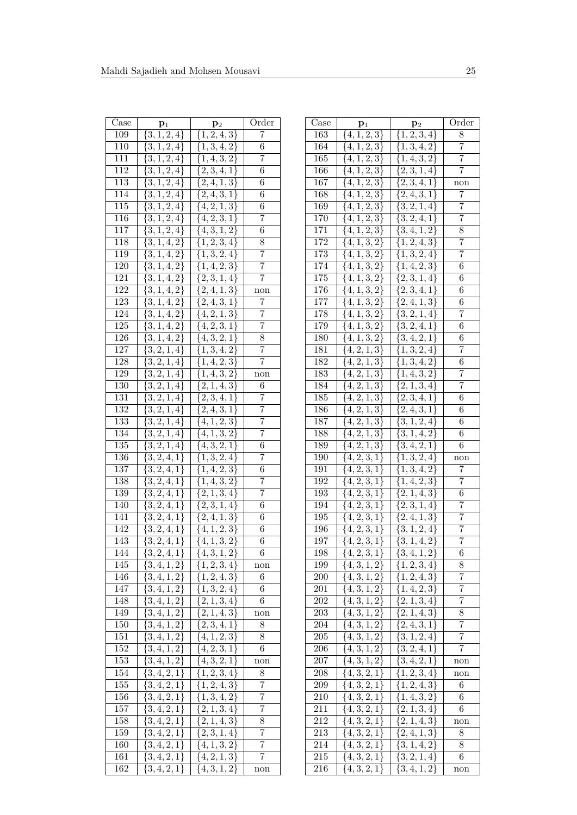| $\overline{\text{Case}}$ | $\mathbf{p}_1$                       | $\mathbf{p}_2$                 | Order          |
|--------------------------|--------------------------------------|--------------------------------|----------------|
| 109                      | $\{3, 1, 2, 4\}$                     | $\{1, 2, 4, 3\}$               | 7              |
| 110                      | $\{3, 1, 2, 4\}$                     | $\{1, 3, 4, 2\}$               | 6              |
| 111                      | $\{3,1,2,4\}$                        | $\{1,4,3,2\}$                  | 7              |
| 112                      | $\{3,1,2,4\}$                        | $\overline{\{2,3,4,1\}}$       | 6              |
| 113                      | $\{3,1,2,4\}$                        | $\{2,4,1,3\}$                  | 6              |
| 114                      | $\{3,1,2,4\}$                        | $\{2,4,3,1\}$                  | 6              |
| 115                      | $\{3,1,2,4\}$                        | $\overline{\{4,2,1,3\}}$       | 6              |
| 116                      | $\{3,1,2,4\}$                        | $\{4,2,3,1\}$                  | 7              |
| 117                      | $\{3, 1, 2, 4\}$                     | $\overline{\{4,3,1,2\}}$       | 6              |
| 118                      | $\{3,1,4,2\}$                        | $\{1, 2, 3, 4\}$               | 8              |
| 119                      | $\{3, 1, 4, 2\}$                     | $\{1,\overline{3,2,4\}}$       | 7              |
| 120                      | $\{3, 1, 4, 2\}$                     | $\{1,4,2,3\}$                  | 7              |
| 121                      | $\{3,1,4,2\}$                        | $\{2, 3, 1, 4\}$               | 7              |
| 122                      |                                      |                                |                |
| 123                      | $\{3,1,4,2\}$                        | $\{2,4,1,3\}$<br>$\{2,4,3,1\}$ | non<br>7       |
|                          | $\{3, 1, 4, 2\}$                     |                                | 7              |
| 124                      | $\{3, 1, 4, 2\}$                     | $\{4, 2, 1, 3\}$               |                |
| 125                      | $\{3, 1, 4, 2\}$                     | $\overline{\{4,2,3,1\}}$       | 7              |
| 126                      | $\{3, 1, 4, 2\}$                     | $\overline{\{4,3,2,1\}}$       | 8              |
| 127                      | $\{3, 2, 1, 4\}$                     | $\{1, 3, 4, 2\}$               | 7              |
| 128                      | $\overline{\{3,2,1,4\}}$             | $\{1,4,2,3\}$                  | 7              |
| 129                      | $\{3,2,1,4\}$                        | $\{1,4,3,2\}$                  | non            |
| 130                      | $\overline{\{3,2,1,4\}}$             | $\{2, 1, 4, 3\}$               | 6              |
| 131                      | $\overline{\{3,2,1},4\}$             | $\overline{\{2,3,4,1\}}$       | $\overline{7}$ |
| 132                      | $\{3, 2, 1, 4\}$                     | $\overline{\{2,4,3,1\}}$       | $\overline{7}$ |
| 133                      | $\overline{\{3,2,1,4\}}$             | $\{4, 1, 2, 3\}$               | $\overline{7}$ |
| 134                      | $\{3, 2, 1, 4\}$                     | $\{4, 1, 3, 2\}$               | 7              |
| 135                      | $\{3, 2, 1, 4\}$                     | $\{4,3,2,1\}$                  | 6              |
| 136                      | $\{3, 2, 4, 1\}$                     | $\overline{\{1,3,2,4\}}$       | $\overline{7}$ |
| 137                      | $\{3, 2, 4, 1\}$                     | $\{1,4,2,3\}$                  | 6              |
| 138                      | $\{3,2,4,1\}$                        | $\{1,4,3,2\}$                  | $\overline{7}$ |
| 139                      | $\{3,2,4,1\}$                        | $\{2,1,3,4\}$                  | 7              |
| 140                      | $\{3, 2, 4, 1\}$                     | $\{2, 3, 1, 4\}$               | 6              |
| 141                      | $\{3,2,4,1\}$                        | $\{2,4,1,3\}$                  | 6              |
| 142                      | $\{3,2,4,1\}$                        | $\{4, 1, 2, 3\}$               | 6              |
| 143                      | $\{3, 2, 4, 1\}$                     | $\{4, 1, 3, 2\}$               | 6              |
| 144                      | $\{3, 2, 4, 1\}$                     | $\{4,3,1,2\}$                  | $\,6$          |
| 145                      | $\{3,4,1,2\}$                        | $\overline{\{1,2,3,4\}}$       | non            |
| 146                      | $\{3,4,1,2\}$                        | $\overline{\{1,2,4,3\}}$       | 6              |
| 147                      | $\{3,\overline{4,1,2\}}$             | $\overline{\{1,3,2,4\}}$       | 6              |
| 148                      | $\{\overline{3,4,1,2\}}$             | $\overline{\{2,1,3,4\}}$       | 6              |
| 149                      | $\{3,\overline{4,1,2\}}$             | $\overline{\{2,1,4,3\}}$       | non            |
| 150                      | $\{3,\overline{4,1,2\}}$             | $\{2,3,4,1\}$                  | 8              |
| 151                      | $\overline{\{3,4,\underline{1},2\}}$ | $\overline{\{4,1,2,3\}}$       | 8              |
| 152                      | $\{3, 4, 1, 2\}$                     | $\overline{\{4,2,3,1\}}$       | 6              |
| 153                      | $\overline{\{3,4,1,2\}}$             | $\{4, 3, 2, 1\}$               | non            |
| 154                      | $\overline{\{3,4,2,1\}}$             | $\{1,2,3,4\}$                  | 8              |
| 155                      | $\{3, 4, 2, 1\}$                     | $\{1, 2, 4, 3\}$               | 7              |
| 156                      | $\{3,4,2,1\}$                        | $\{1,3,4,2\}$                  | 7              |
| 157                      | $\{3, 4, 2, 1\}$                     | $\{2,\overline{1,3,4\}}$       | 7              |
| 158                      | $\overline{\{3,4,2,1\}}$             | $\{2,\overline{1,4,3\}}$       | 8              |
| 159                      | $\{3,4,2,1\}$                        | $\{2,3,1,4\}$                  | 7              |
|                          | $\overline{\{3,4,2,1\}}$             | $\{4, 1, 3, 2\}$               | 7              |
| 160                      |                                      |                                |                |
| 161                      | $\overline{\{3,4,2,1\}}$             | $\overline{\{4,2,1,3\}}$       | $\overline{7}$ |
| 162                      | $\overline{\{3,4,2,1\}}$             | $\{4,3,1,2\}$                  | non            |

| $\overline{\text{Case}}$ | $p_1$                    | $\mathbf{p}_2$              | Order          |
|--------------------------|--------------------------|-----------------------------|----------------|
| 163                      | $\overline{\{4,1,2,3\}}$ | $\{1, 2, 3, 4\}$            | 8              |
| 164                      | $\{4, 1, 2, 3\}$         | $\overline{\{1,3,4,2\}}$    | 7              |
| 165                      | $\overline{\{4,1,2,3\}}$ | $\overline{\{1,4,3,2\}}$    | $\overline{7}$ |
| 166                      | $\{\overline{4,1,2,3\}}$ | $\overline{\{2,3,1,4\}}$    | $\overline{7}$ |
| 167                      | $\{4, 1, 2, 3\}$         | $\{2, 3, 4, 1\}$            | non            |
| 168                      | $\{4, 1, 2, 3\}$         | $\{2, 4, 3, 1\}$            | 7              |
| 169                      | $\{4,1,2,3\}$            | $\{3,2,1,4\}$               | 7              |
| 170                      | $\{4,1,2,3\}$            | $\{3, 2, 4, 1\}$            | 7              |
| 171                      | $\{4,1,2,3\}$            | $\{3,4,1,2\}$               | 8              |
| 172                      | $\{4,1,3,2\}$            | $\{1, 2, 4, 3\}$            | 7              |
| 173                      | $\{4, 1, 3, 2\}$         | $\{1,\overline{3,2,4\}}$    | 7              |
| 174                      | $\{4, 1, 3, 2\}$         | $\{1,4,2,3\}$               | 6              |
| 175                      | $\{4,1,3,2\}$            | $\overline{\{2,3,1,4\}}$    | 6              |
| 176                      | $\overline{\{4,1,3,2\}}$ | $\overline{\{2,3,4,1\}}$    | 6              |
| 177                      | $\overline{\{4,1,3,2\}}$ | $\{2,4,1,3\}$               | 6              |
| 178                      | $\overline{\{4,1,3,2\}}$ | $\{3, 2, 1, 4\}$            | 7              |
| 179                      | $\overline{\{4,1,3,2\}}$ | $\overline{\{3,2,4,1\}}$    | 6              |
| 180                      | $\overline{\{4,1,3,2\}}$ | $\overline{\{3,4,2,1\}}$    | 6              |
| 181                      | $\overline{\{4,2,1,3\}}$ | $\overline{\{1,3,2,4\}}$    | 7              |
| 182                      | $\overline{\{4,2,1,3\}}$ | $\overline{\{1,3,4,2\}}$    | 6              |
| 183                      | $\overline{\{4,2,1,3\}}$ | $\overline{\{1,4,3,2\}}$    | $\overline{7}$ |
| 184                      | $\overline{\{4,2,1,3\}}$ | $\{2, \overline{1, 3}, 4\}$ | $\overline{7}$ |
| 185                      | $\overline{\{4,2,1,3\}}$ | $\overline{\{2,3,4,1\}}$    | 6              |
| 186                      | $\overline{\{4,2,1,3\}}$ | $\overline{\{2,4,3,1\}}$    | 6              |
| $18\overline{7}$         | $\overline{\{4,2,1,3\}}$ | $\{3,1,2,4\}$               | 6              |
| 188                      | $\{4, 2, 1, 3\}$         | $\{3,1,4,2\}$               | 6              |
| 189                      | $\overline{\{4,2,1,3\}}$ | $\{3,4,2,1\}$               | 6              |
| 190                      | $\{4, 2, 3, 1\}$         | $\{1,3,2,4\}$               | non            |
| 191                      | $\overline{\{4,2,3,1\}}$ | $\{1,3,4,2\}$               | 7              |
| 192                      | $\{4, 2, 3, 1\}$         | $\{1,4,2,3\}$               | 7              |
| 193                      | $\{4, 2, 3, 1\}$         | $\{2, 1, 4, 3\}$            | 6              |
| 194                      | $\overline{\{4,2,3,1\}}$ | $\{2,3,1,4\}$               | 7              |
| 195                      | $\overline{\{4,2,3,1\}}$ | $\{2,4,1,3\}$               | 7              |
| 196                      | $\overline{\{4,2,3,1\}}$ | $\{3,1,2,4\}$               | 7              |
| 197                      | $\overline{\{4,2,3,1\}}$ | ${3, 1, 4, 2}$              | 7              |
| 198                      | $\overline{\{4,2,3,1\}}$ | $\{3,4,1,2\}$               | 6              |
| 199                      | $\overline{\{4,3,1,2\}}$ | $\overline{\{1,2,3,4\}}$    | 8              |
| <b>200</b>               | $\{4,3,1,2\}$            | $\overline{\{1,2,4,3\}}$    | $\overline{7}$ |
| 201                      | $\{4, 3, 1, 2\}$         | $\{1, 4, 2, 3\}$            | 7              |
| 202                      | $\overline{\{4,3,1,2\}}$ | $\{2,1,3,4\}$               | 7              |
| <b>203</b>               | $\overline{\{4,3,1,2\}}$ | $\{2,1,\overline{4,3\}}$    | 8              |
| 204                      | $\{4,3,1,2\}$            | $\overline{\{2,4,3,1\}}$    | 7              |
| 205                      | $\overline{\{4,3,1,2\}}$ | $\{3,1,2,4\}$               | $\overline{7}$ |
| $206\,$                  | $\{4,3,1,2\}$            | $\{3, 2, 4, 1\}$            | 7              |
| 207                      | $\{4,3,1,2\}$            | $\{3,4,2,1\}$               | non            |
| 208                      | $\{4,3,2,1\}$            | $\overline{\{1,2,3,4\}}$    | non            |
| 209                      | $\overline{\{4,3,2,1\}}$ | $\{1,\overline{2,4,3\}}$    | 6              |
| 210                      | $\{4,3,2,1\}$            | $\{1,4,3,2\}$               | 6              |
| $211\,$                  | $\{4,3,2,1\}$            | $\{2,1,3,4\}$               | 6              |
| 212                      | $\overline{\{4,3,2,1\}}$ | $\{2,1,4,3\}$               | non            |
| 213                      | $\overline{\{4,3,2,1\}}$ | $\{2,4,1,3\}$               | 8              |
| 214                      | $\overline{\{4,3,2,1\}}$ | $\{3,1,4,2\}$               | 8              |
| 215                      | $\overline{\{4,3,2,1\}}$ | $\{3, 2, 1, 4\}$            | 6              |
| 216                      | $\overline{\{4,3,2,1\}}$ | $\{3,4,1,2\}$               | non            |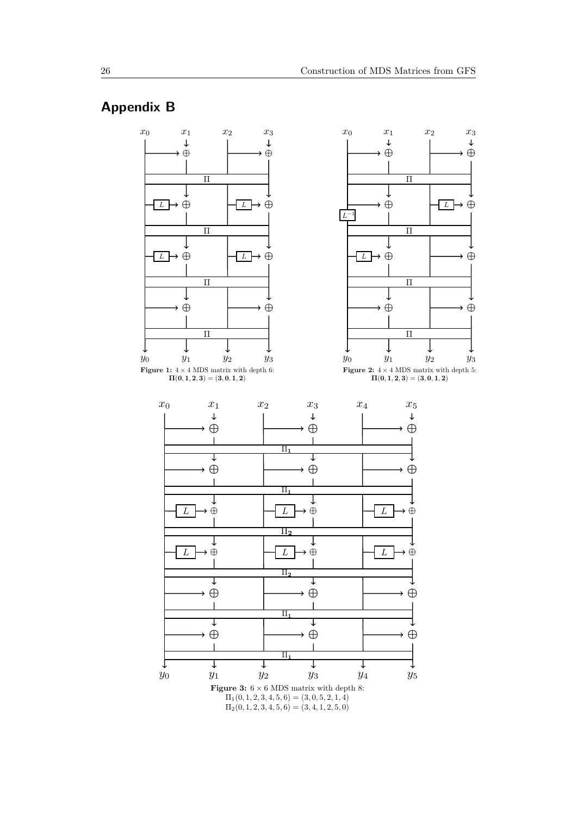# **Appendix B**



 $\Pi_2(0, 1, 2, 3, 4, 5, 6) = (3, 4, 1, 2, 5, 0)$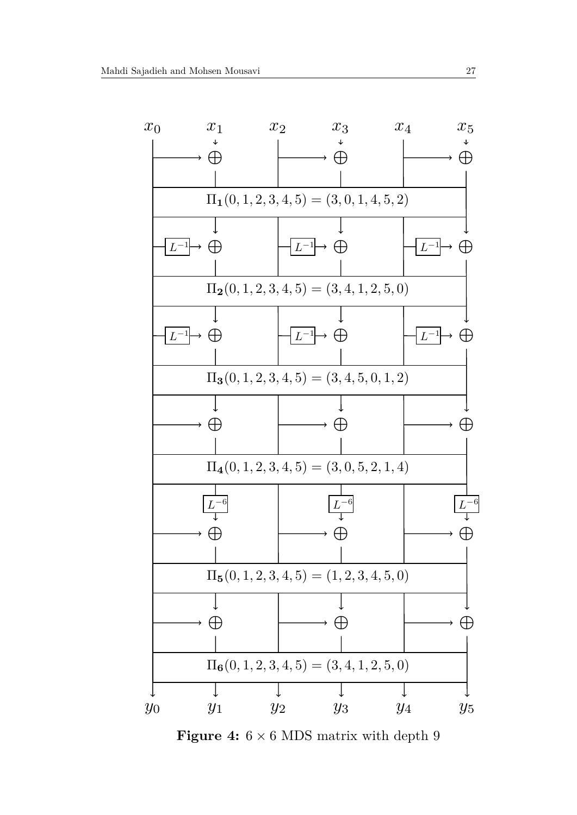

**Figure 4:**  $6 \times 6$  MDS matrix with depth 9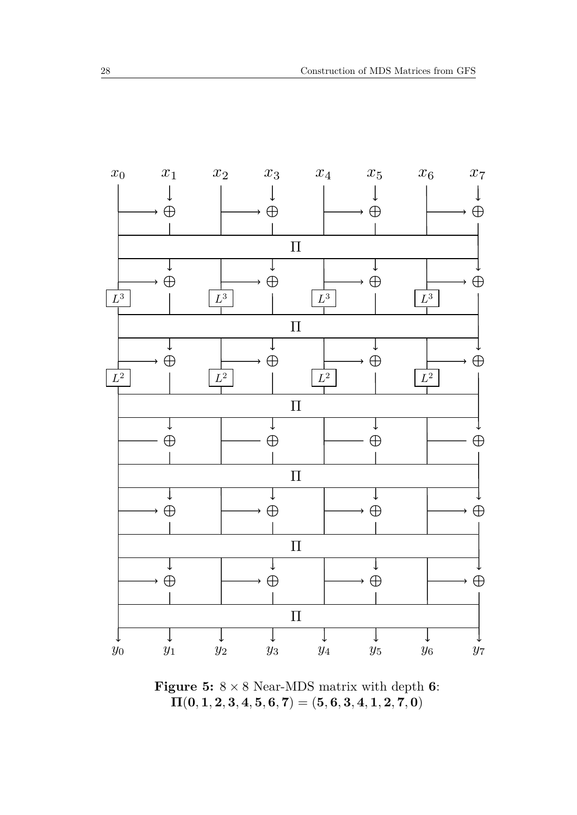

**Figure 5:**  $8 \times 8$  Near-MDS matrix with depth **6**:  $\Pi(0, 1, 2, 3, 4, 5, 6, 7) = (5, 6, 3, 4, 1, 2, 7, 0)$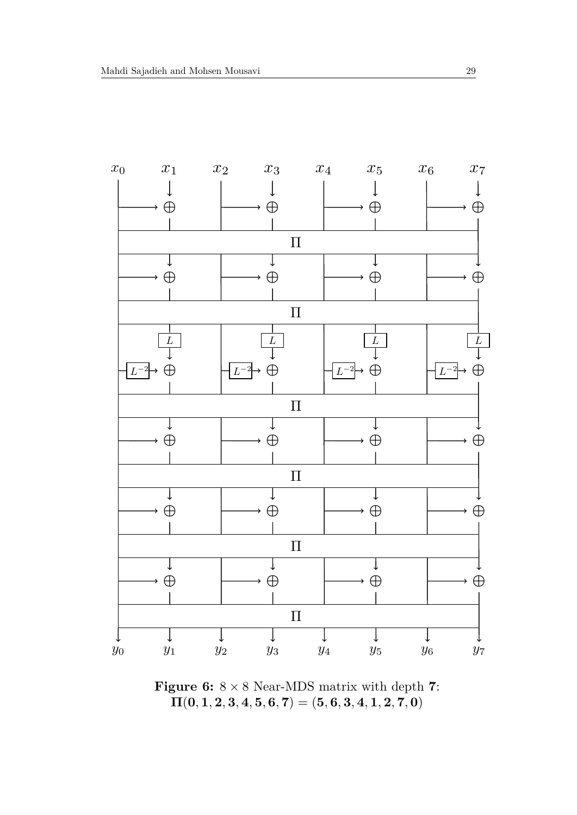

**Figure 6:** 8 × 8 Near-MDS matrix with depth **7**:  $\Pi(0, 1, 2, 3, 4, 5, 6, 7) = (5, 6, 3, 4, 1, 2, 7, 0)$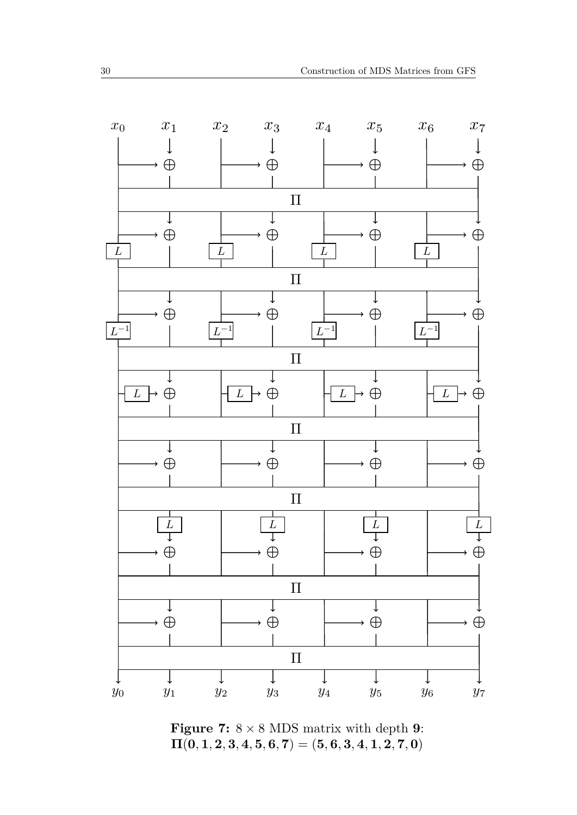

**Figure 7:**  $8 \times 8$  MDS matrix with depth **9**:  $\Pi(0, 1, 2, 3, 4, 5, 6, 7) = (5, 6, 3, 4, 1, 2, 7, 0)$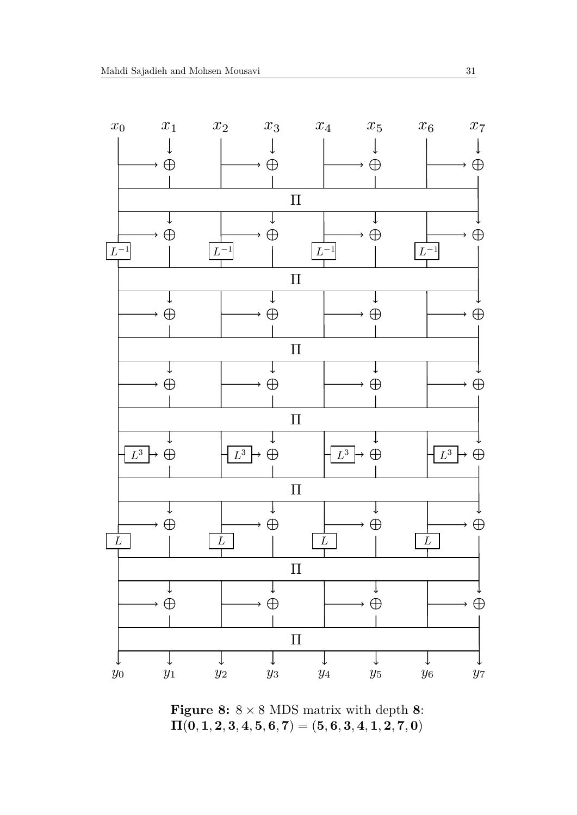

**Figure 8:**  $8 \times 8$  MDS matrix with depth 8:  $\Pi(0, 1, 2, 3, 4, 5, 6, 7) = (5, 6, 3, 4, 1, 2, 7, 0)$